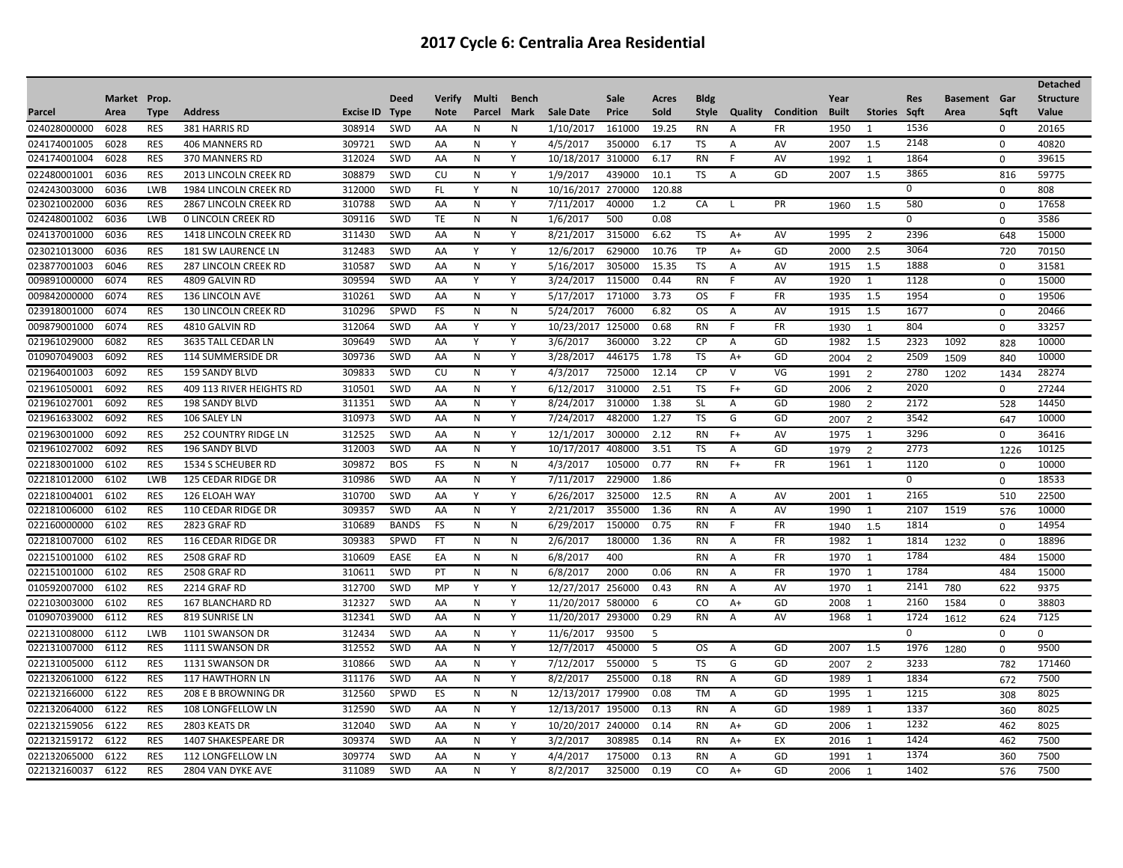|              |              |             |                              |                  |              |               |        |              |                   |        |        |              |                |           |              |                |            |                     |             | <b>Detached</b>  |
|--------------|--------------|-------------|------------------------------|------------------|--------------|---------------|--------|--------------|-------------------|--------|--------|--------------|----------------|-----------|--------------|----------------|------------|---------------------|-------------|------------------|
|              | Market Prop. |             |                              |                  | <b>Deed</b>  | <b>Verify</b> | Multi  | Bench        |                   | Sale   | Acres  | <b>Bldg</b>  |                |           | Year         |                | <b>Res</b> | <b>Basement</b> Gar |             | <b>Structure</b> |
| Parcel       | Area         | <b>Type</b> | <b>Address</b>               | <b>Excise ID</b> | <b>Type</b>  | <b>Note</b>   | Parcel | Mark         | <b>Sale Date</b>  | Price  | Sold   | <b>Style</b> | Quality        | Condition | <b>Built</b> | Stories Sqft   |            | Area                | Sqft        | Value            |
| 024028000000 | 6028         | <b>RES</b>  | 381 HARRIS RD                | 308914           | SWD          | AA            | N      | Ν            | 1/10/2017         | 161000 | 19.25  | <b>RN</b>    | A              | FR        | 1950         | $\mathbf{1}$   | 1536       |                     | 0           | 20165            |
| 024174001005 | 6028         | <b>RES</b>  | 406 MANNERS RD               | 309721           | <b>SWD</b>   | AA            | N      | Y            | 4/5/2017          | 350000 | 6.17   | TS           | A              | AV        | 2007         | 1.5            | 2148       |                     | $\Omega$    | 40820            |
| 024174001004 | 6028         | <b>RES</b>  | 370 MANNERS RD               | 312024           | <b>SWD</b>   | AA            | N      | Y            | 10/18/2017        | 310000 | 6.17   | <b>RN</b>    | F              | AV        | 1992         | $\mathbf{1}$   | 1864       |                     | 0           | 39615            |
| 022480001001 | 6036         | RES         | <b>2013 LINCOLN CREEK RD</b> | 308879           | SWD          | CU            | N      | Y            | 1/9/2017          | 439000 | 10.1   | <b>TS</b>    | A              | GD        | 2007         | 1.5            | 3865       |                     | 816         | 59775            |
| 024243003000 | 6036         | <b>LWB</b>  | 1984 LINCOLN CREEK RD        | 312000           | SWD          | FL.           | Y      | N            | 10/16/2017        | 270000 | 120.88 |              |                |           |              |                | 0          |                     | $\mathbf 0$ | 808              |
| 023021002000 | 6036         | <b>RES</b>  | <b>2867 LINCOLN CREEK RD</b> | 310788           | SWD          | AA            | N      | Y            | 7/11/2017         | 40000  | 1.2    | CA           | $\mathbf{I}$   | PR        | 1960         | 1.5            | 580        |                     | $\Omega$    | 17658            |
| 024248001002 | 6036         | <b>LWB</b>  | <b>0 LINCOLN CREEK RD</b>    | 309116           | <b>SWD</b>   | TE            | N      | N            | 1/6/2017          | 500    | 0.08   |              |                |           |              |                | 0          |                     | $\mathbf 0$ | 3586             |
| 024137001000 | 6036         | <b>RES</b>  | 1418 LINCOLN CREEK RD        | 311430           | SWD          | AA            | N      | Y            | 8/21/2017         | 315000 | 6.62   | TS           | $A+$           | AV        | 1995         | $\overline{2}$ | 2396       |                     | 648         | 15000            |
| 023021013000 | 6036         | <b>RES</b>  | 181 SW LAURENCE LN           | 312483           | SWD          | AA            | Y      | Y            | 12/6/2017         | 629000 | 10.76  | TP           | A+             | GD        | 2000         | 2.5            | 3064       |                     | 720         | 70150            |
| 023877001003 | 6046         | <b>RES</b>  | <b>287 LINCOLN CREEK RD</b>  | 310587           | <b>SWD</b>   | AA            | N      | Y            | 5/16/2017         | 305000 | 15.35  | TS           | A              | AV        | 1915         | 1.5            | 1888       |                     | $\Omega$    | 31581            |
| 009891000000 | 6074         | <b>RES</b>  | 4809 GALVIN RD               | 309594           | SWD          | AA            | Y      | Y            | 3/24/2017         | 115000 | 0.44   | <b>RN</b>    | E              | AV        | 1920         | 1              | 1128       |                     | $\mathbf 0$ | 15000            |
| 009842000000 | 6074         | <b>RES</b>  | 136 LINCOLN AVE              | 310261           | SWD          | AA            | N      | Y            | 5/17/2017         | 171000 | 3.73   | <b>OS</b>    | F              | FR        | 1935         | 1.5            | 1954       |                     | $\mathbf 0$ | 19506            |
| 023918001000 | 6074         | <b>RES</b>  | <b>130 LINCOLN CREEK RD</b>  | 310296           | SPWD         | <b>FS</b>     | N      | N            | 5/24/2017         | 76000  | 6.82   | OS           | $\overline{A}$ | AV        | 1915         | 1.5            | 1677       |                     | $\mathbf 0$ | 20466            |
| 009879001000 | 6074         | <b>RES</b>  | 4810 GALVIN RD               | 312064           | SWD          | AA            | Y      | Y            | 10/23/2017        | 125000 | 0.68   | <b>RN</b>    | F              | <b>FR</b> | 1930         | $\overline{1}$ | 804        |                     | $\Omega$    | 33257            |
| 021961029000 | 6082         | <b>RES</b>  | 3635 TALL CEDAR LN           | 309649           | SWD          | AA            | Y      | Y            | 3/6/2017          | 360000 | 3.22   | <b>CP</b>    | Α              | GD        | 1982         | 1.5            | 2323       | 1092                | 828         | 10000            |
| 010907049003 | 6092         | <b>RES</b>  | 114 SUMMERSIDE DR            | 309736           | SWD          | AA            | N      | Y            | 3/28/2017         | 446175 | 1.78   | <b>TS</b>    | A+             | GD        | 2004         | 2              | 2509       | 1509                | 840         | 10000            |
| 021964001003 | 6092         | <b>RES</b>  | <b>159 SANDY BLVD</b>        | 309833           | SWD          | CU            | N      | Y            | 4/3/2017          | 725000 | 12.14  | <b>CP</b>    | v              | VG        | 1991         | 2              | 2780       | 1202                | 1434        | 28274            |
| 021961050001 | 6092         | <b>RES</b>  | 409 113 RIVER HEIGHTS RD     | 310501           | <b>SWD</b>   | AA            | N      | Y            | 6/12/2017         | 310000 | 2.51   | TS           | $F+$           | GD        | 2006         | 2              | 2020       |                     | 0           | 27244            |
| 021961027001 | 6092         | <b>RES</b>  | 198 SANDY BLVD               | 311351           | SWD          | AA            | N      | Y            | 8/24/2017         | 310000 | 1.38   | <b>SL</b>    | Α              | GD        | 1980         | 2              | 2172       |                     | 528         | 14450            |
| 021961633002 | 6092         | <b>RES</b>  | 106 SALEY LN                 | 310973           | <b>SWD</b>   | AA            | N      | Y            | 7/24/2017         | 482000 | 1.27   | TS.          | G              | GD        | 2007         | $\overline{2}$ | 3542       |                     | 647         | 10000            |
| 021963001000 | 6092         | <b>RES</b>  | <b>252 COUNTRY RIDGE LN</b>  | 312525           | <b>SWD</b>   | AA            | N      | Y            | 12/1/2017         | 300000 | 2.12   | <b>RN</b>    | $F+$           | AV        | 1975         | 1              | 3296       |                     | $\Omega$    | 36416            |
| 021961027002 | 6092         | <b>RES</b>  | 196 SANDY BLVD               | 312003           | SWD          | AA            | N      | Y            | 10/17/2017        | 408000 | 3.51   | TS           | Α              | GD        | 1979         | 2              | 2773       |                     | 1226        | 10125            |
| 022183001000 | 6102         | <b>RES</b>  | 1534 S SCHEUBER RD           | 309872           | <b>BOS</b>   | FS            | N      | Ν            | 4/3/2017          | 105000 | 0.77   | <b>RN</b>    | $F+$           | FR        | 1961         | 1              | 1120       |                     | $\mathbf 0$ | 10000            |
| 022181012000 | 6102         | <b>LWB</b>  | 125 CEDAR RIDGE DR           | 310986           | <b>SWD</b>   | AA            | N      | Y            | 7/11/2017         | 229000 | 1.86   |              |                |           |              |                | 0          |                     | $\Omega$    | 18533            |
| 022181004001 | 6102         | <b>RES</b>  | 126 ELOAH WAY                | 310700           | <b>SWD</b>   | AA            | Y      | Y            | 6/26/2017         | 325000 | 12.5   | <b>RN</b>    | A              | AV        | 2001         | 1              | 2165       |                     | 510         | 22500            |
| 022181006000 | 6102         | <b>RES</b>  | 110 CEDAR RIDGE DR           | 309357           | <b>SWD</b>   | AA            | N      | Y            | 2/21/2017         | 355000 | 1.36   | <b>RN</b>    | A              | AV        | 1990         | 1              | 2107       | 1519                | 576         | 10000            |
| 022160000000 | 6102         | <b>RES</b>  | 2823 GRAF RD                 | 310689           | <b>BANDS</b> | FS            | N      | Ν            | 6/29/2017         | 150000 | 0.75   | <b>RN</b>    | F              | FR        | 1940         | 1.5            | 1814       |                     | $\Omega$    | 14954            |
| 022181007000 | 6102         | <b>RES</b>  | 116 CEDAR RIDGE DR           | 309383           | SPWD         | <b>FT</b>     | N      | N            | 2/6/2017          | 180000 | 1.36   | <b>RN</b>    | A              | <b>FR</b> | 1982         | 1              | 1814       | 1232                | 0           | 18896            |
| 022151001000 | 6102         | <b>RES</b>  | <b>2508 GRAF RD</b>          | 310609           | <b>EASE</b>  | EA            | N      | N            | 6/8/2017          | 400    |        | <b>RN</b>    | A              | <b>FR</b> | 1970         | 1              | 1784       |                     | 484         | 15000            |
| 022151001000 | 6102         | <b>RES</b>  | 2508 GRAF RD                 | 310611           | SWD          | PT            | N      | $\mathsf{N}$ | 6/8/2017          | 2000   | 0.06   | <b>RN</b>    | Α              | <b>FR</b> | 1970         | 1              | 1784       |                     | 484         | 15000            |
| 010592007000 | 6102         | <b>RES</b>  | 2214 GRAF RD                 | 312700           | <b>SWD</b>   | MP            | Y      | Y            | 12/27/2017        | 256000 | 0.43   | <b>RN</b>    | A              | AV        | 1970         | 1              | 2141       | 780                 | 622         | 9375             |
| 022103003000 | 6102         | <b>RES</b>  | 167 BLANCHARD RD             | 312327           | SWD          | AA            | N      | Y            | 11/20/2017        | 580000 | 6      | CO           | A+             | GD        | 2008         | $\overline{1}$ | 2160       | 1584                | 0           | 38803            |
| 010907039000 | 6112         | <b>RES</b>  | 819 SUNRISE LN               | 312341           | SWD          | AA            | N      | Υ            | 11/20/2017        | 293000 | 0.29   | <b>RN</b>    | $\overline{A}$ | AV        | 1968         | 1              | 1724       | 1612                | 624         | 7125             |
| 022131008000 | 6112         | LWB         | 1101 SWANSON DR              | 312434           | SWD          | AA            | N      | Υ            | 11/6/2017         | 93500  | -5     |              |                |           |              |                | 0          |                     | $\mathbf 0$ | $\mathbf{0}$     |
| 022131007000 | 6112         | <b>RES</b>  | 1111 SWANSON DR              | 312552           | SWD          | AA            | N      | Y            | 12/7/2017         | 450000 | 5      | <b>OS</b>    | $\overline{A}$ | GD        | 2007         | 1.5            | 1976       | 1280                | $\mathbf 0$ | 9500             |
| 022131005000 | 6112         | <b>RES</b>  | 1131 SWANSON DR              | 310866           | <b>SWD</b>   | AA            | N      | Y            | 7/12/2017         | 550000 | 5      | TS           | G              | GD        | 2007         | 2              | 3233       |                     | 782         | 171460           |
| 022132061000 | 6122         | <b>RES</b>  | 117 HAWTHORN LN              | 311176           | SWD          | AA            | N      | Y            | 8/2/2017          | 255000 | 0.18   | <b>RN</b>    | Α              | GD        | 1989         | 1              | 1834       |                     | 672         | 7500             |
| 022132166000 | 6122         | <b>RES</b>  | 208 E B BROWNING DR          | 312560           | SPWD         | ES            | N      | N            | 12/13/2017        | 179900 | 0.08   | <b>TM</b>    | Α              | GD        | 1995         | 1              | 1215       |                     | 308         | 8025             |
| 022132064000 | 6122         | <b>RES</b>  | 108 LONGFELLOW LN            | 312590           | SWD          | AA            | N      | Y            | 12/13/2017        | 195000 | 0.13   | <b>RN</b>    | A              | GD        | 1989         | 1              | 1337       |                     | 360         | 8025             |
| 022132159056 | 6122         | <b>RES</b>  | 2803 KEATS DR                | 312040           | SWD          | AA            | N      | Y            | 10/20/2017 240000 |        | 0.14   | <b>RN</b>    | $A+$           | GD        | 2006         | 1              | 1232       |                     | 462         | 8025             |
| 022132159172 | 6122         | <b>RES</b>  | 1407 SHAKESPEARE DR          | 309374           | <b>SWD</b>   | AA            | N      | Y            | 3/2/2017          | 308985 | 0.14   | <b>RN</b>    | $A+$           | EX        | 2016         | 1              | 1424       |                     | 462         | 7500             |
| 022132065000 | 6122         | <b>RES</b>  | 112 LONGFELLOW LN            | 309774           | SWD          | AA            | N      | Y            | 4/4/2017          | 175000 | 0.13   | <b>RN</b>    | A              | GD        | 1991         | 1              | 1374       |                     | 360         | 7500             |
| 022132160037 | 6122         | <b>RES</b>  | 2804 VAN DYKE AVE            | 311089           | SWD          | AA            | N      | Y            | 8/2/2017          | 325000 | 0.19   | CO           | $A+$           | GD        | 2006         | $\overline{1}$ | 1402       |                     | 576         | 7500             |
|              |              |             |                              |                  |              |               |        |              |                   |        |        |              |                |           |              |                |            |                     |             |                  |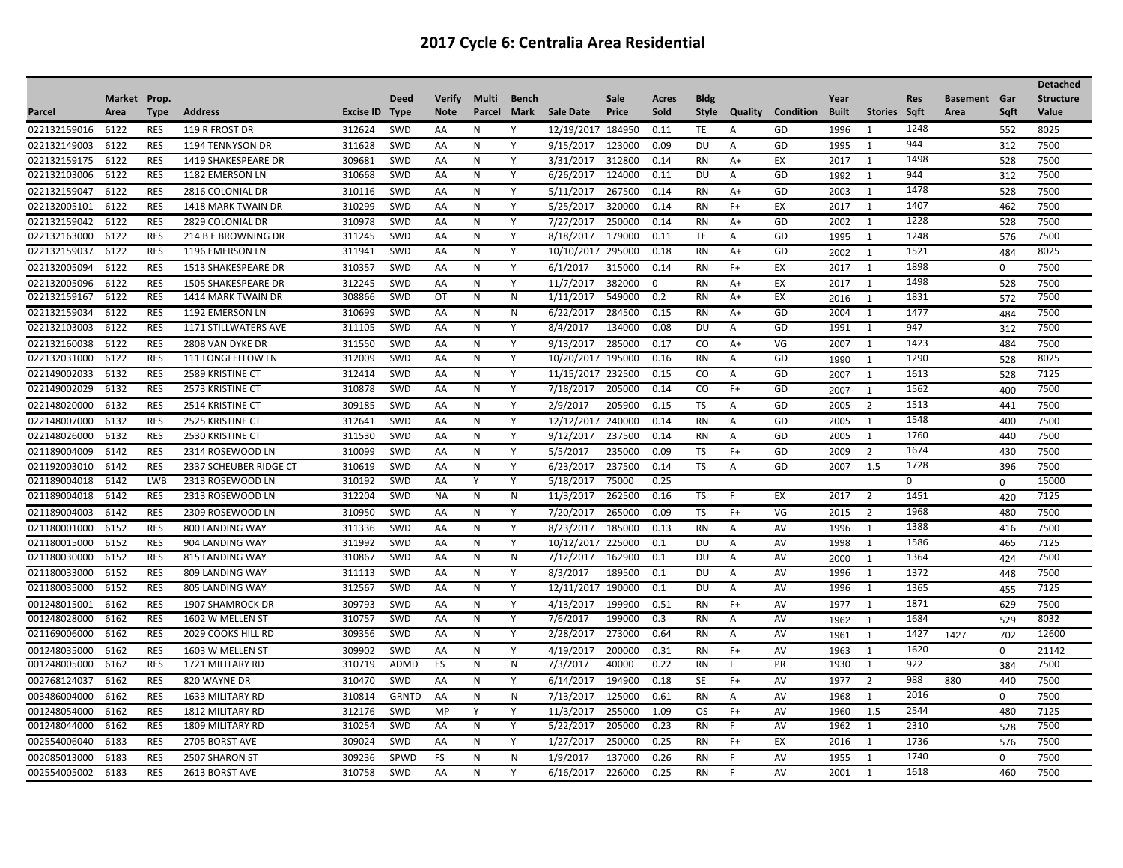|              |              |            |                             |           |              |               |              |       |            |        |          |             |         |           |              |                |            |                     |             | <b>Detached</b>  |
|--------------|--------------|------------|-----------------------------|-----------|--------------|---------------|--------------|-------|------------|--------|----------|-------------|---------|-----------|--------------|----------------|------------|---------------------|-------------|------------------|
|              | Market Prop. |            |                             |           | <b>Deed</b>  | <b>Verify</b> | Multi        | Bench |            | Sale   | Acres    | <b>Bldg</b> |         |           | Year         |                | <b>Res</b> | <b>Basement</b> Gar |             | <b>Structure</b> |
| Parcel       | Area         | Type       | <b>Address</b>              | Excise ID | <b>Type</b>  | <b>Note</b>   | Parcel       | Mark  | Sale Date  | Price  | Sold     | Style       | Quality | Condition | <b>Built</b> | Stories Sqft   |            | Area                | Sqft        | Value            |
| 022132159016 | 6122         | <b>RES</b> | 119 R FROST DR              | 312624    | <b>SWD</b>   | AA            | N            | Y     | 12/19/2017 | 184950 | 0.11     | TE          | A       | GD        | 1996         | $\mathbf{1}$   | 1248       |                     | 552         | 8025             |
| 022132149003 | 6122         | <b>RES</b> | 1194 TENNYSON DR            | 311628    | SWD          | AA            | N            | Y     | 9/15/2017  | 123000 | 0.09     | DU          | Α       | GD        | 1995         | 1              | 944        |                     | 312         | 7500             |
| 022132159175 | 6122         | <b>RES</b> | 1419 SHAKESPEARE DR         | 309681    | <b>SWD</b>   | AA            | N            | Y     | 3/31/2017  | 312800 | 0.14     | <b>RN</b>   | A+      | EX        | 2017         | 1              | 1498       |                     | 528         | 7500             |
| 022132103006 | 6122         | <b>RES</b> | 1182 EMERSON LN             | 310668    | SWD          | AA            | N            | Υ     | 6/26/2017  | 124000 | 0.11     | DU          | Α       | GD        | 1992         | -1             | 944        |                     | 312         | 7500             |
| 022132159047 | 6122         | <b>RES</b> | 2816 COLONIAL DR            | 310116    | <b>SWD</b>   | AA            | N            | Y     | 5/11/2017  | 267500 | 0.14     | <b>RN</b>   | $A+$    | GD        | 2003         | 1              | 1478       |                     | 528         | 7500             |
| 022132005101 | 6122         | <b>RES</b> | <b>1418 MARK TWAIN DR</b>   | 310299    | SWD          | AA            | N            | Y     | 5/25/2017  | 320000 | 0.14     | <b>RN</b>   | $F+$    | EX        | 2017         | 1              | 1407       |                     | 462         | 7500             |
| 022132159042 | 6122         | <b>RES</b> | 2829 COLONIAL DR            | 310978    | <b>SWD</b>   | AA            | N            | Y     | 7/27/2017  | 250000 | 0.14     | <b>RN</b>   | $A+$    | GD        | 2002         | 1              | 1228       |                     | 528         | 7500             |
| 022132163000 | 6122         | <b>RES</b> | 214 B E BROWNING DR         | 311245    | SWD          | AA            | N            | Y     | 8/18/2017  | 179000 | 0.11     | TE          | A       | GD        | 1995         | $\overline{1}$ | 1248       |                     | 576         | 7500             |
| 022132159037 | 6122         | <b>RES</b> | 1196 EMERSON LN             | 311941    | SWD          | AA            | N            | Y     | 10/10/2017 | 295000 | 0.18     | <b>RN</b>   | $A+$    | GD        | 2002         | $\overline{1}$ | 1521       |                     | 484         | 8025             |
| 022132005094 | 6122         | <b>RES</b> | 1513 SHAKESPEARE DR         | 310357    | SWD          | AA            | N            | Y     | 6/1/2017   | 315000 | 0.14     | <b>RN</b>   | $F+$    | EX        | 2017         | 1              | 1898       |                     | $\mathbf 0$ | 7500             |
| 022132005096 | 6122         | <b>RES</b> | <b>1505 SHAKESPEARE DR</b>  | 312245    | SWD          | AA            | N            | Y     | 11/7/2017  | 382000 | $\Omega$ | <b>RN</b>   | A+      | EX        | 2017         | 1              | 1498       |                     | 528         | 7500             |
| 022132159167 | 6122         | <b>RES</b> | 1414 MARK TWAIN DR          | 308866    | SWD          | OT            | N            | N     | 1/11/2017  | 549000 | 0.2      | <b>RN</b>   | $A+$    | EX        | 2016         | $\overline{1}$ | 1831       |                     | 572         | 7500             |
| 022132159034 | 6122         | <b>RES</b> | 1192 EMERSON LN             | 310699    | SWD          | AA            | N            | N     | 6/22/2017  | 284500 | 0.15     | <b>RN</b>   | A+      | GD        | 2004         | 1              | 1477       |                     | 484         | 7500             |
| 022132103003 | 6122         | <b>RES</b> | <b>1171 STILLWATERS AVE</b> | 311105    | SWD          | AA            | N            | Y     | 8/4/2017   | 134000 | 0.08     | DU          | Α       | GD        | 1991         | 1              | 947        |                     | 312         | 7500             |
| 022132160038 | 6122         | <b>RES</b> | 2808 VAN DYKE DR            | 311550    | <b>SWD</b>   | AA            | N            | Y     | 9/13/2017  | 285000 | 0.17     | CO.         | $A+$    | VG        | 2007         | 1              | 1423       |                     | 484         | 7500             |
| 022132031000 | 6122         | <b>RES</b> | 111 LONGFELLOW LN           | 312009    | SWD          | AA            | N            | Y     | 10/20/2017 | 195000 | 0.16     | <b>RN</b>   | Α       | GD        | 1990         | $\overline{1}$ | 1290       |                     | 528         | 8025             |
| 022149002033 | 6132         | <b>RES</b> | <b>2589 KRISTINE CT</b>     | 312414    | SWD          | AA            | N            | Υ     | 11/15/2017 | 232500 | 0.15     | CO          | Α       | GD        | 2007         | $\overline{1}$ | 1613       |                     | 528         | 7125             |
| 022149002029 | 6132         | <b>RES</b> | 2573 KRISTINE CT            | 310878    | SWD          | AA            | N            | Y     | 7/18/2017  | 205000 | 0.14     | CO.         | $F+$    | GD        | 2007         | $\overline{1}$ | 1562       |                     | 400         | 7500             |
| 022148020000 | 6132         | <b>RES</b> | <b>2514 KRISTINE CT</b>     | 309185    | SWD          | AA            | N            | Y     | 2/9/2017   | 205900 | 0.15     | TS          | A       | GD        | 2005         | $\overline{2}$ | 1513       |                     | 441         | 7500             |
| 022148007000 | 6132         | <b>RES</b> | <b>2525 KRISTINE CT</b>     | 312641    | <b>SWD</b>   | AA            | N            | Y     | 12/12/2017 | 240000 | 0.14     | <b>RN</b>   | Α       | GD        | 2005         | 1              | 1548       |                     | 400         | 7500             |
| 022148026000 | 6132         | <b>RES</b> | 2530 KRISTINE CT            | 311530    | <b>SWD</b>   | AA            | N            | Y     | 9/12/2017  | 237500 | 0.14     | RN          | A       | GD        | 2005         | 1              | 1760       |                     | 440         | 7500             |
| 021189004009 | 6142         | <b>RES</b> | 2314 ROSEWOOD LN            | 310099    | SWD          | AA            | N            | Y     | 5/5/2017   | 235000 | 0.09     | TS          | $F+$    | GD        | 2009         | $\overline{2}$ | 1674       |                     | 430         | 7500             |
| 021192003010 | 6142         | <b>RES</b> | 2337 SCHEUBER RIDGE CT      | 310619    | <b>SWD</b>   | AA            | N            | Y     | 6/23/2017  | 237500 | 0.14     | <b>TS</b>   | Α       | GD        | 2007         | 1.5            | 1728       |                     | 396         | 7500             |
| 021189004018 | 6142         | <b>LWB</b> | 2313 ROSEWOOD LN            | 310192    | SWD          | AA            | Υ            | Y     | 5/18/2017  | 75000  | 0.25     |             |         |           |              |                | 0          |                     | $\Omega$    | 15000            |
| 021189004018 | 6142         | <b>RES</b> | 2313 ROSEWOOD LN            | 312204    | SWD          | ΝA            | N            | N     | 11/3/2017  | 262500 | 0.16     | TS          | F       | EX        | 2017         | $\overline{2}$ | 1451       |                     | 420         | 7125             |
| 021189004003 | 6142         | <b>RES</b> | 2309 ROSEWOOD LN            | 310950    | <b>SWD</b>   | AA            | N            | Y     | 7/20/2017  | 265000 | 0.09     | TS          | $F+$    | VG        | 2015         | 2              | 1968       |                     | 480         | 7500             |
| 021180001000 | 6152         | <b>RES</b> | 800 LANDING WAY             | 311336    | SWD          | AA            | $\mathsf{N}$ | Y     | 8/23/2017  | 185000 | 0.13     | <b>RN</b>   | A       | AV        | 1996         | 1              | 1388       |                     | 416         | 7500             |
| 021180015000 | 6152         | <b>RES</b> | 904 LANDING WAY             | 311992    | <b>SWD</b>   | AA            | N            | Y     | 10/12/2017 | 225000 | 0.1      | DU          | Α       | AV        | 1998         | 1              | 1586       |                     | 465         | 7125             |
| 021180030000 | 6152         | <b>RES</b> | <b>815 LANDING WAY</b>      | 310867    | SWD          | AA            | N            | N     | 7/12/2017  | 162900 | 0.1      | DU          | Α       | AV        | 2000         | $\overline{1}$ | 1364       |                     | 424         | 7500             |
| 021180033000 | 6152         | <b>RES</b> | 809 LANDING WAY             | 311113    | SWD          | AA            | N            | Y     | 8/3/2017   | 189500 | 0.1      | DU          | A       | AV        | 1996         | 1              | 1372       |                     | 448         | 7500             |
| 021180035000 | 6152         | <b>RES</b> | 805 LANDING WAY             | 312567    | SWD          | AA            | N            | Y     | 12/11/2017 | 190000 | 0.1      | DU          | Α       | AV        | 1996         | 1              | 1365       |                     | 455         | 7125             |
| 001248015001 | 6162         | <b>RES</b> | <b>1907 SHAMROCK DR</b>     | 309793    | <b>SWD</b>   | AA            | N            | Y     | 4/13/2017  | 199900 | 0.51     | <b>RN</b>   | $F+$    | AV        | 1977         | 1              | 1871       |                     | 629         | 7500             |
| 001248028000 | 6162         | <b>RES</b> | 1602 W MELLEN ST            | 310757    | SWD          | AA            | N            | Y     | 7/6/2017   | 199000 | 0.3      | <b>RN</b>   | Α       | AV        | 1962         | $\overline{1}$ | 1684       |                     | 529         | 8032             |
| 021169006000 | 6162         | <b>RES</b> | 2029 COOKS HILL RD          | 309356    | SWD          | AA            | N            | Y     | 2/28/2017  | 273000 | 0.64     | RN          | Α       | AV        | 1961         | $\overline{1}$ | 1427       | 1427                | 702         | 12600            |
| 001248035000 | 6162         | <b>RES</b> | 1603 W MELLEN ST            | 309902    | SWD          | AA            | N            | Y     | 4/19/2017  | 200000 | 0.31     | <b>RN</b>   | $F+$    | AV        | 1963         | 1              | 1620       |                     | $\mathbf 0$ | 21142            |
| 001248005000 | 6162         | <b>RES</b> | 1721 MILITARY RD            | 310719    | <b>ADMD</b>  | ES            | N            | N     | 7/3/2017   | 40000  | 0.22     | <b>RN</b>   |         | PR        | 1930         | 1              | 922        |                     | 384         | 7500             |
| 002768124037 | 6162         | <b>RES</b> | 820 WAYNE DR                | 310470    | SWD          | AA            | N            | Y     | 6/14/2017  | 194900 | 0.18     | <b>SE</b>   | $F+$    | AV        | 1977         | 2              | 988        | 880                 | 440         | 7500             |
| 003486004000 | 6162         | <b>RES</b> | 1633 MILITARY RD            | 310814    | <b>GRNTD</b> | AA            | N            | N     | 7/13/2017  | 125000 | 0.61     | <b>RN</b>   | A       | AV        | 1968         | 1              | 2016       |                     | $\Omega$    | 7500             |
| 001248054000 | 6162         | <b>RES</b> | <b>1812 MILITARY RD</b>     | 312176    | SWD          | MP            | Y            | Y     | 11/3/2017  | 255000 | 1.09     | OS          | $F+$    | AV        | 1960         | 1.5            | 2544       |                     | 480         | 7125             |
| 001248044000 | 6162         | <b>RES</b> | 1809 MILITARY RD            | 310254    | SWD          | AA            | N            | Y     | 5/22/2017  | 205000 | 0.23     | <b>RN</b>   |         | AV        | 1962         | $\mathbf{1}$   | 2310       |                     | 528         | 7500             |
| 002554006040 | 6183         | <b>RES</b> | 2705 BORST AVE              | 309024    | SWD          | AA            | N            | Y     | 1/27/2017  | 250000 | 0.25     | <b>RN</b>   | $F+$    | EX        | 2016         | 1              | 1736       |                     | 576         | 7500             |
| 002085013000 | 6183         | <b>RES</b> | 2507 SHARON ST              | 309236    | SPWD         | FS            | N            | N     | 1/9/2017   | 137000 | 0.26     | <b>RN</b>   | F       | AV        | 1955         | 1              | 1740       |                     | $\Omega$    | 7500             |
| 002554005002 | 6183         | <b>RES</b> | 2613 BORST AVE              | 310758    | SWD          | AA            | $\mathsf{N}$ | Y     | 6/16/2017  | 226000 | 0.25     | <b>RN</b>   | F       | AV        | 2001         | 1              | 1618       |                     | 460         | 7500             |
|              |              |            |                             |           |              |               |              |       |            |        |          |             |         |           |              |                |            |                     |             |                  |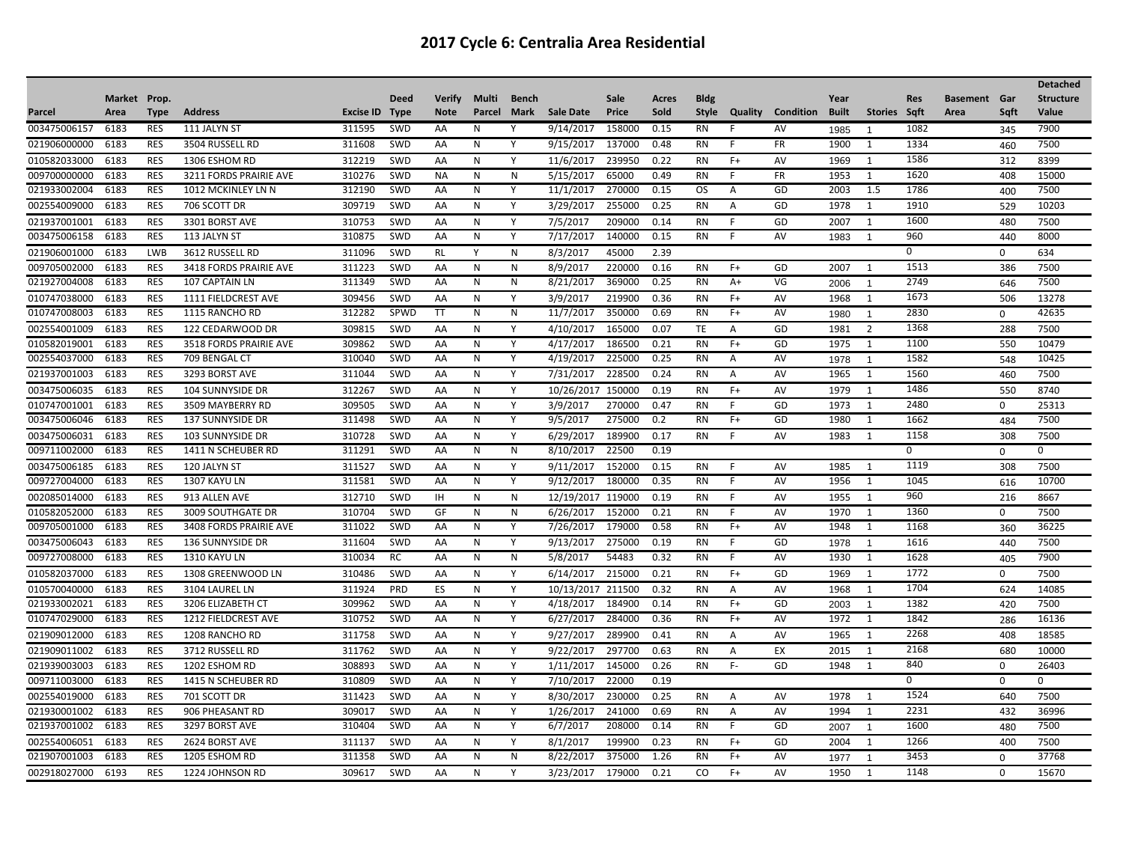|              |              |             |                               |           |             |               |              |              |                   |        |       |             |                |                  |              |                |            |                     |             | <b>Detached</b>  |
|--------------|--------------|-------------|-------------------------------|-----------|-------------|---------------|--------------|--------------|-------------------|--------|-------|-------------|----------------|------------------|--------------|----------------|------------|---------------------|-------------|------------------|
|              | Market Prop. |             |                               |           | <b>Deed</b> | <b>Verify</b> | Multi        | <b>Bench</b> |                   | Sale   | Acres | <b>Bldg</b> |                |                  | Year         |                | <b>Res</b> | <b>Basement Gar</b> |             | <b>Structure</b> |
| Parcel       | Area         | <b>Type</b> | <b>Address</b>                | Excise ID | <b>Type</b> | <b>Note</b>   | Parcel       | Mark         | <b>Sale Date</b>  | Price  | Sold  | Style       | Quality        | <b>Condition</b> | <b>Built</b> | <b>Stories</b> | Saft       | Area                | Saft        | Value            |
| 003475006157 | 6183         | <b>RES</b>  | 111 JALYN ST                  | 311595    | SWD         | AA            | N            | Υ            | 9/14/2017         | 158000 | 0.15  | <b>RN</b>   |                | AV               | 1985         | -1             | 1082       |                     | 345         | 7900             |
| 021906000000 | 6183         | <b>RES</b>  | 3504 RUSSELL RD               | 311608    | SWD         | AA            | N            | Y            | 9/15/2017         | 137000 | 0.48  | <b>RN</b>   | F              | FR               | 1900         | 1              | 1334       |                     | 460         | 7500             |
| 010582033000 | 6183         | <b>RES</b>  | 1306 ESHOM RD                 | 312219    | SWD         | AA            | N            | Y            | 11/6/2017         | 239950 | 0.22  | <b>RN</b>   | $F+$           | AV               | 1969         | 1              | 1586       |                     | 312         | 8399             |
| 009700000000 | 6183         | <b>RES</b>  | 3211 FORDS PRAIRIE AVE        | 310276    | SWD         | <b>NA</b>     | N            | N            | 5/15/2017         | 65000  | 0.49  | <b>RN</b>   | F              | <b>FR</b>        | 1953         | 1              | 1620       |                     | 408         | 15000            |
| 021933002004 | 6183         | <b>RES</b>  | 1012 MCKINLEY LN N            | 312190    | SWD         | AA            | N            | Y            | 11/1/2017         | 270000 | 0.15  | <b>OS</b>   | $\overline{A}$ | GD               | 2003         | 1.5            | 1786       |                     | 400         | 7500             |
| 002554009000 | 6183         | <b>RES</b>  | 706 SCOTT DR                  | 309719    | SWD         | AA            | N            | Y            | 3/29/2017         | 255000 | 0.25  | <b>RN</b>   | A              | GD               | 1978         | 1              | 1910       |                     | 529         | 10203            |
| 021937001001 | 6183         | <b>RES</b>  | 3301 BORST AVE                | 310753    | SWD         | AA            | N            | Y            | 7/5/2017          | 209000 | 0.14  | <b>RN</b>   | F              | GD               | 2007         | 1              | 1600       |                     | 480         | 7500             |
| 003475006158 | 6183         | <b>RES</b>  | 113 JALYN ST                  | 310875    | SWD         | AA            | N            | Y            | 7/17/2017         | 140000 | 0.15  | <b>RN</b>   | F              | AV               | 1983         | $\overline{1}$ | 960        |                     | 440         | 8000             |
| 021906001000 | 6183         | LWB         | 3612 RUSSELL RD               | 311096    | <b>SWD</b>  | <b>RL</b>     | Y            | $\mathsf{N}$ | 8/3/2017          | 45000  | 2.39  |             |                |                  |              |                | 0          |                     | $\Omega$    | 634              |
| 009705002000 | 6183         | <b>RES</b>  | 3418 FORDS PRAIRIE AVE        | 311223    | <b>SWD</b>  | AA            | N            | $\mathsf{N}$ | 8/9/2017          | 220000 | 0.16  | RN          | $F+$           | GD               | 2007         | 1              | 1513       |                     | 386         | 7500             |
| 021927004008 | 6183         | <b>RES</b>  | 107 CAPTAIN LN                | 311349    | SWD         | AA            | N            | $\mathsf{N}$ | 8/21/2017         | 369000 | 0.25  | <b>RN</b>   | $A+$           | VG               | 2006         | $\overline{1}$ | 2749       |                     | 646         | 7500             |
| 010747038000 | 6183         | <b>RES</b>  | 1111 FIELDCREST AVE           | 309456    | SWD         | AA            | N            | Y            | 3/9/2017          | 219900 | 0.36  | <b>RN</b>   | $F+$           | AV               | 1968         | 1              | 1673       |                     | 506         | 13278            |
| 010747008003 | 6183         | <b>RES</b>  | 1115 RANCHO RD                | 312282    | SPWD        | <b>TT</b>     | N            | $\mathsf{N}$ | 11/7/2017         | 350000 | 0.69  | <b>RN</b>   | $F+$           | AV               | 1980         | $\overline{1}$ | 2830       |                     | 0           | 42635            |
| 002554001009 | 6183         | <b>RES</b>  | 122 CEDARWOOD DR              | 309815    | SWD         | AA            | N            | Y            | 4/10/2017         | 165000 | 0.07  | TE          | Α              | GD               | 1981         | $\overline{2}$ | 1368       |                     | 288         | 7500             |
| 010582019001 | 6183         | <b>RES</b>  | <b>3518 FORDS PRAIRIE AVE</b> | 309862    | SWD         | AA            | N            | Y            | 4/17/2017         | 186500 | 0.21  | <b>RN</b>   | $F+$           | GD               | 1975         | 1              | 1100       |                     | 550         | 10479            |
| 002554037000 | 6183         | <b>RES</b>  | 709 BENGAL CT                 | 310040    | SWD         | AA            | N            | Y            | 4/19/2017         | 225000 | 0.25  | <b>RN</b>   | $\overline{A}$ | <b>AV</b>        | 1978         | $\overline{1}$ | 1582       |                     | 548         | 10425            |
| 021937001003 | 6183         | <b>RES</b>  | 3293 BORST AVE                | 311044    | SWD         | AA            | N            | Y            | 7/31/2017         | 228500 | 0.24  | <b>RN</b>   | Α              | AV               | 1965         | 1              | 1560       |                     | 460         | 7500             |
| 003475006035 | 6183         | <b>RES</b>  | <b>104 SUNNYSIDE DR</b>       | 312267    | SWD         | AA            | N            | Y            | 10/26/2017 150000 |        | 0.19  | <b>RN</b>   | $F+$           | AV               | 1979         | 1              | 1486       |                     | 550         | 8740             |
| 010747001001 | 6183         | <b>RES</b>  | 3509 MAYBERRY RD              | 309505    | <b>SWD</b>  | AA            | N            | Y            | 3/9/2017          | 270000 | 0.47  | <b>RN</b>   | F              | GD               | 1973         | 1              | 2480       |                     | $\Omega$    | 25313            |
| 003475006046 | 6183         | <b>RES</b>  | 137 SUNNYSIDE DR              | 311498    | SWD         | AA            | N            | Y            | 9/5/2017          | 275000 | 0.2   | <b>RN</b>   | $F+$           | GD               | 1980         | 1              | 1662       |                     | 484         | 7500             |
| 003475006031 | 6183         | <b>RES</b>  | <b>103 SUNNYSIDE DR</b>       | 310728    | <b>SWD</b>  | AA            | N            | Y            | 6/29/2017         | 189900 | 0.17  | RN          | F              | AV               | 1983         | 1              | 1158       |                     | 308         | 7500             |
| 009711002000 | 6183         | <b>RES</b>  | 1411 N SCHEUBER RD            | 311291    | SWD         | AA            | N            | N            | 8/10/2017         | 22500  | 0.19  |             |                |                  |              |                | 0          |                     | $\mathbf 0$ | $\mathbf 0$      |
| 003475006185 | 6183         | <b>RES</b>  | 120 JALYN ST                  | 311527    | <b>SWD</b>  | AA            | N            | Y            | 9/11/2017         | 152000 | 0.15  | <b>RN</b>   |                | AV               | 1985         | 1              | 1119       |                     | 308         | 7500             |
| 009727004000 | 6183         | <b>RES</b>  | 1307 KAYU LN                  | 311581    | SWD         | AA            | N            | Y            | 9/12/2017         | 180000 | 0.35  | <b>RN</b>   | F              | AV               | 1956         | 1              | 1045       |                     | 616         | 10700            |
| 002085014000 | 6183         | <b>RES</b>  | 913 ALLEN AVE                 | 312710    | <b>SWD</b>  | 1H            | N            | N            | 12/19/2017        | 119000 | 0.19  | <b>RN</b>   | F              | AV               | 1955         | 1              | 960        |                     | 216         | 8667             |
| 010582052000 | 6183         | <b>RES</b>  | 3009 SOUTHGATE DR             | 310704    | SWD         | GF            | N            | N            | 6/26/2017         | 152000 | 0.21  | <b>RN</b>   | F              | AV               | 1970         | 1              | 1360       |                     | 0           | 7500             |
| 009705001000 | 6183         | <b>RES</b>  | <b>3408 FORDS PRAIRIE AVE</b> | 311022    | SWD         | AA            | N            | Y            | 7/26/2017         | 179000 | 0.58  | <b>RN</b>   | $F+$           | AV               | 1948         | 1              | 1168       |                     | 360         | 36225            |
| 003475006043 | 6183         | <b>RES</b>  | 136 SUNNYSIDE DR              | 311604    | SWD         | AA            | N            | Y            | 9/13/2017         | 275000 | 0.19  | <b>RN</b>   | F              | GD               | 1978         | $\overline{1}$ | 1616       |                     | 440         | 7500             |
| 009727008000 | 6183         | <b>RES</b>  | 1310 KAYU LN                  | 310034    | <b>RC</b>   | AA            | N            | N            | 5/8/2017          | 54483  | 0.32  | <b>RN</b>   | F              | AV               | 1930         | 1              | 1628       |                     | 405         | 7900             |
| 010582037000 | 6183         | <b>RES</b>  | 1308 GREENWOOD LN             | 310486    | SWD         | AA            | N            | Y            | 6/14/2017         | 215000 | 0.21  | RN          | $F+$           | GD               | 1969         | 1              | 1772       |                     | $\mathbf 0$ | 7500             |
| 010570040000 | 6183         | <b>RES</b>  | 3104 LAUREL LN                | 311924    | <b>PRD</b>  | ES            | N            | Y            | 10/13/2017        | 211500 | 0.32  | <b>RN</b>   | A              | AV               | 1968         | 1              | 1704       |                     | 624         | 14085            |
| 021933002021 | 6183         | <b>RES</b>  | 3206 ELIZABETH CT             | 309962    | SWD         | AA            | N            | Y            | 4/18/2017         | 184900 | 0.14  | <b>RN</b>   | $F+$           | GD               | 2003         | -1             | 1382       |                     | 420         | 7500             |
| 010747029000 | 6183         | <b>RES</b>  | 1212 FIELDCREST AVE           | 310752    | SWD         | AA            | N            | Y            | 6/27/2017         | 284000 | 0.36  | <b>RN</b>   | $F+$           | AV               | 1972         | 1              | 1842       |                     | 286         | 16136            |
| 021909012000 | 6183         | <b>RES</b>  | 1208 RANCHO RD                | 311758    | SWD         | AA            | N            | Y            | 9/27/2017         | 289900 | 0.41  | <b>RN</b>   | Α              | AV               | 1965         | 1              | 2268       |                     | 408         | 18585            |
| 021909011002 | 6183         | <b>RES</b>  | 3712 RUSSELL RD               | 311762    | SWD         | AA            | N            | Y            | 9/22/2017         | 297700 | 0.63  | <b>RN</b>   | Α              | EX               | 2015         | 1              | 2168       |                     | 680         | 10000            |
| 021939003003 | 6183         | <b>RES</b>  | 1202 ESHOM RD                 | 308893    | <b>SWD</b>  | AA            | N            | Y            | 1/11/2017         | 145000 | 0.26  | <b>RN</b>   | F-             | GD               | 1948         | 1              | 840        |                     | 0           | 26403            |
| 009711003000 | 6183         | <b>RES</b>  | 1415 N SCHEUBER RD            | 310809    | SWD         | AA            | N            | Y            | 7/10/2017         | 22000  | 0.19  |             |                |                  |              |                | 0          |                     | 0           | $\mathbf 0$      |
| 002554019000 | 6183         | <b>RES</b>  | 701 SCOTT DR                  | 311423    | <b>SWD</b>  | AA            | N            | Y            | 8/30/2017         | 230000 | 0.25  | RN          | Α              | AV               | 1978         | 1              | 1524       |                     | 640         | 7500             |
| 021930001002 | 6183         | <b>RES</b>  | 906 PHEASANT RD               | 309017    | SWD         | AA            | $\mathsf{N}$ | Y            | 1/26/2017         | 241000 | 0.69  | <b>RN</b>   | Α              | AV               | 1994         | 1              | 2231       |                     | 432         | 36996            |
| 021937001002 | 6183         | <b>RES</b>  | 3297 BORST AVE                | 310404    | SWD         | AA            | N            | Y            | 6/7/2017          | 208000 | 0.14  | <b>RN</b>   |                | GD               | 2007         | -1             | 1600       |                     | 480         | 7500             |
| 002554006051 | 6183         | <b>RES</b>  | 2624 BORST AVE                | 311137    | SWD         | AA            | N            | Y            | 8/1/2017          | 199900 | 0.23  | <b>RN</b>   | $F+$           | GD               | 2004         | 1              | 1266       |                     | 400         | 7500             |
| 021907001003 | 6183         | <b>RES</b>  | 1205 ESHOM RD                 | 311358    | <b>SWD</b>  | AA            | N            | N            | 8/22/2017         | 375000 | 1.26  | <b>RN</b>   | $F+$           | AV               | 1977         | $\overline{1}$ | 3453       |                     | $\Omega$    | 37768            |
| 002918027000 | 6193         | <b>RES</b>  | 1224 JOHNSON RD               | 309617    | SWD         | AA            | $\mathsf{N}$ | Y            | 3/23/2017         | 179000 | 0.21  | CO          | $F+$           | AV               | 1950         | 1              | 1148       |                     | $\mathbf 0$ | 15670            |
|              |              |             |                               |           |             |               |              |              |                   |        |       |             |                |                  |              |                |            |                     |             |                  |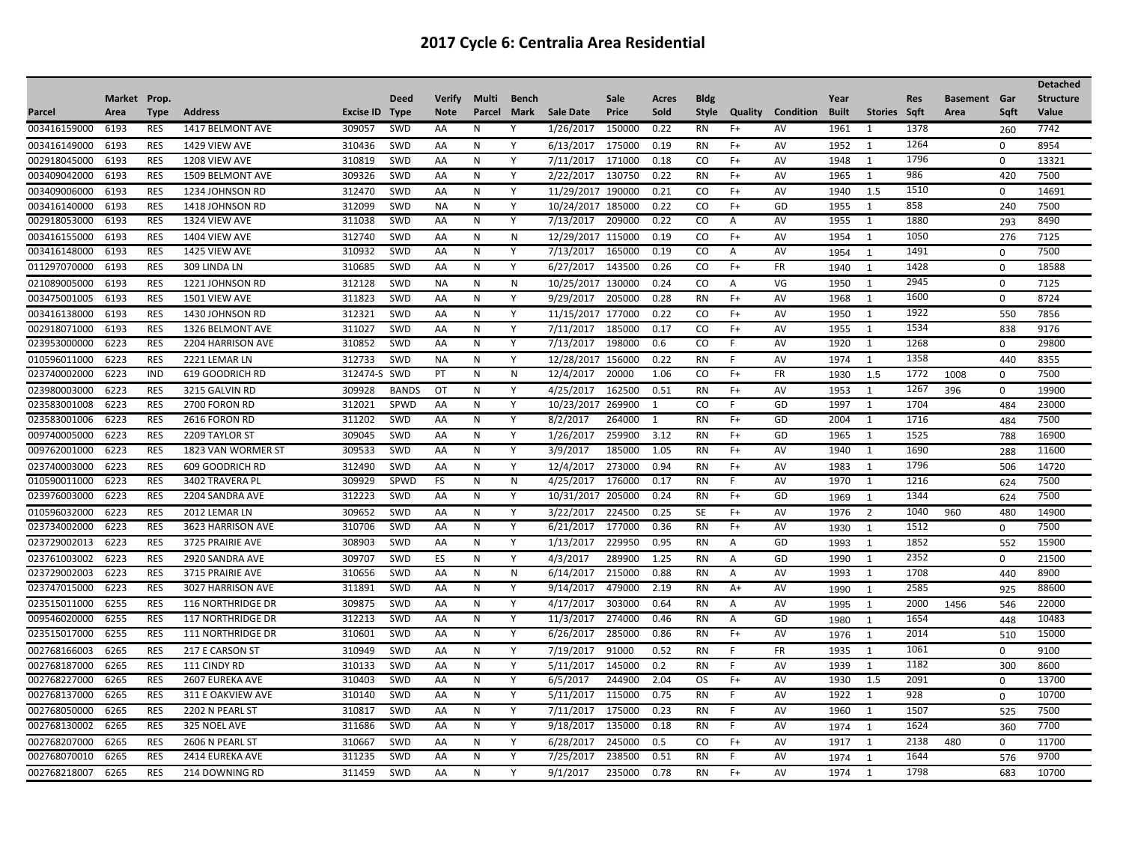|              |              |            |                          |              |              |               |        |              |            |        |       |               |                |           |              |                |            |                     |             | <b>Detached</b>  |
|--------------|--------------|------------|--------------------------|--------------|--------------|---------------|--------|--------------|------------|--------|-------|---------------|----------------|-----------|--------------|----------------|------------|---------------------|-------------|------------------|
|              | Market Prop. |            |                          |              | <b>Deed</b>  | <b>Verify</b> | Multi  | <b>Bench</b> |            | Sale   | Acres | <b>Bldg</b>   |                |           | Year         |                | <b>Res</b> | <b>Basement</b> Gar |             | <b>Structure</b> |
| Parcel       | Area         | Type       | <b>Address</b>           | Excise ID    | <b>Type</b>  | <b>Note</b>   | Parcel | Mark         | Sale Date  | Price  | Sold  | Style         | Quality        | Condition | <b>Built</b> | Stories Sqft   |            | Area                | Sqft        | Value            |
| 003416159000 | 6193         | <b>RES</b> | 1417 BELMONT AVE         | 309057       | SWD          | AA            | N      | Υ            | 1/26/2017  | 150000 | 0.22  | <b>RN</b>     | $F+$           | AV        | 1961         | 1              | 1378       |                     | 260         | 7742             |
| 003416149000 | 6193         | <b>RES</b> | 1429 VIEW AVE            | 310436       | SWD          | AA            | N      | Y            | 6/13/2017  | 175000 | 0.19  | RN            | F+             | AV        | 1952         | 1              | 1264       |                     | 0           | 8954             |
| 002918045000 | 6193         | <b>RES</b> | 1208 VIEW AVE            | 310819       | SWD          | AA            | N      | Y            | 7/11/2017  | 171000 | 0.18  | CO.           | $F+$           | AV        | 1948         | 1              | 1796       |                     | $\Omega$    | 13321            |
| 003409042000 | 6193         | <b>RES</b> | 1509 BELMONT AVE         | 309326       | SWD          | AA            | N      | Y            | 2/22/2017  | 130750 | 0.22  | <b>RN</b>     | $F+$           | AV        | 1965         | 1              | 986        |                     | 420         | 7500             |
| 003409006000 | 6193         | <b>RES</b> | 1234 JOHNSON RD          | 312470       | <b>SWD</b>   | AA            | N      | Y            | 11/29/2017 | 190000 | 0.21  | CO            | F+             | AV        | 1940         | 1.5            | 1510       |                     | 0           | 14691            |
| 003416140000 | 6193         | <b>RES</b> | 1418 JOHNSON RD          | 312099       | SWD          | <b>NA</b>     | N      | Y            | 10/24/2017 | 185000 | 0.22  | <sub>co</sub> | $F+$           | GD        | 1955         | 1              | 858        |                     | 240         | 7500             |
| 002918053000 | 6193         | <b>RES</b> | 1324 VIEW AVE            | 311038       | SWD          | AA            | N      | Y            | 7/13/2017  | 209000 | 0.22  | CO            | Α              | AV        | 1955         | 1              | 1880       |                     | 293         | 8490             |
| 003416155000 | 6193         | <b>RES</b> | 1404 VIEW AVE            | 312740       | SWD          | AA            | N      | $\mathsf{N}$ | 12/29/2017 | 115000 | 0.19  | CO            | $F+$           | AV        | 1954         | 1              | 1050       |                     | 276         | 7125             |
| 003416148000 | 6193         | <b>RES</b> | 1425 VIEW AVE            | 310932       | SWD          | AA            | N      | Y            | 7/13/2017  | 165000 | 0.19  | CO            | Α              | AV        | 1954         | $\overline{1}$ | 1491       |                     | $\mathbf 0$ | 7500             |
| 011297070000 | 6193         | <b>RES</b> | 309 LINDA LN             | 310685       | SWD          | AA            | N      | Y            | 6/27/2017  | 143500 | 0.26  | CO            | $F+$           | FR        | 1940         | $\overline{1}$ | 1428       |                     | $\mathbf 0$ | 18588            |
| 021089005000 | 6193         | <b>RES</b> | 1221 JOHNSON RD          | 312128       | SWD          | <b>NA</b>     | N      | N            | 10/25/2017 | 130000 | 0.24  | CO            | Α              | VG        | 1950         | 1              | 2945       |                     | $\Omega$    | 7125             |
| 003475001005 | 6193         | <b>RES</b> | 1501 VIEW AVE            | 311823       | <b>SWD</b>   | AA            | N      | Y            | 9/29/2017  | 205000 | 0.28  | <b>RN</b>     | $F+$           | AV        | 1968         | 1              | 1600       |                     | $\mathbf 0$ | 8724             |
| 003416138000 | 6193         | <b>RES</b> | 1430 JOHNSON RD          | 312321       | SWD          | AA            | N      | Y            | 11/15/2017 | 177000 | 0.22  | CO.           | $F+$           | AV        | 1950         | 1              | 1922       |                     | 550         | 7856             |
| 002918071000 | 6193         | <b>RES</b> | 1326 BELMONT AVE         | 311027       | SWD          | AA            | N      | Y            | 7/11/2017  | 185000 | 0.17  | CO            | $F+$           | AV        | 1955         | 1              | 1534       |                     | 838         | 9176             |
| 023953000000 | 6223         | <b>RES</b> | 2204 HARRISON AVE        | 310852       | SWD          | AA            | N      | Y            | 7/13/2017  | 198000 | 0.6   | CO            |                | AV        | 1920         | 1              | 1268       |                     | 0           | 29800            |
| 010596011000 | 6223         | <b>RES</b> | 2221 LEMAR LN            | 312733       | SWD          | <b>NA</b>     | N      | Y            | 12/28/2017 | 156000 | 0.22  | <b>RN</b>     | F              | AV        | 1974         | 1              | 1358       |                     | 440         | 8355             |
| 023740002000 | 6223         | <b>IND</b> | 619 GOODRICH RD          | 312474-S SWD |              | PT            | N      | N            | 12/4/2017  | 20000  | 1.06  | CO            | $F+$           | <b>FR</b> | 1930         | 1.5            | 1772       | 1008                | $\mathbf 0$ | 7500             |
| 023980003000 | 6223         | <b>RES</b> | 3215 GALVIN RD           | 309928       | <b>BANDS</b> | OT            | N      | Y            | 4/25/2017  | 162500 | 0.51  | RN            | $F+$           | AV        | 1953         | 1              | 1267       | 396                 | 0           | 19900            |
| 023583001008 | 6223         | <b>RES</b> | 2700 FORON RD            | 312021       | SPWD         | AA            | N      | Y            | 10/23/2017 | 269900 | 1     | <sub>co</sub> | F              | GD        | 1997         | 1              | 1704       |                     | 484         | 23000            |
| 023583001006 | 6223         | <b>RES</b> | 2616 FORON RD            | 311202       | SWD          | AA            | N      | Y            | 8/2/2017   | 264000 | 1     | <b>RN</b>     | $F+$           | GD        | 2004         | 1              | 1716       |                     | 484         | 7500             |
| 009740005000 | 6223         | <b>RES</b> | 2209 TAYLOR ST           | 309045       | SWD          | AA            | N      | Y            | 1/26/2017  | 259900 | 3.12  | <b>RN</b>     | $F+$           | GD        | 1965         | 1              | 1525       |                     | 788         | 16900            |
| 009762001000 | 6223         | <b>RES</b> | 1823 VAN WORMER ST       | 309533       | SWD          | AA            | N      | Y            | 3/9/2017   | 185000 | 1.05  | <b>RN</b>     | $F+$           | AV        | 1940         | 1              | 1690       |                     | 288         | 11600            |
| 023740003000 | 6223         | <b>RES</b> | 609 GOODRICH RD          | 312490       | SWD          | AA            | N      | Y            | 12/4/2017  | 273000 | 0.94  | <b>RN</b>     | $F+$           | AV        | 1983         | 1              | 1796       |                     | 506         | 14720            |
| 010590011000 | 6223         | <b>RES</b> | 3402 TRAVERA PL          | 309929       | <b>SPWD</b>  | FS            | N      | N            | 4/25/2017  | 176000 | 0.17  | <b>RN</b>     | F              | AV        | 1970         | 1              | 1216       |                     | 624         | 7500             |
| 023976003000 | 6223         | <b>RES</b> | 2204 SANDRA AVE          | 312223       | SWD          | AA            | N      | Y            | 10/31/2017 | 205000 | 0.24  | <b>RN</b>     | F+             | GD        | 1969         | $\overline{1}$ | 1344       |                     | 624         | 7500             |
| 010596032000 | 6223         | <b>RES</b> | 2012 LEMAR LN            | 309652       | <b>SWD</b>   | AA            | N      | Y            | 3/22/2017  | 224500 | 0.25  | SE            | F+             | AV        | 1976         | 2              | 1040       | 960                 | 480         | 14900            |
| 023734002000 | 6223         | <b>RES</b> | 3623 HARRISON AVE        | 310706       | SWD          | AA            | N      | Y            | 6/21/2017  | 177000 | 0.36  | <b>RN</b>     | $F+$           | AV        | 1930         | $\overline{1}$ | 1512       |                     | $\mathbf 0$ | 7500             |
| 023729002013 | 6223         | <b>RES</b> | 3725 PRAIRIE AVE         | 308903       | SWD          | AA            | N      | Y            | 1/13/2017  | 229950 | 0.95  | <b>RN</b>     | Α              | GD        | 1993         | $\overline{1}$ | 1852       |                     | 552         | 15900            |
| 023761003002 | 6223         | <b>RES</b> | 2920 SANDRA AVE          | 309707       | SWD          | ES            | N      | Y            | 4/3/2017   | 289900 | 1.25  | <b>RN</b>     | $\overline{A}$ | GD        | 1990         | 1              | 2352       |                     | 0           | 21500            |
| 023729002003 | 6223         | <b>RES</b> | 3715 PRAIRIE AVE         | 310656       | <b>SWD</b>   | AA            | N      | N            | 6/14/2017  | 215000 | 0.88  | <b>RN</b>     | A              | AV        | 1993         | 1              | 1708       |                     | 440         | 8900             |
| 023747015000 | 6223         | <b>RES</b> | 3027 HARRISON AVE        | 311891       | SWD          | AA            | N      | Y            | 9/14/2017  | 479000 | 2.19  | <b>RN</b>     | $A+$           | AV        | 1990         | $\overline{1}$ | 2585       |                     | 925         | 88600            |
| 023515011000 | 6255         | <b>RES</b> | <b>116 NORTHRIDGE DR</b> | 309875       | SWD          | AA            | N      | Y            | 4/17/2017  | 303000 | 0.64  | RN            | Α              | AV        | 1995         | -1             | 2000       | 1456                | 546         | 22000            |
| 009546020000 | 6255         | <b>RES</b> | <b>117 NORTHRIDGE DR</b> | 312213       | SWD          | AA            | N      | Y            | 11/3/2017  | 274000 | 0.46  | <b>RN</b>     | Α              | GD        | 1980         | $\overline{1}$ | 1654       |                     | 448         | 10483            |
| 023515017000 | 6255         | <b>RES</b> | <b>111 NORTHRIDGE DR</b> | 310601       | SWD          | AA            | N      | Y            | 6/26/2017  | 285000 | 0.86  | <b>RN</b>     | $F+$           | AV        | 1976         | $\overline{1}$ | 2014       |                     | 510         | 15000            |
| 002768166003 | 6265         | <b>RES</b> | 217 E CARSON ST          | 310949       | SWD          | AA            | N      | Y            | 7/19/2017  | 91000  | 0.52  | <b>RN</b>     | F              | <b>FR</b> | 1935         | 1              | 1061       |                     | $\mathbf 0$ | 9100             |
| 002768187000 | 6265         | <b>RES</b> | 111 CINDY RD             | 310133       | SWD          | AA            | N      | Y            | 5/11/2017  | 145000 | 0.2   | <b>RN</b>     | F              | AV        | 1939         | 1              | 1182       |                     | 300         | 8600             |
| 002768227000 | 6265         | <b>RES</b> | <b>2607 EUREKA AVE</b>   | 310403       | SWD          | AA            | N      | Y            | 6/5/2017   | 244900 | 2.04  | OS.           | $F+$           | AV        | 1930         | 1.5            | 2091       |                     | $\mathbf 0$ | 13700            |
| 002768137000 | 6265         | <b>RES</b> | 311 E OAKVIEW AVE        | 310140       | SWD          | AA            | N      | Y            | 5/11/2017  | 115000 | 0.75  | <b>RN</b>     | F              | AV        | 1922         | 1              | 928        |                     | $\Omega$    | 10700            |
| 002768050000 | 6265         | <b>RES</b> | 2202 N PEARL ST          | 310817       | SWD          | AA            | N      | Y            | 7/11/2017  | 175000 | 0.23  | <b>RN</b>     | F              | AV        | 1960         | $\mathbf{1}$   | 1507       |                     | 525         | 7500             |
| 002768130002 | 6265         | <b>RES</b> | 325 NOEL AVE             | 311686       | SWD          | AA            | N      | Y            | 9/18/2017  | 135000 | 0.18  | <b>RN</b>     | F              | AV        | 1974         | -1             | 1624       |                     | 360         | 7700             |
| 002768207000 | 6265         | <b>RES</b> | 2606 N PEARL ST          | 310667       | SWD          | AA            | N      | Y            | 6/28/2017  | 245000 | 0.5   | CO            | $F+$           | AV        | 1917         | 1              | 2138       | 480                 | 0           | 11700            |
| 002768070010 | 6265         | <b>RES</b> | 2414 EUREKA AVE          | 311235       | <b>SWD</b>   | AA            | N      | Y            | 7/25/2017  | 238500 | 0.51  | <b>RN</b>     | F              | AV        | 1974         | $\overline{1}$ | 1644       |                     | 576         | 9700             |
| 002768218007 | 6265         | <b>RES</b> | 214 DOWNING RD           | 311459       | SWD          | AA            | N      | Y            | 9/1/2017   | 235000 | 0.78  | <b>RN</b>     | $F+$           | AV        | 1974         | 1              | 1798       |                     | 683         | 10700            |
|              |              |            |                          |              |              |               |        |              |            |        |       |               |                |           |              |                |            |                     |             |                  |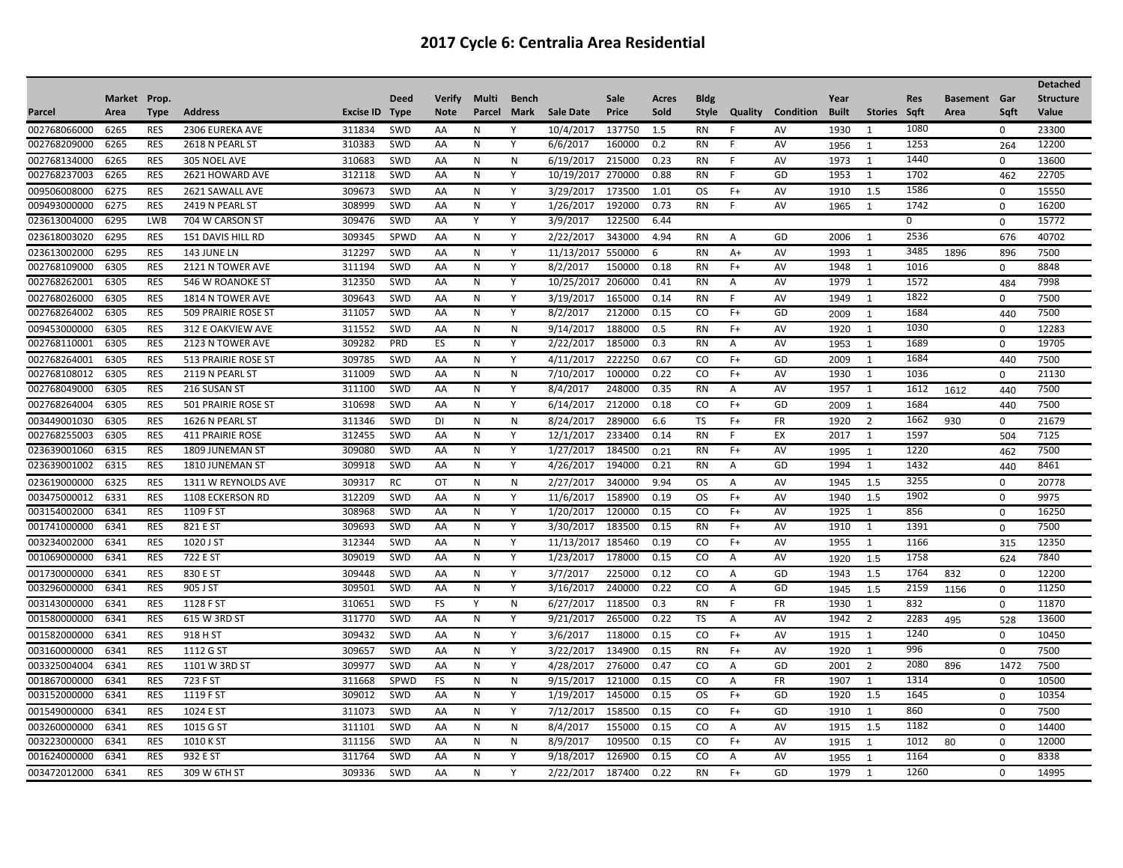| Market Prop.<br><b>Deed</b><br><b>Verify</b><br>Multi<br>Bench<br>Sale<br>Acres<br><b>Bldg</b><br>Year<br><b>Res</b><br><b>Basement</b> Gar<br><b>Structure</b><br><b>Address</b><br>Excise ID<br><b>Note</b><br>Mark<br><b>Sale Date</b><br>Price<br>Sold<br><b>Style</b><br>Quality<br><b>Condition</b><br><b>Built</b><br>Stories Sqft<br>Value<br>Area<br>Type<br>Type<br>Parcel<br>Area<br>Saft<br>1080<br>6265<br><b>RES</b><br>2306 EUREKA AVE<br>311834<br>SWD<br>10/4/2017<br>137750<br>1.5<br><b>RN</b><br>AV<br>1930<br>0<br>23300<br>AA<br>N<br>Y<br>1<br>F<br>6265<br><b>RES</b><br>2618 N PEARL ST<br>310383<br>SWD<br>AA<br>N<br>Y<br>6/6/2017<br>160000<br>0.2<br><b>RN</b><br>AV<br>1253<br>12200<br>1956<br>264<br>-1<br>1440<br>310683<br>SWD<br>$\mathsf{N}$<br>6/19/2017<br>215000<br>0.23<br>1973<br>0<br>13600<br>6265<br><b>RES</b><br>305 NOEL AVE<br>AA<br>N<br><b>RN</b><br>AV<br>1<br>F<br>6265<br><b>RES</b><br>312118<br>SWD<br>Y<br>10/19/2017<br>270000<br>0.88<br>1953<br>1702<br>22705<br>2621 HOWARD AVE<br>AA<br>N<br>GD<br>1<br>RN<br>F<br>462<br>1586<br>6275<br><b>RES</b><br>309673<br>SWD<br>Y<br>3/29/2017<br>173500<br>1.01<br>1910<br>1.5<br>0<br>15550<br>2621 SAWALL AVE<br>AA<br>N<br><b>OS</b><br>$F+$<br>AV<br><b>RES</b><br>SWD<br>192000<br>1742<br>6275<br>2419 N PEARL ST<br>308999<br>AA<br>N<br>Y<br>1/26/2017<br>0.73<br><b>RN</b><br>AV<br>16200<br>1965<br>$\mathbf 0$<br>$\overline{1}$<br>Y<br>15772<br>023613004000<br>6295<br>LWB<br>309476<br>SWD<br>Y<br>3/9/2017<br>122500<br>704 W CARSON ST<br>AA<br>6.44<br>O.<br>$\mathbf 0$<br>2536<br>6295<br>309345<br>SPWD<br>Y<br>2/22/2017<br>343000<br>GD<br>2006<br>676<br>40702<br>RES<br>151 DAVIS HILL RD<br>AA<br>N<br>4.94<br>RN<br>$\overline{A}$<br>1<br>3485<br>6295<br><b>RES</b><br>143 JUNE LN<br>312297<br>SWD<br>AA<br>N<br>Y<br>11/13/2017<br>550000<br><b>RN</b><br>AV<br>1993<br>1<br>1896<br>896<br>7500<br>6<br>$A+$<br><b>RES</b><br>SWD<br>8848<br>6305<br>2121 N TOWER AVE<br>311194<br>AA<br>N<br>Y<br>8/2/2017<br>150000<br>0.18<br><b>RN</b><br>$F+$<br>AV<br>1948<br>1<br>1016<br>$\Omega$<br>002768262001<br>10/25/2017<br>1572<br>7998<br>6305<br><b>RES</b><br>312350<br>SWD<br>Y<br>206000<br>0.41<br><b>RN</b><br>AV<br>1979<br>546 W ROANOKE ST<br>AA<br>N<br>Α<br>1<br>484<br>1822<br>309643<br>3/19/2017<br>$\mathbf 0$<br>7500<br>6305<br><b>RES</b><br>1814 N TOWER AVE<br>SWD<br>Y<br>165000<br>0.14<br>AV<br>1949<br>1<br>AA<br>N<br>RN<br>F<br>8/2/2017<br>6305<br><b>RES</b><br>311057<br>SWD<br>Y<br>212000<br>0.15<br>CO<br>GD<br>1684<br>7500<br>509 PRAIRIE ROSE ST<br>AA<br>N<br>$F+$<br>2009<br>440<br>$\mathbf{1}$<br>1030<br>311552<br>SWD<br>9/14/2017<br>188000<br>0.5<br>12283<br>6305<br><b>RES</b><br>312 E OAKVIEW AVE<br>AA<br>N<br>N<br><b>RN</b><br>$F+$<br>AV<br>1920<br>1<br>$\mathbf 0$<br>002768110001<br>309282<br>PRD<br>ES<br>N<br>Y<br>2/22/2017<br>185000<br>1689<br>19705<br>6305<br><b>RES</b><br>2123 N TOWER AVE<br>0.3<br><b>RN</b><br>AV<br>Α<br>1953<br>$\Omega$<br>$\overline{1}$<br>1684<br>222250<br>2009<br>6305<br><b>RES</b><br>309785<br>SWD<br>Y<br>4/11/2017<br>0.67<br>$F+$<br>GD<br>440<br>7500<br><b>513 PRAIRIE ROSE ST</b><br>AA<br>N<br>CO.<br>1<br>311009<br>100000<br>0.22<br>AV<br>1930<br>21130<br>6305<br><b>RES</b><br>2119 N PEARL ST<br>SWD<br>N<br>7/10/2017<br>CO<br>$F+$<br>AA<br>N<br>1<br>1036<br>$\Omega$<br><b>RES</b><br>311100<br>SWD<br>Y<br>8/4/2017<br>248000<br>0.35<br>1957<br>7500<br>6305<br>216 SUSAN ST<br>AA<br>N<br><b>RN</b><br>AV<br>1<br>1612<br>1612<br>Α<br>440<br><b>RES</b><br>501 PRAIRIE ROSE ST<br>310698<br>SWD<br>Y<br>212000<br>0.18<br>GD<br>1684<br>7500<br>6305<br>AA<br>N<br>6/14/2017<br>CO<br>$F+$<br>440<br>2009<br>-1<br>$\overline{2}$<br>1662<br>311346<br>SWD<br>8/24/2017<br>289000<br>6.6<br><b>TS</b><br><b>FR</b><br>930<br>$\mathbf 0$<br>21679<br>6305<br><b>RES</b><br>1626 N PEARL ST<br><b>DI</b><br>N<br>N<br>$F+$<br>1920<br>312455<br>12/1/2017<br>233400<br>EX<br>2017<br>1597<br>7125<br>6305<br><b>RES</b><br>SWD<br>AA<br>N<br>Y<br>0.14<br><b>RN</b><br><b>411 PRAIRIE ROSE</b><br>F<br>1<br>504<br>6315<br><b>RES</b><br>309080<br>SWD<br>Y<br>1/27/2017<br>184500<br>AV<br>1220<br>7500<br>1809 JUNEMAN ST<br>AA<br>N<br>0.21<br><b>RN</b><br>$F+$<br>1995<br>462<br>$\overline{1}$<br>309918<br>1432<br>6315<br><b>RES</b><br>1810 JUNEMAN ST<br><b>SWD</b><br>N<br>Y<br>4/26/2017<br>194000<br>0.21<br><b>RN</b><br>GD<br>1994<br>8461<br>AA<br>1<br>A<br>440<br>3255<br>6325<br>309317<br>N<br>2/27/2017<br>340000<br>9.94<br>1.5<br>20778<br><b>RES</b><br>1311 W REYNOLDS AVE<br>RC<br>OT<br>N<br>OS.<br>AV<br>1945<br>$\mathbf 0$<br>$\overline{A}$<br>1902<br>6331<br><b>RES</b><br>1108 ECKERSON RD<br>312209<br>SWD<br>Y<br>11/6/2017<br>158900<br>0.19<br><b>OS</b><br>AV<br>1940<br>1.5<br>0<br>9975<br>AA<br>N<br>$F+$<br>120000<br>AV<br>1925<br>856<br>6341<br><b>RES</b><br>1109 F ST<br>308968<br>SWD<br>AA<br>N<br>Y<br>1/20/2017<br>0.15<br><sub>co</sub><br>$F+$<br>16250<br>1<br>$\mathbf 0$<br>6341<br><b>RES</b><br>821 E ST<br>309693<br>SWD<br>Y<br>3/30/2017<br>183500<br>0.15<br>AV<br>1910<br>1391<br>7500<br>AA<br>N<br><b>RN</b><br>$F+$<br>1<br>0<br>12350<br>6341<br><b>RES</b><br>1020 J ST<br>312344<br>SWD<br>AA<br>N<br>Y<br>11/13/2017<br>185460<br>0.19<br>CO<br>AV<br>1955<br>1<br>1166<br>F+<br>315<br>309019<br>Y<br>1/23/2017<br>178000<br>0.15<br>1758<br>6341<br><b>RES</b><br>722 E ST<br>SWD<br>N<br><sub>co</sub><br>AV<br>7840<br>AA<br>A<br>1920<br>1.5<br>624<br>1764<br>6341<br><b>RES</b><br>309448<br>SWD<br>Y<br>3/7/2017<br>225000<br>0.12<br>GD<br>1943<br>1.5<br>832<br>$\mathbf 0$<br>12200<br>830 E ST<br>AA<br>N<br>CO<br>A<br>6341<br><b>RES</b><br>309501<br>SWD<br>AA<br>N<br>Y<br>3/16/2017<br>240000<br>0.22<br>CO<br>GD<br>2159<br>11250<br>905 J ST<br>$\overline{A}$<br>1945<br>1156<br>0<br>1.5<br>832<br>6341<br><b>RES</b><br>SWD<br><b>FS</b><br>$\mathsf{N}$<br>6/27/2017<br>118500<br>0.3<br><b>FR</b><br>1930<br>11870<br>1128 F ST<br>310651<br>Y<br><b>RN</b><br>1<br>$\mathbf 0$<br>-F<br>6341<br>311770<br>SWD<br>Y<br>9/21/2017<br>265000<br>0.22<br>1942<br><b>RES</b><br>615 W 3RD ST<br>AA<br>N<br>TS<br>AV<br>2<br>2283<br>13600<br>Α<br>495<br>528<br>1240<br>309432<br>SWD<br>Y<br>3/6/2017<br>118000<br>0.15<br>1915<br>0<br>10450<br>6341<br><b>RES</b><br>918 H ST<br>AA<br>N<br>CO<br>$F+$<br>AV<br>1<br>996<br><b>V</b><br>$\mathbf 0$<br>7500<br>003160000000<br>6341<br><b>RES</b><br>1112 G ST<br>309657<br><b>SWD</b><br>AA<br>N<br>3/22/2017<br>134900<br>0.15<br><b>RN</b><br>AV<br>1920<br>1<br>$F+$<br>2080<br>6341<br>309977<br>SWD<br>AA<br>Y<br>4/28/2017<br>276000<br>0.47<br>GD<br>2001<br>2<br>896<br>1472<br>7500<br><b>RES</b><br>1101 W 3RD ST<br>N<br>CO<br>A<br>1314<br>SPWD<br>FS<br>9/15/2017<br>121000<br>0.15<br><b>FR</b><br>1907<br>10500<br>6341<br><b>RES</b><br>723 F ST<br>311668<br>N<br>N<br>CO.<br>A<br>1<br>$\Omega$<br>6341<br><b>RES</b><br>1119 F ST<br>309012<br>SWD<br>AA<br>N<br>Y<br>1/19/2017<br>145000<br>0.15<br>OS.<br>$F+$<br>GD<br>1920<br>1.5<br>1645<br>10354<br>$\mathbf 0$<br>860<br>Y<br>7/12/2017<br>158500<br>$\mathbf 0$<br>7500<br>6341<br><b>RES</b><br>1024 E ST<br>311073<br>SWD<br>AA<br>N<br>0.15<br>CO.<br>$F+$<br>GD<br>1910<br>1<br>1182<br>$\mathsf{N}$<br>8/4/2017<br>0.15<br>1915<br>1.5<br>$\mathbf 0$<br>14400<br>003260000000<br>6341<br><b>RES</b><br>1015 G ST<br>311101<br>SWD<br>AA<br>N<br>155000<br>CO<br>AV<br>Α<br>8/9/2017<br>003223000000<br>6341<br><b>RES</b><br>1010 K ST<br>311156<br>SWD<br>AA<br>N<br>N<br>109500<br>0.15<br>CO<br>$F+$<br>AV<br>1012<br>12000<br>$\mathbf 0$<br>1915<br>$\overline{1}$<br>80<br>6341<br>932 E ST<br>311764<br><b>SWD</b><br>126900<br><sub>CO</sub><br>AV<br>1164<br>8338<br><b>RES</b><br>AA<br>N<br>Υ<br>9/18/2017<br>0.15<br>A<br>1955<br>0<br>$\overline{1}$<br>1260<br>309336<br>SWD<br>Y<br>2/22/2017<br>187400<br>0.22<br>GD<br>14995<br>6341<br><b>RES</b><br>309 W 6TH ST<br>AA<br>N<br><b>RN</b><br>$F+$<br>1979<br>1<br>$\Omega$ |              |  |  |  |  |  |  |  |  |  | <b>Detached</b> |
|----------------------------------------------------------------------------------------------------------------------------------------------------------------------------------------------------------------------------------------------------------------------------------------------------------------------------------------------------------------------------------------------------------------------------------------------------------------------------------------------------------------------------------------------------------------------------------------------------------------------------------------------------------------------------------------------------------------------------------------------------------------------------------------------------------------------------------------------------------------------------------------------------------------------------------------------------------------------------------------------------------------------------------------------------------------------------------------------------------------------------------------------------------------------------------------------------------------------------------------------------------------------------------------------------------------------------------------------------------------------------------------------------------------------------------------------------------------------------------------------------------------------------------------------------------------------------------------------------------------------------------------------------------------------------------------------------------------------------------------------------------------------------------------------------------------------------------------------------------------------------------------------------------------------------------------------------------------------------------------------------------------------------------------------------------------------------------------------------------------------------------------------------------------------------------------------------------------------------------------------------------------------------------------------------------------------------------------------------------------------------------------------------------------------------------------------------------------------------------------------------------------------------------------------------------------------------------------------------------------------------------------------------------------------------------------------------------------------------------------------------------------------------------------------------------------------------------------------------------------------------------------------------------------------------------------------------------------------------------------------------------------------------------------------------------------------------------------------------------------------------------------------------------------------------------------------------------------------------------------------------------------------------------------------------------------------------------------------------------------------------------------------------------------------------------------------------------------------------------------------------------------------------------------------------------------------------------------------------------------------------------------------------------------------------------------------------------------------------------------------------------------------------------------------------------------------------------------------------------------------------------------------------------------------------------------------------------------------------------------------------------------------------------------------------------------------------------------------------------------------------------------------------------------------------------------------------------------------------------------------------------------------------------------------------------------------------------------------------------------------------------------------------------------------------------------------------------------------------------------------------------------------------------------------------------------------------------------------------------------------------------------------------------------------------------------------------------------------------------------------------------------------------------------------------------------------------------------------------------------------------------------------------------------------------------------------------------------------------------------------------------------------------------------------------------------------------------------------------------------------------------------------------------------------------------------------------------------------------------------------------------------------------------------------------------------------------------------------------------------------------------------------------------------------------------------------------------------------------------------------------------------------------------------------------------------------------------------------------------------------------------------------------------------------------------------------------------------------------------------------------------------------------------------------------------------------------------------------------------------------------------------------------------------------------------------------------------------------------------------------------------------------------------------------------------------------------------------------------------------------------------------------------------------------------------------------------------------------------------------------------------------------------------------------------------------------------------------------------------------------------------------------------------------------------------------------------------------------------------------------------------------------------------------------------------------------------------------------------------------------------------------------------------------------------------------------------------------------------------------------------------------------------------------------------------------------------------------------------------------------------------------------------------------------------------------------------------------------------------------------------------------------------------------------------------------------------------------------------------------------------------------------------------------------------------------------------------------------------------------------------------------------------------------------------------------------------------------------------------------------------------------------------------------------------------------------------------------------------------------------------------------------------------------------------------------------------------------------------------------------------------------------------------------------------------------------------------------------------------------------------------------------------------------------------------------------------------------------------------------------------------------------------------------------------------------------------------------------------------------------------------------------------------------------------------------------------------------------------------------------------------------|--------------|--|--|--|--|--|--|--|--|--|-----------------|
|                                                                                                                                                                                                                                                                                                                                                                                                                                                                                                                                                                                                                                                                                                                                                                                                                                                                                                                                                                                                                                                                                                                                                                                                                                                                                                                                                                                                                                                                                                                                                                                                                                                                                                                                                                                                                                                                                                                                                                                                                                                                                                                                                                                                                                                                                                                                                                                                                                                                                                                                                                                                                                                                                                                                                                                                                                                                                                                                                                                                                                                                                                                                                                                                                                                                                                                                                                                                                                                                                                                                                                                                                                                                                                                                                                                                                                                                                                                                                                                                                                                                                                                                                                                                                                                                                                                                                                                                                                                                                                                                                                                                                                                                                                                                                                                                                                                                                                                                                                                                                                                                                                                                                                                                                                                                                                                                                                                                                                                                                                                                                                                                                                                                                                                                                                                                                                                                                                                                                                                                                                                                                                                                                                                                                                                                                                                                                                                                                                                                                                                                                                                                                                                                                                                                                                                                                                                                                                                                                                                                                                                                                                                                                                                                                                                                                                                                                                                                                                                                                                                                                                                                                                                                                                                                                                                                                                                                                                                                                                                                                                                                                                                                        |              |  |  |  |  |  |  |  |  |  |                 |
|                                                                                                                                                                                                                                                                                                                                                                                                                                                                                                                                                                                                                                                                                                                                                                                                                                                                                                                                                                                                                                                                                                                                                                                                                                                                                                                                                                                                                                                                                                                                                                                                                                                                                                                                                                                                                                                                                                                                                                                                                                                                                                                                                                                                                                                                                                                                                                                                                                                                                                                                                                                                                                                                                                                                                                                                                                                                                                                                                                                                                                                                                                                                                                                                                                                                                                                                                                                                                                                                                                                                                                                                                                                                                                                                                                                                                                                                                                                                                                                                                                                                                                                                                                                                                                                                                                                                                                                                                                                                                                                                                                                                                                                                                                                                                                                                                                                                                                                                                                                                                                                                                                                                                                                                                                                                                                                                                                                                                                                                                                                                                                                                                                                                                                                                                                                                                                                                                                                                                                                                                                                                                                                                                                                                                                                                                                                                                                                                                                                                                                                                                                                                                                                                                                                                                                                                                                                                                                                                                                                                                                                                                                                                                                                                                                                                                                                                                                                                                                                                                                                                                                                                                                                                                                                                                                                                                                                                                                                                                                                                                                                                                                                                        | Parcel       |  |  |  |  |  |  |  |  |  |                 |
|                                                                                                                                                                                                                                                                                                                                                                                                                                                                                                                                                                                                                                                                                                                                                                                                                                                                                                                                                                                                                                                                                                                                                                                                                                                                                                                                                                                                                                                                                                                                                                                                                                                                                                                                                                                                                                                                                                                                                                                                                                                                                                                                                                                                                                                                                                                                                                                                                                                                                                                                                                                                                                                                                                                                                                                                                                                                                                                                                                                                                                                                                                                                                                                                                                                                                                                                                                                                                                                                                                                                                                                                                                                                                                                                                                                                                                                                                                                                                                                                                                                                                                                                                                                                                                                                                                                                                                                                                                                                                                                                                                                                                                                                                                                                                                                                                                                                                                                                                                                                                                                                                                                                                                                                                                                                                                                                                                                                                                                                                                                                                                                                                                                                                                                                                                                                                                                                                                                                                                                                                                                                                                                                                                                                                                                                                                                                                                                                                                                                                                                                                                                                                                                                                                                                                                                                                                                                                                                                                                                                                                                                                                                                                                                                                                                                                                                                                                                                                                                                                                                                                                                                                                                                                                                                                                                                                                                                                                                                                                                                                                                                                                                                        | 002768066000 |  |  |  |  |  |  |  |  |  |                 |
|                                                                                                                                                                                                                                                                                                                                                                                                                                                                                                                                                                                                                                                                                                                                                                                                                                                                                                                                                                                                                                                                                                                                                                                                                                                                                                                                                                                                                                                                                                                                                                                                                                                                                                                                                                                                                                                                                                                                                                                                                                                                                                                                                                                                                                                                                                                                                                                                                                                                                                                                                                                                                                                                                                                                                                                                                                                                                                                                                                                                                                                                                                                                                                                                                                                                                                                                                                                                                                                                                                                                                                                                                                                                                                                                                                                                                                                                                                                                                                                                                                                                                                                                                                                                                                                                                                                                                                                                                                                                                                                                                                                                                                                                                                                                                                                                                                                                                                                                                                                                                                                                                                                                                                                                                                                                                                                                                                                                                                                                                                                                                                                                                                                                                                                                                                                                                                                                                                                                                                                                                                                                                                                                                                                                                                                                                                                                                                                                                                                                                                                                                                                                                                                                                                                                                                                                                                                                                                                                                                                                                                                                                                                                                                                                                                                                                                                                                                                                                                                                                                                                                                                                                                                                                                                                                                                                                                                                                                                                                                                                                                                                                                                                        | 002768209000 |  |  |  |  |  |  |  |  |  |                 |
|                                                                                                                                                                                                                                                                                                                                                                                                                                                                                                                                                                                                                                                                                                                                                                                                                                                                                                                                                                                                                                                                                                                                                                                                                                                                                                                                                                                                                                                                                                                                                                                                                                                                                                                                                                                                                                                                                                                                                                                                                                                                                                                                                                                                                                                                                                                                                                                                                                                                                                                                                                                                                                                                                                                                                                                                                                                                                                                                                                                                                                                                                                                                                                                                                                                                                                                                                                                                                                                                                                                                                                                                                                                                                                                                                                                                                                                                                                                                                                                                                                                                                                                                                                                                                                                                                                                                                                                                                                                                                                                                                                                                                                                                                                                                                                                                                                                                                                                                                                                                                                                                                                                                                                                                                                                                                                                                                                                                                                                                                                                                                                                                                                                                                                                                                                                                                                                                                                                                                                                                                                                                                                                                                                                                                                                                                                                                                                                                                                                                                                                                                                                                                                                                                                                                                                                                                                                                                                                                                                                                                                                                                                                                                                                                                                                                                                                                                                                                                                                                                                                                                                                                                                                                                                                                                                                                                                                                                                                                                                                                                                                                                                                                        | 002768134000 |  |  |  |  |  |  |  |  |  |                 |
|                                                                                                                                                                                                                                                                                                                                                                                                                                                                                                                                                                                                                                                                                                                                                                                                                                                                                                                                                                                                                                                                                                                                                                                                                                                                                                                                                                                                                                                                                                                                                                                                                                                                                                                                                                                                                                                                                                                                                                                                                                                                                                                                                                                                                                                                                                                                                                                                                                                                                                                                                                                                                                                                                                                                                                                                                                                                                                                                                                                                                                                                                                                                                                                                                                                                                                                                                                                                                                                                                                                                                                                                                                                                                                                                                                                                                                                                                                                                                                                                                                                                                                                                                                                                                                                                                                                                                                                                                                                                                                                                                                                                                                                                                                                                                                                                                                                                                                                                                                                                                                                                                                                                                                                                                                                                                                                                                                                                                                                                                                                                                                                                                                                                                                                                                                                                                                                                                                                                                                                                                                                                                                                                                                                                                                                                                                                                                                                                                                                                                                                                                                                                                                                                                                                                                                                                                                                                                                                                                                                                                                                                                                                                                                                                                                                                                                                                                                                                                                                                                                                                                                                                                                                                                                                                                                                                                                                                                                                                                                                                                                                                                                                                        | 002768237003 |  |  |  |  |  |  |  |  |  |                 |
|                                                                                                                                                                                                                                                                                                                                                                                                                                                                                                                                                                                                                                                                                                                                                                                                                                                                                                                                                                                                                                                                                                                                                                                                                                                                                                                                                                                                                                                                                                                                                                                                                                                                                                                                                                                                                                                                                                                                                                                                                                                                                                                                                                                                                                                                                                                                                                                                                                                                                                                                                                                                                                                                                                                                                                                                                                                                                                                                                                                                                                                                                                                                                                                                                                                                                                                                                                                                                                                                                                                                                                                                                                                                                                                                                                                                                                                                                                                                                                                                                                                                                                                                                                                                                                                                                                                                                                                                                                                                                                                                                                                                                                                                                                                                                                                                                                                                                                                                                                                                                                                                                                                                                                                                                                                                                                                                                                                                                                                                                                                                                                                                                                                                                                                                                                                                                                                                                                                                                                                                                                                                                                                                                                                                                                                                                                                                                                                                                                                                                                                                                                                                                                                                                                                                                                                                                                                                                                                                                                                                                                                                                                                                                                                                                                                                                                                                                                                                                                                                                                                                                                                                                                                                                                                                                                                                                                                                                                                                                                                                                                                                                                                                        | 009506008000 |  |  |  |  |  |  |  |  |  |                 |
|                                                                                                                                                                                                                                                                                                                                                                                                                                                                                                                                                                                                                                                                                                                                                                                                                                                                                                                                                                                                                                                                                                                                                                                                                                                                                                                                                                                                                                                                                                                                                                                                                                                                                                                                                                                                                                                                                                                                                                                                                                                                                                                                                                                                                                                                                                                                                                                                                                                                                                                                                                                                                                                                                                                                                                                                                                                                                                                                                                                                                                                                                                                                                                                                                                                                                                                                                                                                                                                                                                                                                                                                                                                                                                                                                                                                                                                                                                                                                                                                                                                                                                                                                                                                                                                                                                                                                                                                                                                                                                                                                                                                                                                                                                                                                                                                                                                                                                                                                                                                                                                                                                                                                                                                                                                                                                                                                                                                                                                                                                                                                                                                                                                                                                                                                                                                                                                                                                                                                                                                                                                                                                                                                                                                                                                                                                                                                                                                                                                                                                                                                                                                                                                                                                                                                                                                                                                                                                                                                                                                                                                                                                                                                                                                                                                                                                                                                                                                                                                                                                                                                                                                                                                                                                                                                                                                                                                                                                                                                                                                                                                                                                                                        | 009493000000 |  |  |  |  |  |  |  |  |  |                 |
|                                                                                                                                                                                                                                                                                                                                                                                                                                                                                                                                                                                                                                                                                                                                                                                                                                                                                                                                                                                                                                                                                                                                                                                                                                                                                                                                                                                                                                                                                                                                                                                                                                                                                                                                                                                                                                                                                                                                                                                                                                                                                                                                                                                                                                                                                                                                                                                                                                                                                                                                                                                                                                                                                                                                                                                                                                                                                                                                                                                                                                                                                                                                                                                                                                                                                                                                                                                                                                                                                                                                                                                                                                                                                                                                                                                                                                                                                                                                                                                                                                                                                                                                                                                                                                                                                                                                                                                                                                                                                                                                                                                                                                                                                                                                                                                                                                                                                                                                                                                                                                                                                                                                                                                                                                                                                                                                                                                                                                                                                                                                                                                                                                                                                                                                                                                                                                                                                                                                                                                                                                                                                                                                                                                                                                                                                                                                                                                                                                                                                                                                                                                                                                                                                                                                                                                                                                                                                                                                                                                                                                                                                                                                                                                                                                                                                                                                                                                                                                                                                                                                                                                                                                                                                                                                                                                                                                                                                                                                                                                                                                                                                                                                        |              |  |  |  |  |  |  |  |  |  |                 |
|                                                                                                                                                                                                                                                                                                                                                                                                                                                                                                                                                                                                                                                                                                                                                                                                                                                                                                                                                                                                                                                                                                                                                                                                                                                                                                                                                                                                                                                                                                                                                                                                                                                                                                                                                                                                                                                                                                                                                                                                                                                                                                                                                                                                                                                                                                                                                                                                                                                                                                                                                                                                                                                                                                                                                                                                                                                                                                                                                                                                                                                                                                                                                                                                                                                                                                                                                                                                                                                                                                                                                                                                                                                                                                                                                                                                                                                                                                                                                                                                                                                                                                                                                                                                                                                                                                                                                                                                                                                                                                                                                                                                                                                                                                                                                                                                                                                                                                                                                                                                                                                                                                                                                                                                                                                                                                                                                                                                                                                                                                                                                                                                                                                                                                                                                                                                                                                                                                                                                                                                                                                                                                                                                                                                                                                                                                                                                                                                                                                                                                                                                                                                                                                                                                                                                                                                                                                                                                                                                                                                                                                                                                                                                                                                                                                                                                                                                                                                                                                                                                                                                                                                                                                                                                                                                                                                                                                                                                                                                                                                                                                                                                                                        | 023618003020 |  |  |  |  |  |  |  |  |  |                 |
|                                                                                                                                                                                                                                                                                                                                                                                                                                                                                                                                                                                                                                                                                                                                                                                                                                                                                                                                                                                                                                                                                                                                                                                                                                                                                                                                                                                                                                                                                                                                                                                                                                                                                                                                                                                                                                                                                                                                                                                                                                                                                                                                                                                                                                                                                                                                                                                                                                                                                                                                                                                                                                                                                                                                                                                                                                                                                                                                                                                                                                                                                                                                                                                                                                                                                                                                                                                                                                                                                                                                                                                                                                                                                                                                                                                                                                                                                                                                                                                                                                                                                                                                                                                                                                                                                                                                                                                                                                                                                                                                                                                                                                                                                                                                                                                                                                                                                                                                                                                                                                                                                                                                                                                                                                                                                                                                                                                                                                                                                                                                                                                                                                                                                                                                                                                                                                                                                                                                                                                                                                                                                                                                                                                                                                                                                                                                                                                                                                                                                                                                                                                                                                                                                                                                                                                                                                                                                                                                                                                                                                                                                                                                                                                                                                                                                                                                                                                                                                                                                                                                                                                                                                                                                                                                                                                                                                                                                                                                                                                                                                                                                                                                        | 023613002000 |  |  |  |  |  |  |  |  |  |                 |
|                                                                                                                                                                                                                                                                                                                                                                                                                                                                                                                                                                                                                                                                                                                                                                                                                                                                                                                                                                                                                                                                                                                                                                                                                                                                                                                                                                                                                                                                                                                                                                                                                                                                                                                                                                                                                                                                                                                                                                                                                                                                                                                                                                                                                                                                                                                                                                                                                                                                                                                                                                                                                                                                                                                                                                                                                                                                                                                                                                                                                                                                                                                                                                                                                                                                                                                                                                                                                                                                                                                                                                                                                                                                                                                                                                                                                                                                                                                                                                                                                                                                                                                                                                                                                                                                                                                                                                                                                                                                                                                                                                                                                                                                                                                                                                                                                                                                                                                                                                                                                                                                                                                                                                                                                                                                                                                                                                                                                                                                                                                                                                                                                                                                                                                                                                                                                                                                                                                                                                                                                                                                                                                                                                                                                                                                                                                                                                                                                                                                                                                                                                                                                                                                                                                                                                                                                                                                                                                                                                                                                                                                                                                                                                                                                                                                                                                                                                                                                                                                                                                                                                                                                                                                                                                                                                                                                                                                                                                                                                                                                                                                                                                                        | 002768109000 |  |  |  |  |  |  |  |  |  |                 |
|                                                                                                                                                                                                                                                                                                                                                                                                                                                                                                                                                                                                                                                                                                                                                                                                                                                                                                                                                                                                                                                                                                                                                                                                                                                                                                                                                                                                                                                                                                                                                                                                                                                                                                                                                                                                                                                                                                                                                                                                                                                                                                                                                                                                                                                                                                                                                                                                                                                                                                                                                                                                                                                                                                                                                                                                                                                                                                                                                                                                                                                                                                                                                                                                                                                                                                                                                                                                                                                                                                                                                                                                                                                                                                                                                                                                                                                                                                                                                                                                                                                                                                                                                                                                                                                                                                                                                                                                                                                                                                                                                                                                                                                                                                                                                                                                                                                                                                                                                                                                                                                                                                                                                                                                                                                                                                                                                                                                                                                                                                                                                                                                                                                                                                                                                                                                                                                                                                                                                                                                                                                                                                                                                                                                                                                                                                                                                                                                                                                                                                                                                                                                                                                                                                                                                                                                                                                                                                                                                                                                                                                                                                                                                                                                                                                                                                                                                                                                                                                                                                                                                                                                                                                                                                                                                                                                                                                                                                                                                                                                                                                                                                                                        |              |  |  |  |  |  |  |  |  |  |                 |
|                                                                                                                                                                                                                                                                                                                                                                                                                                                                                                                                                                                                                                                                                                                                                                                                                                                                                                                                                                                                                                                                                                                                                                                                                                                                                                                                                                                                                                                                                                                                                                                                                                                                                                                                                                                                                                                                                                                                                                                                                                                                                                                                                                                                                                                                                                                                                                                                                                                                                                                                                                                                                                                                                                                                                                                                                                                                                                                                                                                                                                                                                                                                                                                                                                                                                                                                                                                                                                                                                                                                                                                                                                                                                                                                                                                                                                                                                                                                                                                                                                                                                                                                                                                                                                                                                                                                                                                                                                                                                                                                                                                                                                                                                                                                                                                                                                                                                                                                                                                                                                                                                                                                                                                                                                                                                                                                                                                                                                                                                                                                                                                                                                                                                                                                                                                                                                                                                                                                                                                                                                                                                                                                                                                                                                                                                                                                                                                                                                                                                                                                                                                                                                                                                                                                                                                                                                                                                                                                                                                                                                                                                                                                                                                                                                                                                                                                                                                                                                                                                                                                                                                                                                                                                                                                                                                                                                                                                                                                                                                                                                                                                                                                        | 002768026000 |  |  |  |  |  |  |  |  |  |                 |
|                                                                                                                                                                                                                                                                                                                                                                                                                                                                                                                                                                                                                                                                                                                                                                                                                                                                                                                                                                                                                                                                                                                                                                                                                                                                                                                                                                                                                                                                                                                                                                                                                                                                                                                                                                                                                                                                                                                                                                                                                                                                                                                                                                                                                                                                                                                                                                                                                                                                                                                                                                                                                                                                                                                                                                                                                                                                                                                                                                                                                                                                                                                                                                                                                                                                                                                                                                                                                                                                                                                                                                                                                                                                                                                                                                                                                                                                                                                                                                                                                                                                                                                                                                                                                                                                                                                                                                                                                                                                                                                                                                                                                                                                                                                                                                                                                                                                                                                                                                                                                                                                                                                                                                                                                                                                                                                                                                                                                                                                                                                                                                                                                                                                                                                                                                                                                                                                                                                                                                                                                                                                                                                                                                                                                                                                                                                                                                                                                                                                                                                                                                                                                                                                                                                                                                                                                                                                                                                                                                                                                                                                                                                                                                                                                                                                                                                                                                                                                                                                                                                                                                                                                                                                                                                                                                                                                                                                                                                                                                                                                                                                                                                                        | 002768264002 |  |  |  |  |  |  |  |  |  |                 |
|                                                                                                                                                                                                                                                                                                                                                                                                                                                                                                                                                                                                                                                                                                                                                                                                                                                                                                                                                                                                                                                                                                                                                                                                                                                                                                                                                                                                                                                                                                                                                                                                                                                                                                                                                                                                                                                                                                                                                                                                                                                                                                                                                                                                                                                                                                                                                                                                                                                                                                                                                                                                                                                                                                                                                                                                                                                                                                                                                                                                                                                                                                                                                                                                                                                                                                                                                                                                                                                                                                                                                                                                                                                                                                                                                                                                                                                                                                                                                                                                                                                                                                                                                                                                                                                                                                                                                                                                                                                                                                                                                                                                                                                                                                                                                                                                                                                                                                                                                                                                                                                                                                                                                                                                                                                                                                                                                                                                                                                                                                                                                                                                                                                                                                                                                                                                                                                                                                                                                                                                                                                                                                                                                                                                                                                                                                                                                                                                                                                                                                                                                                                                                                                                                                                                                                                                                                                                                                                                                                                                                                                                                                                                                                                                                                                                                                                                                                                                                                                                                                                                                                                                                                                                                                                                                                                                                                                                                                                                                                                                                                                                                                                                        | 009453000000 |  |  |  |  |  |  |  |  |  |                 |
|                                                                                                                                                                                                                                                                                                                                                                                                                                                                                                                                                                                                                                                                                                                                                                                                                                                                                                                                                                                                                                                                                                                                                                                                                                                                                                                                                                                                                                                                                                                                                                                                                                                                                                                                                                                                                                                                                                                                                                                                                                                                                                                                                                                                                                                                                                                                                                                                                                                                                                                                                                                                                                                                                                                                                                                                                                                                                                                                                                                                                                                                                                                                                                                                                                                                                                                                                                                                                                                                                                                                                                                                                                                                                                                                                                                                                                                                                                                                                                                                                                                                                                                                                                                                                                                                                                                                                                                                                                                                                                                                                                                                                                                                                                                                                                                                                                                                                                                                                                                                                                                                                                                                                                                                                                                                                                                                                                                                                                                                                                                                                                                                                                                                                                                                                                                                                                                                                                                                                                                                                                                                                                                                                                                                                                                                                                                                                                                                                                                                                                                                                                                                                                                                                                                                                                                                                                                                                                                                                                                                                                                                                                                                                                                                                                                                                                                                                                                                                                                                                                                                                                                                                                                                                                                                                                                                                                                                                                                                                                                                                                                                                                                                        |              |  |  |  |  |  |  |  |  |  |                 |
|                                                                                                                                                                                                                                                                                                                                                                                                                                                                                                                                                                                                                                                                                                                                                                                                                                                                                                                                                                                                                                                                                                                                                                                                                                                                                                                                                                                                                                                                                                                                                                                                                                                                                                                                                                                                                                                                                                                                                                                                                                                                                                                                                                                                                                                                                                                                                                                                                                                                                                                                                                                                                                                                                                                                                                                                                                                                                                                                                                                                                                                                                                                                                                                                                                                                                                                                                                                                                                                                                                                                                                                                                                                                                                                                                                                                                                                                                                                                                                                                                                                                                                                                                                                                                                                                                                                                                                                                                                                                                                                                                                                                                                                                                                                                                                                                                                                                                                                                                                                                                                                                                                                                                                                                                                                                                                                                                                                                                                                                                                                                                                                                                                                                                                                                                                                                                                                                                                                                                                                                                                                                                                                                                                                                                                                                                                                                                                                                                                                                                                                                                                                                                                                                                                                                                                                                                                                                                                                                                                                                                                                                                                                                                                                                                                                                                                                                                                                                                                                                                                                                                                                                                                                                                                                                                                                                                                                                                                                                                                                                                                                                                                                                        | 002768264001 |  |  |  |  |  |  |  |  |  |                 |
|                                                                                                                                                                                                                                                                                                                                                                                                                                                                                                                                                                                                                                                                                                                                                                                                                                                                                                                                                                                                                                                                                                                                                                                                                                                                                                                                                                                                                                                                                                                                                                                                                                                                                                                                                                                                                                                                                                                                                                                                                                                                                                                                                                                                                                                                                                                                                                                                                                                                                                                                                                                                                                                                                                                                                                                                                                                                                                                                                                                                                                                                                                                                                                                                                                                                                                                                                                                                                                                                                                                                                                                                                                                                                                                                                                                                                                                                                                                                                                                                                                                                                                                                                                                                                                                                                                                                                                                                                                                                                                                                                                                                                                                                                                                                                                                                                                                                                                                                                                                                                                                                                                                                                                                                                                                                                                                                                                                                                                                                                                                                                                                                                                                                                                                                                                                                                                                                                                                                                                                                                                                                                                                                                                                                                                                                                                                                                                                                                                                                                                                                                                                                                                                                                                                                                                                                                                                                                                                                                                                                                                                                                                                                                                                                                                                                                                                                                                                                                                                                                                                                                                                                                                                                                                                                                                                                                                                                                                                                                                                                                                                                                                                                        | 002768108012 |  |  |  |  |  |  |  |  |  |                 |
|                                                                                                                                                                                                                                                                                                                                                                                                                                                                                                                                                                                                                                                                                                                                                                                                                                                                                                                                                                                                                                                                                                                                                                                                                                                                                                                                                                                                                                                                                                                                                                                                                                                                                                                                                                                                                                                                                                                                                                                                                                                                                                                                                                                                                                                                                                                                                                                                                                                                                                                                                                                                                                                                                                                                                                                                                                                                                                                                                                                                                                                                                                                                                                                                                                                                                                                                                                                                                                                                                                                                                                                                                                                                                                                                                                                                                                                                                                                                                                                                                                                                                                                                                                                                                                                                                                                                                                                                                                                                                                                                                                                                                                                                                                                                                                                                                                                                                                                                                                                                                                                                                                                                                                                                                                                                                                                                                                                                                                                                                                                                                                                                                                                                                                                                                                                                                                                                                                                                                                                                                                                                                                                                                                                                                                                                                                                                                                                                                                                                                                                                                                                                                                                                                                                                                                                                                                                                                                                                                                                                                                                                                                                                                                                                                                                                                                                                                                                                                                                                                                                                                                                                                                                                                                                                                                                                                                                                                                                                                                                                                                                                                                                                        | 002768049000 |  |  |  |  |  |  |  |  |  |                 |
|                                                                                                                                                                                                                                                                                                                                                                                                                                                                                                                                                                                                                                                                                                                                                                                                                                                                                                                                                                                                                                                                                                                                                                                                                                                                                                                                                                                                                                                                                                                                                                                                                                                                                                                                                                                                                                                                                                                                                                                                                                                                                                                                                                                                                                                                                                                                                                                                                                                                                                                                                                                                                                                                                                                                                                                                                                                                                                                                                                                                                                                                                                                                                                                                                                                                                                                                                                                                                                                                                                                                                                                                                                                                                                                                                                                                                                                                                                                                                                                                                                                                                                                                                                                                                                                                                                                                                                                                                                                                                                                                                                                                                                                                                                                                                                                                                                                                                                                                                                                                                                                                                                                                                                                                                                                                                                                                                                                                                                                                                                                                                                                                                                                                                                                                                                                                                                                                                                                                                                                                                                                                                                                                                                                                                                                                                                                                                                                                                                                                                                                                                                                                                                                                                                                                                                                                                                                                                                                                                                                                                                                                                                                                                                                                                                                                                                                                                                                                                                                                                                                                                                                                                                                                                                                                                                                                                                                                                                                                                                                                                                                                                                                                        | 002768264004 |  |  |  |  |  |  |  |  |  |                 |
|                                                                                                                                                                                                                                                                                                                                                                                                                                                                                                                                                                                                                                                                                                                                                                                                                                                                                                                                                                                                                                                                                                                                                                                                                                                                                                                                                                                                                                                                                                                                                                                                                                                                                                                                                                                                                                                                                                                                                                                                                                                                                                                                                                                                                                                                                                                                                                                                                                                                                                                                                                                                                                                                                                                                                                                                                                                                                                                                                                                                                                                                                                                                                                                                                                                                                                                                                                                                                                                                                                                                                                                                                                                                                                                                                                                                                                                                                                                                                                                                                                                                                                                                                                                                                                                                                                                                                                                                                                                                                                                                                                                                                                                                                                                                                                                                                                                                                                                                                                                                                                                                                                                                                                                                                                                                                                                                                                                                                                                                                                                                                                                                                                                                                                                                                                                                                                                                                                                                                                                                                                                                                                                                                                                                                                                                                                                                                                                                                                                                                                                                                                                                                                                                                                                                                                                                                                                                                                                                                                                                                                                                                                                                                                                                                                                                                                                                                                                                                                                                                                                                                                                                                                                                                                                                                                                                                                                                                                                                                                                                                                                                                                                                        | 003449001030 |  |  |  |  |  |  |  |  |  |                 |
|                                                                                                                                                                                                                                                                                                                                                                                                                                                                                                                                                                                                                                                                                                                                                                                                                                                                                                                                                                                                                                                                                                                                                                                                                                                                                                                                                                                                                                                                                                                                                                                                                                                                                                                                                                                                                                                                                                                                                                                                                                                                                                                                                                                                                                                                                                                                                                                                                                                                                                                                                                                                                                                                                                                                                                                                                                                                                                                                                                                                                                                                                                                                                                                                                                                                                                                                                                                                                                                                                                                                                                                                                                                                                                                                                                                                                                                                                                                                                                                                                                                                                                                                                                                                                                                                                                                                                                                                                                                                                                                                                                                                                                                                                                                                                                                                                                                                                                                                                                                                                                                                                                                                                                                                                                                                                                                                                                                                                                                                                                                                                                                                                                                                                                                                                                                                                                                                                                                                                                                                                                                                                                                                                                                                                                                                                                                                                                                                                                                                                                                                                                                                                                                                                                                                                                                                                                                                                                                                                                                                                                                                                                                                                                                                                                                                                                                                                                                                                                                                                                                                                                                                                                                                                                                                                                                                                                                                                                                                                                                                                                                                                                                                        | 002768255003 |  |  |  |  |  |  |  |  |  |                 |
|                                                                                                                                                                                                                                                                                                                                                                                                                                                                                                                                                                                                                                                                                                                                                                                                                                                                                                                                                                                                                                                                                                                                                                                                                                                                                                                                                                                                                                                                                                                                                                                                                                                                                                                                                                                                                                                                                                                                                                                                                                                                                                                                                                                                                                                                                                                                                                                                                                                                                                                                                                                                                                                                                                                                                                                                                                                                                                                                                                                                                                                                                                                                                                                                                                                                                                                                                                                                                                                                                                                                                                                                                                                                                                                                                                                                                                                                                                                                                                                                                                                                                                                                                                                                                                                                                                                                                                                                                                                                                                                                                                                                                                                                                                                                                                                                                                                                                                                                                                                                                                                                                                                                                                                                                                                                                                                                                                                                                                                                                                                                                                                                                                                                                                                                                                                                                                                                                                                                                                                                                                                                                                                                                                                                                                                                                                                                                                                                                                                                                                                                                                                                                                                                                                                                                                                                                                                                                                                                                                                                                                                                                                                                                                                                                                                                                                                                                                                                                                                                                                                                                                                                                                                                                                                                                                                                                                                                                                                                                                                                                                                                                                                                        | 023639001060 |  |  |  |  |  |  |  |  |  |                 |
|                                                                                                                                                                                                                                                                                                                                                                                                                                                                                                                                                                                                                                                                                                                                                                                                                                                                                                                                                                                                                                                                                                                                                                                                                                                                                                                                                                                                                                                                                                                                                                                                                                                                                                                                                                                                                                                                                                                                                                                                                                                                                                                                                                                                                                                                                                                                                                                                                                                                                                                                                                                                                                                                                                                                                                                                                                                                                                                                                                                                                                                                                                                                                                                                                                                                                                                                                                                                                                                                                                                                                                                                                                                                                                                                                                                                                                                                                                                                                                                                                                                                                                                                                                                                                                                                                                                                                                                                                                                                                                                                                                                                                                                                                                                                                                                                                                                                                                                                                                                                                                                                                                                                                                                                                                                                                                                                                                                                                                                                                                                                                                                                                                                                                                                                                                                                                                                                                                                                                                                                                                                                                                                                                                                                                                                                                                                                                                                                                                                                                                                                                                                                                                                                                                                                                                                                                                                                                                                                                                                                                                                                                                                                                                                                                                                                                                                                                                                                                                                                                                                                                                                                                                                                                                                                                                                                                                                                                                                                                                                                                                                                                                                                        | 023639001002 |  |  |  |  |  |  |  |  |  |                 |
|                                                                                                                                                                                                                                                                                                                                                                                                                                                                                                                                                                                                                                                                                                                                                                                                                                                                                                                                                                                                                                                                                                                                                                                                                                                                                                                                                                                                                                                                                                                                                                                                                                                                                                                                                                                                                                                                                                                                                                                                                                                                                                                                                                                                                                                                                                                                                                                                                                                                                                                                                                                                                                                                                                                                                                                                                                                                                                                                                                                                                                                                                                                                                                                                                                                                                                                                                                                                                                                                                                                                                                                                                                                                                                                                                                                                                                                                                                                                                                                                                                                                                                                                                                                                                                                                                                                                                                                                                                                                                                                                                                                                                                                                                                                                                                                                                                                                                                                                                                                                                                                                                                                                                                                                                                                                                                                                                                                                                                                                                                                                                                                                                                                                                                                                                                                                                                                                                                                                                                                                                                                                                                                                                                                                                                                                                                                                                                                                                                                                                                                                                                                                                                                                                                                                                                                                                                                                                                                                                                                                                                                                                                                                                                                                                                                                                                                                                                                                                                                                                                                                                                                                                                                                                                                                                                                                                                                                                                                                                                                                                                                                                                                                        | 023619000000 |  |  |  |  |  |  |  |  |  |                 |
|                                                                                                                                                                                                                                                                                                                                                                                                                                                                                                                                                                                                                                                                                                                                                                                                                                                                                                                                                                                                                                                                                                                                                                                                                                                                                                                                                                                                                                                                                                                                                                                                                                                                                                                                                                                                                                                                                                                                                                                                                                                                                                                                                                                                                                                                                                                                                                                                                                                                                                                                                                                                                                                                                                                                                                                                                                                                                                                                                                                                                                                                                                                                                                                                                                                                                                                                                                                                                                                                                                                                                                                                                                                                                                                                                                                                                                                                                                                                                                                                                                                                                                                                                                                                                                                                                                                                                                                                                                                                                                                                                                                                                                                                                                                                                                                                                                                                                                                                                                                                                                                                                                                                                                                                                                                                                                                                                                                                                                                                                                                                                                                                                                                                                                                                                                                                                                                                                                                                                                                                                                                                                                                                                                                                                                                                                                                                                                                                                                                                                                                                                                                                                                                                                                                                                                                                                                                                                                                                                                                                                                                                                                                                                                                                                                                                                                                                                                                                                                                                                                                                                                                                                                                                                                                                                                                                                                                                                                                                                                                                                                                                                                                                        | 003475000012 |  |  |  |  |  |  |  |  |  |                 |
|                                                                                                                                                                                                                                                                                                                                                                                                                                                                                                                                                                                                                                                                                                                                                                                                                                                                                                                                                                                                                                                                                                                                                                                                                                                                                                                                                                                                                                                                                                                                                                                                                                                                                                                                                                                                                                                                                                                                                                                                                                                                                                                                                                                                                                                                                                                                                                                                                                                                                                                                                                                                                                                                                                                                                                                                                                                                                                                                                                                                                                                                                                                                                                                                                                                                                                                                                                                                                                                                                                                                                                                                                                                                                                                                                                                                                                                                                                                                                                                                                                                                                                                                                                                                                                                                                                                                                                                                                                                                                                                                                                                                                                                                                                                                                                                                                                                                                                                                                                                                                                                                                                                                                                                                                                                                                                                                                                                                                                                                                                                                                                                                                                                                                                                                                                                                                                                                                                                                                                                                                                                                                                                                                                                                                                                                                                                                                                                                                                                                                                                                                                                                                                                                                                                                                                                                                                                                                                                                                                                                                                                                                                                                                                                                                                                                                                                                                                                                                                                                                                                                                                                                                                                                                                                                                                                                                                                                                                                                                                                                                                                                                                                                        | 003154002000 |  |  |  |  |  |  |  |  |  |                 |
|                                                                                                                                                                                                                                                                                                                                                                                                                                                                                                                                                                                                                                                                                                                                                                                                                                                                                                                                                                                                                                                                                                                                                                                                                                                                                                                                                                                                                                                                                                                                                                                                                                                                                                                                                                                                                                                                                                                                                                                                                                                                                                                                                                                                                                                                                                                                                                                                                                                                                                                                                                                                                                                                                                                                                                                                                                                                                                                                                                                                                                                                                                                                                                                                                                                                                                                                                                                                                                                                                                                                                                                                                                                                                                                                                                                                                                                                                                                                                                                                                                                                                                                                                                                                                                                                                                                                                                                                                                                                                                                                                                                                                                                                                                                                                                                                                                                                                                                                                                                                                                                                                                                                                                                                                                                                                                                                                                                                                                                                                                                                                                                                                                                                                                                                                                                                                                                                                                                                                                                                                                                                                                                                                                                                                                                                                                                                                                                                                                                                                                                                                                                                                                                                                                                                                                                                                                                                                                                                                                                                                                                                                                                                                                                                                                                                                                                                                                                                                                                                                                                                                                                                                                                                                                                                                                                                                                                                                                                                                                                                                                                                                                                                        | 001741000000 |  |  |  |  |  |  |  |  |  |                 |
|                                                                                                                                                                                                                                                                                                                                                                                                                                                                                                                                                                                                                                                                                                                                                                                                                                                                                                                                                                                                                                                                                                                                                                                                                                                                                                                                                                                                                                                                                                                                                                                                                                                                                                                                                                                                                                                                                                                                                                                                                                                                                                                                                                                                                                                                                                                                                                                                                                                                                                                                                                                                                                                                                                                                                                                                                                                                                                                                                                                                                                                                                                                                                                                                                                                                                                                                                                                                                                                                                                                                                                                                                                                                                                                                                                                                                                                                                                                                                                                                                                                                                                                                                                                                                                                                                                                                                                                                                                                                                                                                                                                                                                                                                                                                                                                                                                                                                                                                                                                                                                                                                                                                                                                                                                                                                                                                                                                                                                                                                                                                                                                                                                                                                                                                                                                                                                                                                                                                                                                                                                                                                                                                                                                                                                                                                                                                                                                                                                                                                                                                                                                                                                                                                                                                                                                                                                                                                                                                                                                                                                                                                                                                                                                                                                                                                                                                                                                                                                                                                                                                                                                                                                                                                                                                                                                                                                                                                                                                                                                                                                                                                                                                        | 003234002000 |  |  |  |  |  |  |  |  |  |                 |
|                                                                                                                                                                                                                                                                                                                                                                                                                                                                                                                                                                                                                                                                                                                                                                                                                                                                                                                                                                                                                                                                                                                                                                                                                                                                                                                                                                                                                                                                                                                                                                                                                                                                                                                                                                                                                                                                                                                                                                                                                                                                                                                                                                                                                                                                                                                                                                                                                                                                                                                                                                                                                                                                                                                                                                                                                                                                                                                                                                                                                                                                                                                                                                                                                                                                                                                                                                                                                                                                                                                                                                                                                                                                                                                                                                                                                                                                                                                                                                                                                                                                                                                                                                                                                                                                                                                                                                                                                                                                                                                                                                                                                                                                                                                                                                                                                                                                                                                                                                                                                                                                                                                                                                                                                                                                                                                                                                                                                                                                                                                                                                                                                                                                                                                                                                                                                                                                                                                                                                                                                                                                                                                                                                                                                                                                                                                                                                                                                                                                                                                                                                                                                                                                                                                                                                                                                                                                                                                                                                                                                                                                                                                                                                                                                                                                                                                                                                                                                                                                                                                                                                                                                                                                                                                                                                                                                                                                                                                                                                                                                                                                                                                                        | 001069000000 |  |  |  |  |  |  |  |  |  |                 |
|                                                                                                                                                                                                                                                                                                                                                                                                                                                                                                                                                                                                                                                                                                                                                                                                                                                                                                                                                                                                                                                                                                                                                                                                                                                                                                                                                                                                                                                                                                                                                                                                                                                                                                                                                                                                                                                                                                                                                                                                                                                                                                                                                                                                                                                                                                                                                                                                                                                                                                                                                                                                                                                                                                                                                                                                                                                                                                                                                                                                                                                                                                                                                                                                                                                                                                                                                                                                                                                                                                                                                                                                                                                                                                                                                                                                                                                                                                                                                                                                                                                                                                                                                                                                                                                                                                                                                                                                                                                                                                                                                                                                                                                                                                                                                                                                                                                                                                                                                                                                                                                                                                                                                                                                                                                                                                                                                                                                                                                                                                                                                                                                                                                                                                                                                                                                                                                                                                                                                                                                                                                                                                                                                                                                                                                                                                                                                                                                                                                                                                                                                                                                                                                                                                                                                                                                                                                                                                                                                                                                                                                                                                                                                                                                                                                                                                                                                                                                                                                                                                                                                                                                                                                                                                                                                                                                                                                                                                                                                                                                                                                                                                                                        | 001730000000 |  |  |  |  |  |  |  |  |  |                 |
|                                                                                                                                                                                                                                                                                                                                                                                                                                                                                                                                                                                                                                                                                                                                                                                                                                                                                                                                                                                                                                                                                                                                                                                                                                                                                                                                                                                                                                                                                                                                                                                                                                                                                                                                                                                                                                                                                                                                                                                                                                                                                                                                                                                                                                                                                                                                                                                                                                                                                                                                                                                                                                                                                                                                                                                                                                                                                                                                                                                                                                                                                                                                                                                                                                                                                                                                                                                                                                                                                                                                                                                                                                                                                                                                                                                                                                                                                                                                                                                                                                                                                                                                                                                                                                                                                                                                                                                                                                                                                                                                                                                                                                                                                                                                                                                                                                                                                                                                                                                                                                                                                                                                                                                                                                                                                                                                                                                                                                                                                                                                                                                                                                                                                                                                                                                                                                                                                                                                                                                                                                                                                                                                                                                                                                                                                                                                                                                                                                                                                                                                                                                                                                                                                                                                                                                                                                                                                                                                                                                                                                                                                                                                                                                                                                                                                                                                                                                                                                                                                                                                                                                                                                                                                                                                                                                                                                                                                                                                                                                                                                                                                                                                        | 003296000000 |  |  |  |  |  |  |  |  |  |                 |
|                                                                                                                                                                                                                                                                                                                                                                                                                                                                                                                                                                                                                                                                                                                                                                                                                                                                                                                                                                                                                                                                                                                                                                                                                                                                                                                                                                                                                                                                                                                                                                                                                                                                                                                                                                                                                                                                                                                                                                                                                                                                                                                                                                                                                                                                                                                                                                                                                                                                                                                                                                                                                                                                                                                                                                                                                                                                                                                                                                                                                                                                                                                                                                                                                                                                                                                                                                                                                                                                                                                                                                                                                                                                                                                                                                                                                                                                                                                                                                                                                                                                                                                                                                                                                                                                                                                                                                                                                                                                                                                                                                                                                                                                                                                                                                                                                                                                                                                                                                                                                                                                                                                                                                                                                                                                                                                                                                                                                                                                                                                                                                                                                                                                                                                                                                                                                                                                                                                                                                                                                                                                                                                                                                                                                                                                                                                                                                                                                                                                                                                                                                                                                                                                                                                                                                                                                                                                                                                                                                                                                                                                                                                                                                                                                                                                                                                                                                                                                                                                                                                                                                                                                                                                                                                                                                                                                                                                                                                                                                                                                                                                                                                                        | 003143000000 |  |  |  |  |  |  |  |  |  |                 |
|                                                                                                                                                                                                                                                                                                                                                                                                                                                                                                                                                                                                                                                                                                                                                                                                                                                                                                                                                                                                                                                                                                                                                                                                                                                                                                                                                                                                                                                                                                                                                                                                                                                                                                                                                                                                                                                                                                                                                                                                                                                                                                                                                                                                                                                                                                                                                                                                                                                                                                                                                                                                                                                                                                                                                                                                                                                                                                                                                                                                                                                                                                                                                                                                                                                                                                                                                                                                                                                                                                                                                                                                                                                                                                                                                                                                                                                                                                                                                                                                                                                                                                                                                                                                                                                                                                                                                                                                                                                                                                                                                                                                                                                                                                                                                                                                                                                                                                                                                                                                                                                                                                                                                                                                                                                                                                                                                                                                                                                                                                                                                                                                                                                                                                                                                                                                                                                                                                                                                                                                                                                                                                                                                                                                                                                                                                                                                                                                                                                                                                                                                                                                                                                                                                                                                                                                                                                                                                                                                                                                                                                                                                                                                                                                                                                                                                                                                                                                                                                                                                                                                                                                                                                                                                                                                                                                                                                                                                                                                                                                                                                                                                                                        | 001580000000 |  |  |  |  |  |  |  |  |  |                 |
|                                                                                                                                                                                                                                                                                                                                                                                                                                                                                                                                                                                                                                                                                                                                                                                                                                                                                                                                                                                                                                                                                                                                                                                                                                                                                                                                                                                                                                                                                                                                                                                                                                                                                                                                                                                                                                                                                                                                                                                                                                                                                                                                                                                                                                                                                                                                                                                                                                                                                                                                                                                                                                                                                                                                                                                                                                                                                                                                                                                                                                                                                                                                                                                                                                                                                                                                                                                                                                                                                                                                                                                                                                                                                                                                                                                                                                                                                                                                                                                                                                                                                                                                                                                                                                                                                                                                                                                                                                                                                                                                                                                                                                                                                                                                                                                                                                                                                                                                                                                                                                                                                                                                                                                                                                                                                                                                                                                                                                                                                                                                                                                                                                                                                                                                                                                                                                                                                                                                                                                                                                                                                                                                                                                                                                                                                                                                                                                                                                                                                                                                                                                                                                                                                                                                                                                                                                                                                                                                                                                                                                                                                                                                                                                                                                                                                                                                                                                                                                                                                                                                                                                                                                                                                                                                                                                                                                                                                                                                                                                                                                                                                                                                        | 001582000000 |  |  |  |  |  |  |  |  |  |                 |
|                                                                                                                                                                                                                                                                                                                                                                                                                                                                                                                                                                                                                                                                                                                                                                                                                                                                                                                                                                                                                                                                                                                                                                                                                                                                                                                                                                                                                                                                                                                                                                                                                                                                                                                                                                                                                                                                                                                                                                                                                                                                                                                                                                                                                                                                                                                                                                                                                                                                                                                                                                                                                                                                                                                                                                                                                                                                                                                                                                                                                                                                                                                                                                                                                                                                                                                                                                                                                                                                                                                                                                                                                                                                                                                                                                                                                                                                                                                                                                                                                                                                                                                                                                                                                                                                                                                                                                                                                                                                                                                                                                                                                                                                                                                                                                                                                                                                                                                                                                                                                                                                                                                                                                                                                                                                                                                                                                                                                                                                                                                                                                                                                                                                                                                                                                                                                                                                                                                                                                                                                                                                                                                                                                                                                                                                                                                                                                                                                                                                                                                                                                                                                                                                                                                                                                                                                                                                                                                                                                                                                                                                                                                                                                                                                                                                                                                                                                                                                                                                                                                                                                                                                                                                                                                                                                                                                                                                                                                                                                                                                                                                                                                                        |              |  |  |  |  |  |  |  |  |  |                 |
|                                                                                                                                                                                                                                                                                                                                                                                                                                                                                                                                                                                                                                                                                                                                                                                                                                                                                                                                                                                                                                                                                                                                                                                                                                                                                                                                                                                                                                                                                                                                                                                                                                                                                                                                                                                                                                                                                                                                                                                                                                                                                                                                                                                                                                                                                                                                                                                                                                                                                                                                                                                                                                                                                                                                                                                                                                                                                                                                                                                                                                                                                                                                                                                                                                                                                                                                                                                                                                                                                                                                                                                                                                                                                                                                                                                                                                                                                                                                                                                                                                                                                                                                                                                                                                                                                                                                                                                                                                                                                                                                                                                                                                                                                                                                                                                                                                                                                                                                                                                                                                                                                                                                                                                                                                                                                                                                                                                                                                                                                                                                                                                                                                                                                                                                                                                                                                                                                                                                                                                                                                                                                                                                                                                                                                                                                                                                                                                                                                                                                                                                                                                                                                                                                                                                                                                                                                                                                                                                                                                                                                                                                                                                                                                                                                                                                                                                                                                                                                                                                                                                                                                                                                                                                                                                                                                                                                                                                                                                                                                                                                                                                                                                        | 003325004004 |  |  |  |  |  |  |  |  |  |                 |
|                                                                                                                                                                                                                                                                                                                                                                                                                                                                                                                                                                                                                                                                                                                                                                                                                                                                                                                                                                                                                                                                                                                                                                                                                                                                                                                                                                                                                                                                                                                                                                                                                                                                                                                                                                                                                                                                                                                                                                                                                                                                                                                                                                                                                                                                                                                                                                                                                                                                                                                                                                                                                                                                                                                                                                                                                                                                                                                                                                                                                                                                                                                                                                                                                                                                                                                                                                                                                                                                                                                                                                                                                                                                                                                                                                                                                                                                                                                                                                                                                                                                                                                                                                                                                                                                                                                                                                                                                                                                                                                                                                                                                                                                                                                                                                                                                                                                                                                                                                                                                                                                                                                                                                                                                                                                                                                                                                                                                                                                                                                                                                                                                                                                                                                                                                                                                                                                                                                                                                                                                                                                                                                                                                                                                                                                                                                                                                                                                                                                                                                                                                                                                                                                                                                                                                                                                                                                                                                                                                                                                                                                                                                                                                                                                                                                                                                                                                                                                                                                                                                                                                                                                                                                                                                                                                                                                                                                                                                                                                                                                                                                                                                                        | 001867000000 |  |  |  |  |  |  |  |  |  |                 |
|                                                                                                                                                                                                                                                                                                                                                                                                                                                                                                                                                                                                                                                                                                                                                                                                                                                                                                                                                                                                                                                                                                                                                                                                                                                                                                                                                                                                                                                                                                                                                                                                                                                                                                                                                                                                                                                                                                                                                                                                                                                                                                                                                                                                                                                                                                                                                                                                                                                                                                                                                                                                                                                                                                                                                                                                                                                                                                                                                                                                                                                                                                                                                                                                                                                                                                                                                                                                                                                                                                                                                                                                                                                                                                                                                                                                                                                                                                                                                                                                                                                                                                                                                                                                                                                                                                                                                                                                                                                                                                                                                                                                                                                                                                                                                                                                                                                                                                                                                                                                                                                                                                                                                                                                                                                                                                                                                                                                                                                                                                                                                                                                                                                                                                                                                                                                                                                                                                                                                                                                                                                                                                                                                                                                                                                                                                                                                                                                                                                                                                                                                                                                                                                                                                                                                                                                                                                                                                                                                                                                                                                                                                                                                                                                                                                                                                                                                                                                                                                                                                                                                                                                                                                                                                                                                                                                                                                                                                                                                                                                                                                                                                                                        | 003152000000 |  |  |  |  |  |  |  |  |  |                 |
|                                                                                                                                                                                                                                                                                                                                                                                                                                                                                                                                                                                                                                                                                                                                                                                                                                                                                                                                                                                                                                                                                                                                                                                                                                                                                                                                                                                                                                                                                                                                                                                                                                                                                                                                                                                                                                                                                                                                                                                                                                                                                                                                                                                                                                                                                                                                                                                                                                                                                                                                                                                                                                                                                                                                                                                                                                                                                                                                                                                                                                                                                                                                                                                                                                                                                                                                                                                                                                                                                                                                                                                                                                                                                                                                                                                                                                                                                                                                                                                                                                                                                                                                                                                                                                                                                                                                                                                                                                                                                                                                                                                                                                                                                                                                                                                                                                                                                                                                                                                                                                                                                                                                                                                                                                                                                                                                                                                                                                                                                                                                                                                                                                                                                                                                                                                                                                                                                                                                                                                                                                                                                                                                                                                                                                                                                                                                                                                                                                                                                                                                                                                                                                                                                                                                                                                                                                                                                                                                                                                                                                                                                                                                                                                                                                                                                                                                                                                                                                                                                                                                                                                                                                                                                                                                                                                                                                                                                                                                                                                                                                                                                                                                        | 001549000000 |  |  |  |  |  |  |  |  |  |                 |
|                                                                                                                                                                                                                                                                                                                                                                                                                                                                                                                                                                                                                                                                                                                                                                                                                                                                                                                                                                                                                                                                                                                                                                                                                                                                                                                                                                                                                                                                                                                                                                                                                                                                                                                                                                                                                                                                                                                                                                                                                                                                                                                                                                                                                                                                                                                                                                                                                                                                                                                                                                                                                                                                                                                                                                                                                                                                                                                                                                                                                                                                                                                                                                                                                                                                                                                                                                                                                                                                                                                                                                                                                                                                                                                                                                                                                                                                                                                                                                                                                                                                                                                                                                                                                                                                                                                                                                                                                                                                                                                                                                                                                                                                                                                                                                                                                                                                                                                                                                                                                                                                                                                                                                                                                                                                                                                                                                                                                                                                                                                                                                                                                                                                                                                                                                                                                                                                                                                                                                                                                                                                                                                                                                                                                                                                                                                                                                                                                                                                                                                                                                                                                                                                                                                                                                                                                                                                                                                                                                                                                                                                                                                                                                                                                                                                                                                                                                                                                                                                                                                                                                                                                                                                                                                                                                                                                                                                                                                                                                                                                                                                                                                                        |              |  |  |  |  |  |  |  |  |  |                 |
|                                                                                                                                                                                                                                                                                                                                                                                                                                                                                                                                                                                                                                                                                                                                                                                                                                                                                                                                                                                                                                                                                                                                                                                                                                                                                                                                                                                                                                                                                                                                                                                                                                                                                                                                                                                                                                                                                                                                                                                                                                                                                                                                                                                                                                                                                                                                                                                                                                                                                                                                                                                                                                                                                                                                                                                                                                                                                                                                                                                                                                                                                                                                                                                                                                                                                                                                                                                                                                                                                                                                                                                                                                                                                                                                                                                                                                                                                                                                                                                                                                                                                                                                                                                                                                                                                                                                                                                                                                                                                                                                                                                                                                                                                                                                                                                                                                                                                                                                                                                                                                                                                                                                                                                                                                                                                                                                                                                                                                                                                                                                                                                                                                                                                                                                                                                                                                                                                                                                                                                                                                                                                                                                                                                                                                                                                                                                                                                                                                                                                                                                                                                                                                                                                                                                                                                                                                                                                                                                                                                                                                                                                                                                                                                                                                                                                                                                                                                                                                                                                                                                                                                                                                                                                                                                                                                                                                                                                                                                                                                                                                                                                                                                        |              |  |  |  |  |  |  |  |  |  |                 |
|                                                                                                                                                                                                                                                                                                                                                                                                                                                                                                                                                                                                                                                                                                                                                                                                                                                                                                                                                                                                                                                                                                                                                                                                                                                                                                                                                                                                                                                                                                                                                                                                                                                                                                                                                                                                                                                                                                                                                                                                                                                                                                                                                                                                                                                                                                                                                                                                                                                                                                                                                                                                                                                                                                                                                                                                                                                                                                                                                                                                                                                                                                                                                                                                                                                                                                                                                                                                                                                                                                                                                                                                                                                                                                                                                                                                                                                                                                                                                                                                                                                                                                                                                                                                                                                                                                                                                                                                                                                                                                                                                                                                                                                                                                                                                                                                                                                                                                                                                                                                                                                                                                                                                                                                                                                                                                                                                                                                                                                                                                                                                                                                                                                                                                                                                                                                                                                                                                                                                                                                                                                                                                                                                                                                                                                                                                                                                                                                                                                                                                                                                                                                                                                                                                                                                                                                                                                                                                                                                                                                                                                                                                                                                                                                                                                                                                                                                                                                                                                                                                                                                                                                                                                                                                                                                                                                                                                                                                                                                                                                                                                                                                                                        | 001624000000 |  |  |  |  |  |  |  |  |  |                 |
|                                                                                                                                                                                                                                                                                                                                                                                                                                                                                                                                                                                                                                                                                                                                                                                                                                                                                                                                                                                                                                                                                                                                                                                                                                                                                                                                                                                                                                                                                                                                                                                                                                                                                                                                                                                                                                                                                                                                                                                                                                                                                                                                                                                                                                                                                                                                                                                                                                                                                                                                                                                                                                                                                                                                                                                                                                                                                                                                                                                                                                                                                                                                                                                                                                                                                                                                                                                                                                                                                                                                                                                                                                                                                                                                                                                                                                                                                                                                                                                                                                                                                                                                                                                                                                                                                                                                                                                                                                                                                                                                                                                                                                                                                                                                                                                                                                                                                                                                                                                                                                                                                                                                                                                                                                                                                                                                                                                                                                                                                                                                                                                                                                                                                                                                                                                                                                                                                                                                                                                                                                                                                                                                                                                                                                                                                                                                                                                                                                                                                                                                                                                                                                                                                                                                                                                                                                                                                                                                                                                                                                                                                                                                                                                                                                                                                                                                                                                                                                                                                                                                                                                                                                                                                                                                                                                                                                                                                                                                                                                                                                                                                                                                        | 003472012000 |  |  |  |  |  |  |  |  |  |                 |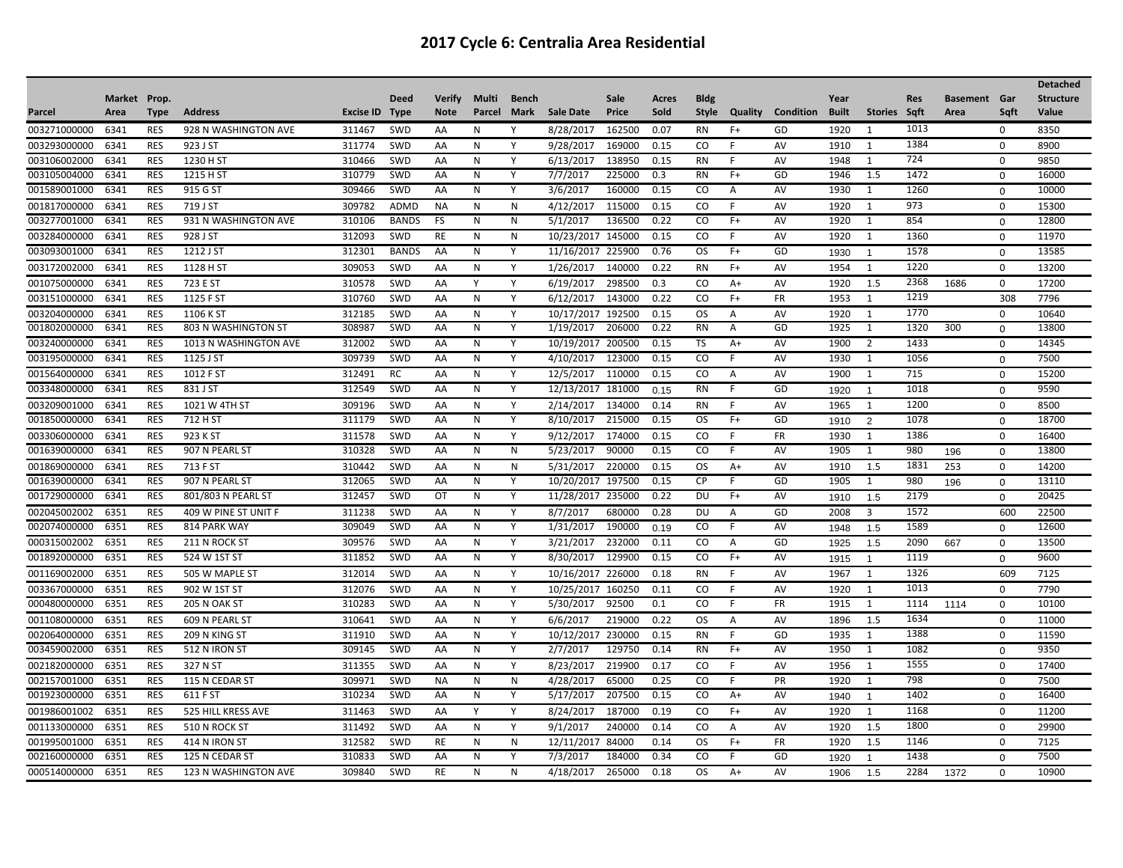|              |              |             |                       |           |              |               |              |       |                  |        |       |               |         |                  |              |                |            |                     |             | <b>Detached</b>  |
|--------------|--------------|-------------|-----------------------|-----------|--------------|---------------|--------------|-------|------------------|--------|-------|---------------|---------|------------------|--------------|----------------|------------|---------------------|-------------|------------------|
|              | Market Prop. |             |                       |           | <b>Deed</b>  | <b>Verify</b> | Multi        | Bench |                  | Sale   | Acres | <b>Bldg</b>   |         |                  | Year         |                | <b>Res</b> | <b>Basement Gar</b> |             | <b>Structure</b> |
| Parcel       | Area         | <b>Type</b> | <b>Address</b>        | Excise ID | <b>Type</b>  | <b>Note</b>   | Parcel       | Mark  | <b>Sale Date</b> | Price  | Sold  | Style         | Quality | <b>Condition</b> | <b>Built</b> | <b>Stories</b> | Saft       | Area                | Saft        | Value            |
| 003271000000 | 6341         | <b>RES</b>  | 928 N WASHINGTON AVE  | 311467    | SWD          | AA            | N            | Y     | 8/28/2017        | 162500 | 0.07  | <b>RN</b>     | $F+$    | GD               | 1920         | 1              | 1013       |                     | $\Omega$    | 8350             |
| 003293000000 | 6341         | <b>RES</b>  | 923 J ST              | 311774    | <b>SWD</b>   | AA            | N            | Y     | 9/28/2017        | 169000 | 0.15  | CO.           | F       | AV               | 1910         | 1              | 1384       |                     | 0           | 8900             |
| 003106002000 | 6341         | <b>RES</b>  | 1230 H ST             | 310466    | SWD          | AA            | N            | Y     | 6/13/2017        | 138950 | 0.15  | <b>RN</b>     | F       | AV               | 1948         | 1              | 724        |                     | $\Omega$    | 9850             |
| 003105004000 | 6341         | <b>RES</b>  | 1215 H ST             | 310779    | SWD          | AA            | N            | Y     | 7/7/2017         | 225000 | 0.3   | <b>RN</b>     | $F+$    | GD               | 1946         | 1.5            | 1472       |                     | $\mathbf 0$ | 16000            |
| 001589001000 | 6341         | <b>RES</b>  | 915 G ST              | 309466    | SWD          | AA            | N            | Y     | 3/6/2017         | 160000 | 0.15  | CO            | A       | AV               | 1930         | 1              | 1260       |                     | $\mathbf 0$ | 10000            |
| 001817000000 | 6341         | <b>RES</b>  | 719 J ST              | 309782    | <b>ADMD</b>  | <b>NA</b>     | N            | N     | 4/12/2017        | 115000 | 0.15  | CO            | F       | AV               | 1920         | 1              | 973        |                     | $\mathbf 0$ | 15300            |
| 003277001000 | 6341         | <b>RES</b>  | 931 N WASHINGTON AVE  | 310106    | <b>BANDS</b> | FS            | N            | N     | 5/1/2017         | 136500 | 0.22  | CO            | $F+$    | AV               | 1920         | 1              | 854        |                     | $\Omega$    | 12800            |
| 003284000000 | 6341         | <b>RES</b>  | 928 J ST              | 312093    | <b>SWD</b>   | RE            | N            | N     | 10/23/2017       | 145000 | 0.15  | CO            | F.      | AV               | 1920         | 1              | 1360       |                     | $\mathbf 0$ | 11970            |
| 003093001000 | 6341         | <b>RES</b>  | 1212 J ST             | 312301    | <b>BANDS</b> | AA            | N            | Y     | 11/16/2017       | 225900 | 0.76  | OS            | $F+$    | GD               | 1930         | $\overline{1}$ | 1578       |                     | $\Omega$    | 13585            |
| 003172002000 | 6341         | <b>RES</b>  | 1128 H ST             | 309053    | SWD          | AA            | $\mathsf{N}$ | Y     | 1/26/2017        | 140000 | 0.22  | <b>RN</b>     | $F+$    | AV               | 1954         | 1              | 1220       |                     | $\mathbf 0$ | 13200            |
| 001075000000 | 6341         | <b>RES</b>  | 723 E ST              | 310578    | <b>SWD</b>   | AA            | Y            | Y     | 6/19/2017        | 298500 | 0.3   | <sub>co</sub> | $A+$    | AV               | 1920         | 1.5            | 2368       | 1686                | 0           | 17200            |
| 003151000000 | 6341         | <b>RES</b>  | 1125 F ST             | 310760    | SWD          | AA            | N            | Y     | 6/12/2017        | 143000 | 0.22  | CO            | $F+$    | <b>FR</b>        | 1953         | 1              | 1219       |                     | 308         | 7796             |
| 003204000000 | 6341         | <b>RES</b>  | 1106 K ST             | 312185    | SWD          | AA            | N            | Y     | 10/17/2017       | 192500 | 0.15  | <b>OS</b>     | A       | AV               | 1920         | 1              | 1770       |                     | $\Omega$    | 10640            |
| 001802000000 | 6341         | <b>RES</b>  | 803 N WASHINGTON ST   | 308987    | SWD          | AA            | N            | Y     | 1/19/2017        | 206000 | 0.22  | <b>RN</b>     | A       | GD               | 1925         | 1              | 1320       | 300                 | $\mathbf 0$ | 13800            |
| 003240000000 | 6341         | <b>RES</b>  | 1013 N WASHINGTON AVE | 312002    | SWD          | AA            | N            | Y     | 10/19/2017       | 200500 | 0.15  | <b>TS</b>     | $A+$    | AV               | 1900         | $\overline{2}$ | 1433       |                     | $\Omega$    | 14345            |
| 003195000000 | 6341         | <b>RES</b>  | 1125 J ST             | 309739    | SWD          | AA            | N            | Y     | 4/10/2017        | 123000 | 0.15  | CO            | F.      | <b>AV</b>        | 1930         | 1              | 1056       |                     | $\mathbf 0$ | 7500             |
| 001564000000 | 6341         | <b>RES</b>  | 1012 F ST             | 312491    | RC           | AA            | N            | Y     | 12/5/2017        | 110000 | 0.15  | CO            | Α       | AV               | 1900         | 1              | 715        |                     | 0           | 15200            |
| 003348000000 | 6341         | <b>RES</b>  | 831 J ST              | 312549    | SWD          | AA            | N            | Y     | 12/13/2017       | 181000 | 0.15  | <b>RN</b>     | F       | GD               | 1920         | $\overline{1}$ | 1018       |                     | $\mathbf 0$ | 9590             |
| 003209001000 | 6341         | <b>RES</b>  | 1021 W 4TH ST         | 309196    | SWD          | AA            | N            | Y     | 2/14/2017        | 134000 | 0.14  | <b>RN</b>     | F       | AV               | 1965         | 1              | 1200       |                     | $\Omega$    | 8500             |
| 001850000000 | 6341         | <b>RES</b>  | 712 H ST              | 311179    | SWD          | AA            | N            | Y     | 8/10/2017        | 215000 | 0.15  | <b>OS</b>     | $F+$    | GD               | 1910         | 2              | 1078       |                     | $\mathbf 0$ | 18700            |
| 003306000000 | 6341         | <b>RES</b>  | 923 K ST              | 311578    | <b>SWD</b>   | AA            | N            | Y     | 9/12/2017        | 174000 | 0.15  | CO.           | F       | <b>FR</b>        | 1930         | 1              | 1386       |                     | 0           | 16400            |
| 001639000000 | 6341         | <b>RES</b>  | 907 N PEARL ST        | 310328    | SWD          | AA            | N            | N     | 5/23/2017        | 90000  | 0.15  | CO            | F       | <b>AV</b>        | 1905         | 1              | 980        | 196                 | $\mathbf 0$ | 13800            |
| 001869000000 | 6341         | <b>RES</b>  | 713 F ST              | 310442    | <b>SWD</b>   | AA            | N            | N     | 5/31/2017        | 220000 | 0.15  | <b>OS</b>     | $A+$    | AV               | 1910         | 1.5            | 1831       | 253                 | $\mathbf 0$ | 14200            |
| 001639000000 | 6341         | <b>RES</b>  | 907 N PEARL ST        | 312065    | SWD          | AA            | N            | Y     | 10/20/2017       | 197500 | 0.15  | <b>CP</b>     | F       | GD               | 1905         | 1              | 980        | 196                 | $\mathbf 0$ | 13110            |
| 001729000000 | 6341         | <b>RES</b>  | 801/803 N PEARL ST    | 312457    | SWD          | OT            | N            | Υ     | 11/28/2017       | 235000 | 0.22  | DU            | $F+$    | AV               | 1910         | 1.5            | 2179       |                     | $\Omega$    | 20425            |
| 002045002002 | 6351         | <b>RES</b>  | 409 W PINE ST UNIT F  | 311238    | <b>SWD</b>   | AA            | N            | Y     | 8/7/2017         | 680000 | 0.28  | DU            | A       | GD               | 2008         | 3              | 1572       |                     | 600         | 22500            |
| 002074000000 | 6351         | <b>RES</b>  | 814 PARK WAY          | 309049    | SWD          | AA            | N            | Y     | 1/31/2017        | 190000 | 0.19  | CO            | F       | AV               | 1948         | 1.5            | 1589       |                     | $\Omega$    | 12600            |
| 000315002002 | 6351         | <b>RES</b>  | 211 N ROCK ST         | 309576    | SWD          | AA            | N            | Y     | 3/21/2017        | 232000 | 0.11  | CO            | Α       | GD               | 1925         | 1.5            | 2090       | 667                 | $\mathbf 0$ | 13500            |
| 001892000000 | 6351         | <b>RES</b>  | 524 W 1ST ST          | 311852    | SWD          | AA            | N            | Y     | 8/30/2017        | 129900 | 0.15  | CO            | $F+$    | AV               | 1915         | $\overline{1}$ | 1119       |                     | $\mathbf 0$ | 9600             |
| 001169002000 | 6351         | <b>RES</b>  | 505 W MAPLE ST        | 312014    | SWD          | AA            | N            | Y     | 10/16/2017       | 226000 | 0.18  | <b>RN</b>     | F       | AV               | 1967         | 1              | 1326       |                     | 609         | 7125             |
| 003367000000 | 6351         | <b>RES</b>  | 902 W 1ST ST          | 312076    | <b>SWD</b>   | AA            | N            | Y     | 10/25/2017       | 160250 | 0.11  | CO.           | F       | AV               | 1920         | 1              | 1013       |                     | $\Omega$    | 7790             |
| 000480000000 | 6351         | <b>RES</b>  | 205 N OAK ST          | 310283    | <b>SWD</b>   | AA            | N            | Y     | 5/30/2017        | 92500  | 0.1   | CO            | F       | FR               | 1915         | 1              | 1114       | 1114                | $\mathbf 0$ | 10100            |
| 001108000000 | 6351         | <b>RES</b>  | 609 N PEARL ST        | 310641    | SWD          | AA            | N            | Y     | 6/6/2017         | 219000 | 0.22  | <b>OS</b>     | A       | AV               | 1896         | -1.5           | 1634       |                     | 0           | 11000            |
| 002064000000 | 6351         | <b>RES</b>  | 209 N KING ST         | 311910    | SWD          | AA            | $\mathsf{N}$ | Y     | 10/12/2017       | 230000 | 0.15  | <b>RN</b>     | F       | GD               | 1935         | 1              | 1388       |                     | $\mathbf 0$ | 11590            |
| 003459002000 | 6351         | <b>RES</b>  | <b>512 N IRON ST</b>  | 309145    | SWD          | AA            | N            | Y     | 2/7/2017         | 129750 | 0.14  | <b>RN</b>     | $F+$    | AV               | 1950         | 1              | 1082       |                     | $\Omega$    | 9350             |
| 002182000000 | 6351         | <b>RES</b>  | 327 N ST              | 311355    | SWD          | AA            | N            | Y     | 8/23/2017        | 219900 | 0.17  | CO            | F       | AV               | 1956         | 1              | 1555       |                     | 0           | 17400            |
| 002157001000 | 6351         | <b>RES</b>  | 115 N CEDAR ST        | 309971    | SWD          | <b>NA</b>     | N            | N     | 4/28/2017        | 65000  | 0.25  | <sub>co</sub> | F       | PR               | 1920         | 1              | 798        |                     | $\Omega$    | 7500             |
| 001923000000 | 6351         | <b>RES</b>  | 611 F ST              | 310234    | SWD          | AA            | N            | Y     | 5/17/2017        | 207500 | 0.15  | CO.           | A+      | AV               | 1940         | $\overline{1}$ | 1402       |                     | $\mathbf 0$ | 16400            |
| 001986001002 | 6351         | <b>RES</b>  | 525 HILL KRESS AVE    | 311463    | <b>SWD</b>   | AA            | Y            | Y     | 8/24/2017        | 187000 | 0.19  | CO.           | $F+$    | AV               | 1920         | 1              | 1168       |                     | $\mathbf 0$ | 11200            |
| 001133000000 | 6351         | <b>RES</b>  | 510 N ROCK ST         | 311492    | SWD          | AA            | $\mathsf{N}$ | Y     | 9/1/2017         | 240000 | 0.14  | CO            | Α       | AV               | 1920         | 1.5            | 1800       |                     | $\mathbf 0$ | 29900            |
| 001995001000 | 6351         | <b>RES</b>  | <b>414 N IRON ST</b>  | 312582    | SWD          | <b>RE</b>     | N            | N     | 12/11/2017       | 84000  | 0.14  | OS            | $F+$    | <b>FR</b>        | 1920         | 1.5            | 1146       |                     | $\mathbf 0$ | 7125             |
| 002160000000 | 6351         | <b>RES</b>  | 125 N CEDAR ST        | 310833    | <b>SWD</b>   | AA            | N            | Υ     | 7/3/2017         | 184000 | 0.34  | CO            | F       | GD               | 1920         | $\mathbf{1}$   | 1438       |                     | 0           | 7500             |
| 000514000000 | 6351         | <b>RES</b>  | 123 N WASHINGTON AVE  | 309840    | SWD          | <b>RE</b>     | N            | N     | 4/18/2017        | 265000 | 0.18  | <b>OS</b>     | $A+$    | AV               | 1906         | 1.5            | 2284       | 1372                | $\Omega$    | 10900            |
|              |              |             |                       |           |              |               |              |       |                  |        |       |               |         |                  |              |                |            |                     |             |                  |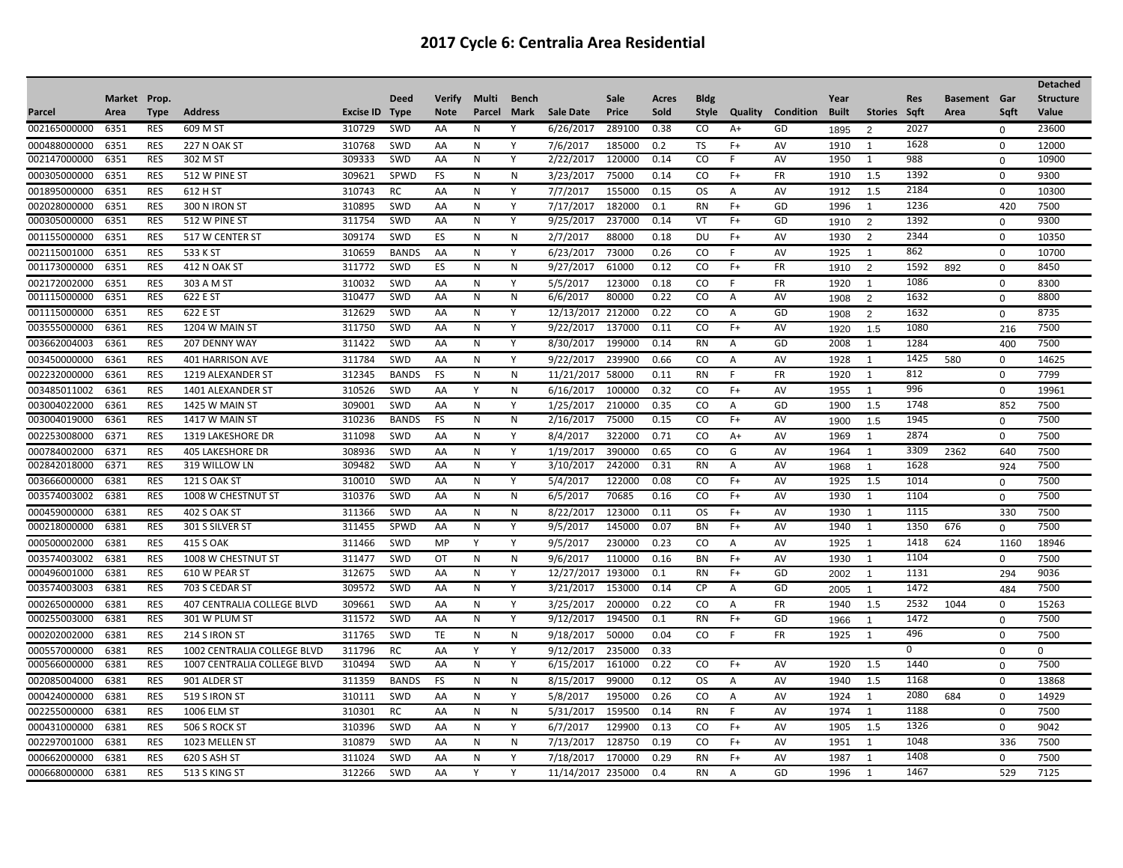|              |              |             |                             |           |              |               |        |              |                   |        |       |               |                |                  |              |                |            |                     |             | <b>Detached</b>  |
|--------------|--------------|-------------|-----------------------------|-----------|--------------|---------------|--------|--------------|-------------------|--------|-------|---------------|----------------|------------------|--------------|----------------|------------|---------------------|-------------|------------------|
|              | Market Prop. |             |                             |           | Deed         | <b>Verify</b> | Multi  | <b>Bench</b> |                   | Sale   | Acres | <b>Bldg</b>   |                |                  | Year         |                | <b>Res</b> | <b>Basement</b> Gar |             | <b>Structure</b> |
| Parcel       | Area         | <b>Type</b> | <b>Address</b>              | Excise ID | <b>Type</b>  | <b>Note</b>   | Parcel | Mark         | <b>Sale Date</b>  | Price  | Sold  | <b>Style</b>  | Quality        | <b>Condition</b> | <b>Built</b> | <b>Stories</b> | Sqft       | Area                | Saft        | <b>Value</b>     |
| 002165000000 | 6351         | <b>RES</b>  | 609 M ST                    | 310729    | <b>SWD</b>   | AA            | N      | Υ            | 6/26/2017         | 289100 | 0.38  | CO            | A+             | GD               | 1895         | 2              | 2027       |                     | $\Omega$    | 23600            |
| 000488000000 | 6351         | <b>RES</b>  | 227 N OAK ST                | 310768    | SWD          | AA            | N      | Y            | 7/6/2017          | 185000 | 0.2   | TS            | $F+$           | AV               | 1910         | 1              | 1628       |                     | $\mathbf 0$ | 12000            |
| 002147000000 | 6351         | <b>RES</b>  | 302 M ST                    | 309333    | SWD          | AA            | N      | Y            | 2/22/2017         | 120000 | 0.14  | CO            | F              | AV               | 1950         | 1              | 988        |                     | $\Omega$    | 10900            |
| 000305000000 | 6351         | <b>RES</b>  | 512 W PINE ST               | 309621    | SPWD         | <b>FS</b>     | N      | N            | 3/23/2017         | 75000  | 0.14  | CO            | $F+$           | <b>FR</b>        | 1910         | 1.5            | 1392       |                     | $\mathbf 0$ | 9300             |
| 001895000000 | 6351         | <b>RES</b>  | 612 H ST                    | 310743    | RC           | AA            | N      | Y            | 7/7/2017          | 155000 | 0.15  | <b>OS</b>     | A              | AV               | 1912         | 1.5            | 2184       |                     | $\Omega$    | 10300            |
| 002028000000 | 6351         | <b>RES</b>  | 300 N IRON ST               | 310895    | SWD          | AA            | N      | Y            | 7/17/2017         | 182000 | 0.1   | <b>RN</b>     | $F+$           | GD               | 1996         | 1              | 1236       |                     | 420         | 7500             |
| 000305000000 | 6351         | <b>RES</b>  | 512 W PINE ST               | 311754    | <b>SWD</b>   | AA            | N      | Y            | 9/25/2017         | 237000 | 0.14  | VT            | $F+$           | GD               | 1910         | $\overline{2}$ | 1392       |                     | $\Omega$    | 9300             |
| 001155000000 | 6351         | <b>RES</b>  | 517 W CENTER ST             | 309174    | SWD          | ES            | N      | N            | 2/7/2017          | 88000  | 0.18  | DU            | $F+$           | AV               | 1930         | 2              | 2344       |                     | $\mathbf 0$ | 10350            |
| 002115001000 | 6351         | <b>RES</b>  | 533 K ST                    | 310659    | <b>BANDS</b> | AA            | N      | Y            | 6/23/2017         | 73000  | 0.26  | CO            | F              | AV               | 1925         | 1              | 862        |                     | $\Omega$    | 10700            |
| 001173000000 | 6351         | <b>RES</b>  | 412 N OAK ST                | 311772    | SWD          | ES            | N      | N            | 9/27/2017         | 61000  | 0.12  | CO            | $F+$           | <b>FR</b>        | 1910         | $\overline{2}$ | 1592       | 892                 | $\mathbf 0$ | 8450             |
| 002172002000 | 6351         | <b>RES</b>  | 303 A M ST                  | 310032    | SWD          | AA            | N      | Y            | 5/5/2017          | 123000 | 0.18  | CO            | F              | <b>FR</b>        | 1920         | 1              | 1086       |                     | $\mathbf 0$ | 8300             |
| 001115000000 | 6351         | <b>RES</b>  | 622 E ST                    | 310477    | <b>SWD</b>   | AA            | N      | N            | 6/6/2017          | 80000  | 0.22  | CO            | Α              | AV               | 1908         | 2              | 1632       |                     | $\mathbf 0$ | 8800             |
| 001115000000 | 6351         | <b>RES</b>  | 622 E ST                    | 312629    | SWD          | AA            | N      | Y            | 12/13/2017        | 212000 | 0.22  | CO            | A              | GD               | 1908         | 2              | 1632       |                     | 0           | 8735             |
| 003555000000 | 6361         | <b>RES</b>  | 1204 W MAIN ST              | 311750    | <b>SWD</b>   | AA            | N      | Y            | 9/22/2017         | 137000 | 0.11  | CO            | $F+$           | AV               | 1920         | 1.5            | 1080       |                     | 216         | 7500             |
| 003662004003 | 6361         | <b>RES</b>  | 207 DENNY WAY               | 311422    | <b>SWD</b>   | AA            | N      | Y            | 8/30/2017         | 199000 | 0.14  | <b>RN</b>     | Α              | GD               | 2008         | 1              | 1284       |                     | 400         | 7500             |
| 003450000000 | 6361         | <b>RES</b>  | <b>401 HARRISON AVE</b>     | 311784    | <b>SWD</b>   | AA            | N      | Y            | 9/22/2017         | 239900 | 0.66  | <sub>co</sub> | $\overline{A}$ | AV               | 1928         | 1              | 1425       | 580                 | $\mathbf 0$ | 14625            |
| 002232000000 | 6361         | <b>RES</b>  | 1219 ALEXANDER ST           | 312345    | <b>BANDS</b> | <b>FS</b>     | N      | N            | 11/21/2017        | 58000  | 0.11  | <b>RN</b>     | F              | <b>FR</b>        | 1920         | 1              | 812        |                     | 0           | 7799             |
| 003485011002 | 6361         | <b>RES</b>  | 1401 ALEXANDER ST           | 310526    | SWD          | AA            | Y      | $\mathsf{N}$ | 6/16/2017         | 100000 | 0.32  | CO            | $F+$           | AV               | 1955         | 1              | 996        |                     | $\mathbf 0$ | 19961            |
| 003004022000 | 6361         | <b>RES</b>  | <b>1425 W MAIN ST</b>       | 309001    | SWD          | AA            | N      | Y            | 1/25/2017         | 210000 | 0.35  | <sub>co</sub> | A              | GD               | 1900         | 1.5            | 1748       |                     | 852         | 7500             |
| 003004019000 | 6361         | <b>RES</b>  | <b>1417 W MAIN ST</b>       | 310236    | <b>BANDS</b> | <b>FS</b>     | N      | N            | 2/16/2017         | 75000  | 0.15  | CO            | $F+$           | AV               | 1900         | 1.5            | 1945       |                     | $\mathbf 0$ | 7500             |
| 002253008000 | 6371         | <b>RES</b>  | <b>1319 LAKESHORE DR</b>    | 311098    | <b>SWD</b>   | AA            | N      | Y            | 8/4/2017          | 322000 | 0.71  | CO            | $A+$           | AV               | 1969         | 1              | 2874       |                     | $\Omega$    | 7500             |
| 000784002000 | 6371         | <b>RES</b>  | <b>405 LAKESHORE DR</b>     | 308936    | SWD          | AA            | N      | Y            | 1/19/2017         | 390000 | 0.65  | CO            | G              | AV               | 1964         | 1              | 3309       | 2362                | 640         | 7500             |
| 002842018000 | 6371         | <b>RES</b>  | 319 WILLOW LN               | 309482    | <b>SWD</b>   | AA            | N      | Υ            | 3/10/2017         | 242000 | 0.31  | <b>RN</b>     | Α              | AV               | 1968         | $\mathbf{1}$   | 1628       |                     | 924         | 7500             |
| 003666000000 | 6381         | <b>RES</b>  | <b>121 S OAK ST</b>         | 310010    | SWD          | AA            | N      | Y            | 5/4/2017          | 122000 | 0.08  | CO.           | $F+$           | AV               | 1925         | 1.5            | 1014       |                     | $\mathbf 0$ | 7500             |
| 003574003002 | 6381         | <b>RES</b>  | 1008 W CHESTNUT ST          | 310376    | SWD          | AA            | N      | N            | 6/5/2017          | 70685  | 0.16  | CO            | $F+$           | AV               | 1930         | 1              | 1104       |                     | $\Omega$    | 7500             |
| 000459000000 | 6381         | <b>RES</b>  | <b>402 S OAK ST</b>         | 311366    | SWD          | AA            | N      | N            | 8/22/2017         | 123000 | 0.11  | <b>OS</b>     | $F+$           | AV               | 1930         | 1              | 1115       |                     | 330         | 7500             |
| 000218000000 | 6381         | <b>RES</b>  | 301 S SILVER ST             | 311455    | SPWD         | AA            | N      | Y            | 9/5/2017          | 145000 | 0.07  | <b>BN</b>     | $F+$           | AV               | 1940         | 1              | 1350       | 676                 | $\mathbf 0$ | 7500             |
| 000500002000 | 6381         | <b>RES</b>  | 415 S OAK                   | 311466    | SWD          | MP            | Y      | Y            | 9/5/2017          | 230000 | 0.23  | CO            | Α              | AV               | 1925         | 1              | 1418       | 624                 | 1160        | 18946            |
| 003574003002 | 6381         | <b>RES</b>  | 1008 W CHESTNUT ST          | 311477    | <b>SWD</b>   | ОT            | N      | N            | 9/6/2017          | 110000 | 0.16  | <b>BN</b>     | $F+$           | AV               | 1930         | 1              | 1104       |                     | $\Omega$    | 7500             |
| 000496001000 | 6381         | <b>RES</b>  | 610 W PEAR ST               | 312675    | SWD          | AA            | N      | Υ            | 12/27/2017        | 193000 | 0.1   | <b>RN</b>     | $F+$           | GD               | 2002         | $\overline{1}$ | 1131       |                     | 294         | 9036             |
| 003574003003 | 6381         | <b>RES</b>  | 703 S CEDAR ST              | 309572    | SWD          | AA            | N      | Υ            | 3/21/2017         | 153000 | 0.14  | <b>CP</b>     | Α              | GD               | 2005         | $\mathbf{1}$   | 1472       |                     | 484         | 7500             |
| 000265000000 | 6381         | <b>RES</b>  | 407 CENTRALIA COLLEGE BLVD  | 309661    | SWD          | AA            | N      | Y            | 3/25/2017         | 200000 | 0.22  | CO            | A              | <b>FR</b>        | 1940         | 1.5            | 2532       | 1044                | 0           | 15263            |
| 000255003000 | 6381         | <b>RES</b>  | 301 W PLUM ST               | 311572    | SWD          | AA            | N      | Y            | 9/12/2017         | 194500 | 0.1   | <b>RN</b>     | $F+$           | GD               | 1966         | $\mathbf{1}$   | 1472       |                     | $\mathbf 0$ | 7500             |
| 000202002000 | 6381         | <b>RES</b>  | 214 S IRON ST               | 311765    | SWD          | TE            | N      | N            | 9/18/2017         | 50000  | 0.04  | CO            | F              | FR               | 1925         | 1              | 496        |                     | 0           | 7500             |
| 000557000000 | 6381         | <b>RES</b>  | 1002 CENTRALIA COLLEGE BLVD | 311796    | RC           | AA            | Y      | Y            | 9/12/2017         | 235000 | 0.33  |               |                |                  |              |                | 0          |                     | $\Omega$    | $\Omega$         |
| 000566000000 | 6381         | <b>RES</b>  | 1007 CENTRALIA COLLEGE BLVD | 310494    | <b>SWD</b>   | AA            | N      | Y            | 6/15/2017         | 161000 | 0.22  | CO            | $F+$           | AV               | 1920         | 1.5            | 1440       |                     | $\Omega$    | 7500             |
| 002085004000 | 6381         | <b>RES</b>  | 901 ALDER ST                | 311359    | <b>BANDS</b> | <b>FS</b>     | N      | $\mathsf{N}$ | 8/15/2017         | 99000  | 0.12  | <b>OS</b>     | A              | AV               | 1940         | 1.5            | 1168       |                     | $\mathbf 0$ | 13868            |
| 000424000000 | 6381         | <b>RES</b>  | <b>519 S IRON ST</b>        | 310111    | SWD          | AA            | N      | Y            | 5/8/2017          | 195000 | 0.26  | CO.           | Α              | AV               | 1924         | 1              | 2080       | 684                 | 0           | 14929            |
| 002255000000 | 6381         | <b>RES</b>  | 1006 ELM ST                 | 310301    | RC           | AA            | N      | N            | 5/31/2017         | 159500 | 0.14  | <b>RN</b>     | F              | AV               | 1974         | 1              | 1188       |                     | $\mathbf 0$ | 7500             |
| 000431000000 | 6381         | <b>RES</b>  | 506 S ROCK ST               | 310396    | SWD          | AA            | N      | Y            | 6/7/2017          | 129900 | 0.13  | <sub>co</sub> | $F+$           | AV               | 1905         | 1.5            | 1326       |                     | $\mathbf 0$ | 9042             |
| 002297001000 | 6381         | <b>RES</b>  | 1023 MELLEN ST              | 310879    | SWD          | AA            | N      | N            | 7/13/2017         | 128750 | 0.19  | CO            | $F+$           | AV               | 1951         | 1              | 1048       |                     | 336         | 7500             |
| 000662000000 | 6381         | <b>RES</b>  | 620 S ASH ST                | 311024    | <b>SWD</b>   | AA            | N      | Y            | 7/18/2017         | 170000 | 0.29  | <b>RN</b>     | $F+$           | AV               | 1987         | 1              | 1408       |                     | $\Omega$    | 7500             |
| 000668000000 | 6381         | <b>RES</b>  | 513 S KING ST               | 312266    | SWD          | AA            | Y      | Y            | 11/14/2017 235000 |        | 0.4   | <b>RN</b>     | $\overline{A}$ | GD               | 1996         | 1              | 1467       |                     | 529         | 7125             |
|              |              |             |                             |           |              |               |        |              |                   |        |       |               |                |                  |              |                |            |                     |             |                  |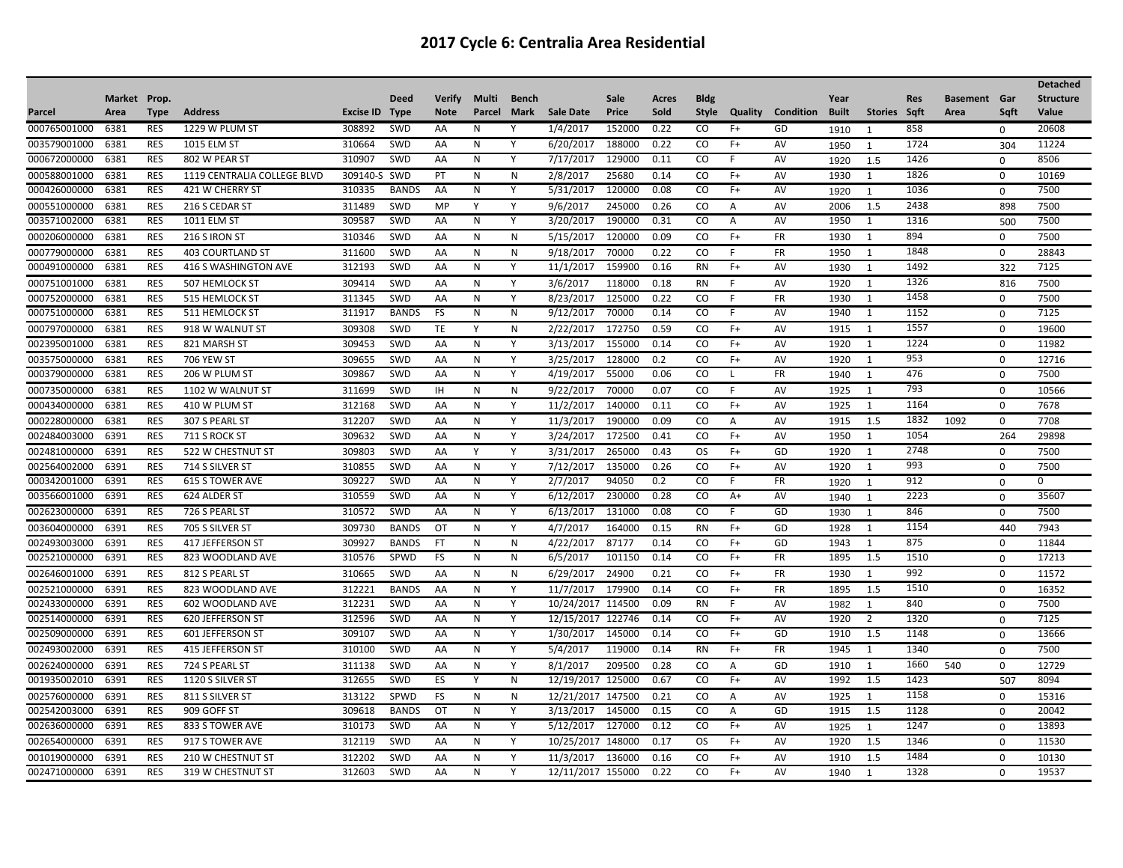|              |              |             |                             |           |              |               |        |              |                   |        |       |               |         |                  |              |                |             |                     |             | <b>Detached</b>  |
|--------------|--------------|-------------|-----------------------------|-----------|--------------|---------------|--------|--------------|-------------------|--------|-------|---------------|---------|------------------|--------------|----------------|-------------|---------------------|-------------|------------------|
|              | Market Prop. |             |                             |           | Deed         | <b>Verify</b> | Multi  | <b>Bench</b> |                   | Sale   | Acres | <b>Bldg</b>   |         |                  | Year         |                | <b>Res</b>  | <b>Basement</b> Gar |             | <b>Structure</b> |
| Parcel       | Area         | <b>Type</b> | <b>Address</b>              | Excise ID | <b>Type</b>  | <b>Note</b>   | Parcel | Mark         | <b>Sale Date</b>  | Price  | Sold  | <b>Style</b>  | Quality | <b>Condition</b> | <b>Built</b> | <b>Stories</b> | <b>Sqft</b> | Area                | Saft        | <b>Value</b>     |
| 000765001000 | 6381         | <b>RES</b>  | 1229 W PLUM ST              | 308892    | SWD          | AA            | N      | Υ            | 1/4/2017          | 152000 | 0.22  | CO            | $F+$    | GD               | 1910         | -1             | 858         |                     | $\Omega$    | 20608            |
| 003579001000 | 6381         | <b>RES</b>  | <b>1015 ELM ST</b>          | 310664    | <b>SWD</b>   | AA            | N      | Y            | 6/20/2017         | 188000 | 0.22  | CO            | $F+$    | AV               | 1950         | $\mathbf{1}$   | 1724        |                     | 304         | 11224            |
| 000672000000 | 6381         | <b>RES</b>  | 802 W PEAR ST               | 310907    | SWD          | AA            | N      | Y            | 7/17/2017         | 129000 | 0.11  | CO            | F       | AV               | 1920         | 1.5            | 1426        |                     | $\Omega$    | 8506             |
| 000588001000 | 6381         | <b>RES</b>  | 1119 CENTRALIA COLLEGE BLVD | 309140-S  | SWD          | PT            | N      | N            | 2/8/2017          | 25680  | 0.14  | CO            | $F+$    | AV               | 1930         | 1              | 1826        |                     | $\mathbf 0$ | 10169            |
| 000426000000 | 6381         | <b>RES</b>  | 421 W CHERRY ST             | 310335    | <b>BANDS</b> | AA            | N      | Y            | 5/31/2017         | 120000 | 0.08  | CO            | $F+$    | AV               | 1920         | $\overline{1}$ | 1036        |                     | $\mathbf 0$ | 7500             |
| 000551000000 | 6381         | <b>RES</b>  | 216 S CEDAR ST              | 311489    | SWD          | MP            | Y      | Y            | 9/6/2017          | 245000 | 0.26  | <sub>co</sub> | A       | AV               | 2006         | 1.5            | 2438        |                     | 898         | 7500             |
| 003571002000 | 6381         | <b>RES</b>  | <b>1011 ELM ST</b>          | 309587    | <b>SWD</b>   | AA            | N      | Y            | 3/20/2017         | 190000 | 0.31  | CO            | A       | AV               | 1950         | 1              | 1316        |                     | 500         | 7500             |
| 000206000000 | 6381         | <b>RES</b>  | 216 S IRON ST               | 310346    | <b>SWD</b>   | AA            | N      | N            | 5/15/2017         | 120000 | 0.09  | CO.           | $F+$    | <b>FR</b>        | 1930         | 1              | 894         |                     | $\mathbf 0$ | 7500             |
| 000779000000 | 6381         | <b>RES</b>  | <b>403 COURTLAND ST</b>     | 311600    | <b>SWD</b>   | AA            | N      | N            | 9/18/2017         | 70000  | 0.22  | CO            | F       | <b>FR</b>        | 1950         | 1              | 1848        |                     | 0           | 28843            |
| 000491000000 | 6381         | <b>RES</b>  | 416 S WASHINGTON AVE        | 312193    | <b>SWD</b>   | AA            | N      | Y            | 11/1/2017         | 159900 | 0.16  | <b>RN</b>     | $F+$    | AV               | 1930         | $\mathbf{1}$   | 1492        |                     | 322         | 7125             |
| 000751001000 | 6381         | <b>RES</b>  | 507 HEMLOCK ST              | 309414    | <b>SWD</b>   | AA            | N      | Y            | 3/6/2017          | 118000 | 0.18  | <b>RN</b>     | F       | AV               | 1920         | 1              | 1326        |                     | 816         | 7500             |
| 000752000000 | 6381         | <b>RES</b>  | 515 HEMLOCK ST              | 311345    | SWD          | AA            | N      | Y            | 8/23/2017         | 125000 | 0.22  | CO            | F       | FR               | 1930         | 1              | 1458        |                     | $\mathbf 0$ | 7500             |
| 000751000000 | 6381         | <b>RES</b>  | 511 HEMLOCK ST              | 311917    | <b>BANDS</b> | <b>FS</b>     | N      | N            | 9/12/2017         | 70000  | 0.14  | CO            | F       | AV               | 1940         | 1              | 1152        |                     | $\Omega$    | 7125             |
| 000797000000 | 6381         | <b>RES</b>  | 918 W WALNUT ST             | 309308    | SWD          | <b>TE</b>     | Y      | N            | 2/22/2017         | 172750 | 0.59  | <sub>co</sub> | $F+$    | AV               | 1915         | 1              | 1557        |                     | $\mathbf 0$ | 19600            |
| 002395001000 | 6381         | <b>RES</b>  | 821 MARSH ST                | 309453    | <b>SWD</b>   | AA            | N      | Y            | 3/13/2017         | 155000 | 0.14  | CO            | $F+$    | AV               | 1920         | 1              | 1224        |                     | $\Omega$    | 11982            |
| 003575000000 | 6381         | <b>RES</b>  | <b>706 YEW ST</b>           | 309655    | SWD          | AA            | N      | Y            | 3/25/2017         | 128000 | 0.2   | CO            | $F+$    | AV               | 1920         | 1              | 953         |                     | $\mathbf 0$ | 12716            |
| 000379000000 | 6381         | <b>RES</b>  | 206 W PLUM ST               | 309867    | SWD          | AA            | N      | Υ            | 4/19/2017         | 55000  | 0.06  | CO            | L.      | FR               | 1940         | $\overline{1}$ | 476         |                     | 0           | 7500             |
| 000735000000 | 6381         | <b>RES</b>  | 1102 W WALNUT ST            | 311699    | SWD          | IH            | N      | N            | 9/22/2017         | 70000  | 0.07  | CO            | F       | AV               | 1925         | 1              | 793         |                     | $\mathbf 0$ | 10566            |
| 000434000000 | 6381         | <b>RES</b>  | 410 W PLUM ST               | 312168    | <b>SWD</b>   | AA            | N      | Y            | 11/2/2017         | 140000 | 0.11  | CO            | $F+$    | AV               | 1925         | 1              | 1164        |                     | $\Omega$    | 7678             |
| 000228000000 | 6381         | <b>RES</b>  | 307 S PEARL ST              | 312207    | <b>SWD</b>   | AA            | N      | Y            | 11/3/2017         | 190000 | 0.09  | CO            | A       | AV               | 1915         | 1.5            | 1832        | 1092                | $\mathbf 0$ | 7708             |
| 002484003000 | 6391         | <b>RES</b>  | 711 S ROCK ST               | 309632    | <b>SWD</b>   | AA            | N      | Y            | 3/24/2017         | 172500 | 0.41  | <sub>co</sub> | $F+$    | AV               | 1950         | 1              | 1054        |                     | 264         | 29898            |
| 002481000000 | 6391         | <b>RES</b>  | 522 W CHESTNUT ST           | 309803    | SWD          | AA            | Y      | Y            | 3/31/2017         | 265000 | 0.43  | <b>OS</b>     | $F+$    | GD               | 1920         | 1              | 2748        |                     | $\mathbf 0$ | 7500             |
| 002564002000 | 6391         | <b>RES</b>  | 714 S SILVER ST             | 310855    | <b>SWD</b>   | AA            | N      | Y            | 7/12/2017         | 135000 | 0.26  | CO            | $F+$    | AV               | 1920         | 1              | 993         |                     | $\mathbf 0$ | 7500             |
| 000342001000 | 6391         | <b>RES</b>  | <b>615 S TOWER AVE</b>      | 309227    | <b>SWD</b>   | AA            | N      | Y            | 2/7/2017          | 94050  | 0.2   | CO            | F.      | <b>FR</b>        | 1920         | $\overline{1}$ | 912         |                     | $\mathbf 0$ | $\mathbf 0$      |
| 003566001000 | 6391         | <b>RES</b>  | 624 ALDER ST                | 310559    | <b>SWD</b>   | AA            | N      | Y            | 6/12/2017         | 230000 | 0.28  | CO            | A+      | AV               | 1940         | $\overline{1}$ | 2223        |                     | $\Omega$    | 35607            |
| 002623000000 | 6391         | <b>RES</b>  | 726 S PEARL ST              | 310572    | <b>SWD</b>   | AA            | N      | Y            | 6/13/2017         | 131000 | 0.08  | <sub>co</sub> | F       | GD               | 1930         | $\mathbf{1}$   | 846         |                     | $\mathbf 0$ | 7500             |
| 003604000000 | 6391         | <b>RES</b>  | 705 S SILVER ST             | 309730    | <b>BANDS</b> | OT            | N      | Y            | 4/7/2017          | 164000 | 0.15  | <b>RN</b>     | $F+$    | GD               | 1928         | 1              | 1154        |                     | 440         | 7943             |
| 002493003000 | 6391         | <b>RES</b>  | 417 JEFFERSON ST            | 309927    | <b>BANDS</b> | FT            | N      | N            | 4/22/2017         | 87177  | 0.14  | CO            | $F+$    | GD               | 1943         | 1              | 875         |                     | $\mathbf 0$ | 11844            |
| 002521000000 | 6391         | <b>RES</b>  | 823 WOODLAND AVE            | 310576    | SPWD         | <b>FS</b>     | N      | N            | 6/5/2017          | 101150 | 0.14  | CO            | $F+$    | FR               | 1895         | 1.5            | 1510        |                     | 0           | 17213            |
| 002646001000 | 6391         | <b>RES</b>  | 812 S PEARL ST              | 310665    | SWD          | AA            | N      | ${\sf N}$    | 6/29/2017         | 24900  | 0.21  | CO            | $F+$    | FR               | 1930         | 1              | 992         |                     | $\mathbf 0$ | 11572            |
| 002521000000 | 6391         | <b>RES</b>  | 823 WOODLAND AVE            | 312221    | <b>BANDS</b> | AA            | N      | Y            | 11/7/2017         | 179900 | 0.14  | CO            | $F+$    | <b>FR</b>        | 1895         | 1.5            | 1510        |                     | $\Omega$    | 16352            |
| 002433000000 | 6391         | <b>RES</b>  | 602 WOODLAND AVE            | 312231    | <b>SWD</b>   | AA            | N      | Y            | 10/24/2017        | 114500 | 0.09  | <b>RN</b>     | F.      | <b>AV</b>        | 1982         | $\overline{1}$ | 840         |                     | $\mathbf 0$ | 7500             |
| 002514000000 | 6391         | <b>RES</b>  | 620 JEFFERSON ST            | 312596    | SWD          | AA            | N      | Υ            | 12/15/2017 122746 |        | 0.14  | CO            | $F+$    | AV               | 1920         | $\overline{2}$ | 1320        |                     | $\mathbf 0$ | 7125             |
| 002509000000 | 6391         | <b>RES</b>  | 601 JEFFERSON ST            | 309107    | <b>SWD</b>   | AA            | N      | Y            | 1/30/2017         | 145000 | 0.14  | <sub>co</sub> | $F+$    | GD               | 1910         | 1.5            | 1148        |                     | $\mathbf 0$ | 13666            |
| 002493002000 | 6391         | <b>RES</b>  | 415 JEFFERSON ST            | 310100    | SWD          | AA            | N      | Y            | 5/4/2017          | 119000 | 0.14  | <b>RN</b>     | $F+$    | <b>FR</b>        | 1945         | 1              | 1340        |                     | $\Omega$    | 7500             |
| 002624000000 | 6391         | <b>RES</b>  | 724 S PEARL ST              | 311138    | SWD          | AA            | N      | Y            | 8/1/2017          | 209500 | 0.28  | CO            | Α       | GD               | 1910         | 1              | 1660        | 540                 | 0           | 12729            |
| 001935002010 | 6391         | <b>RES</b>  | 1120 S SILVER ST            | 312655    | SWD          | ES            | Y      | N            | 12/19/2017        | 125000 | 0.67  | <sub>co</sub> | $F+$    | AV               | 1992         | 1.5            | 1423        |                     | 507         | 8094             |
| 002576000000 | 6391         | <b>RES</b>  | 811 S SILVER ST             | 313122    | SPWD         | FS            | N      | $\mathsf{N}$ | 12/21/2017 147500 |        | 0.21  | <sub>co</sub> | Α       | AV               | 1925         | 1              | 1158        |                     | $\mathbf 0$ | 15316            |
| 002542003000 | 6391         | <b>RES</b>  | 909 GOFF ST                 | 309618    | <b>BANDS</b> | OT            | N      | Y            | 3/13/2017         | 145000 | 0.15  | CO            | Α       | GD               | 1915         | 1.5            | 1128        |                     | $\Omega$    | 20042            |
| 002636000000 | 6391         | <b>RES</b>  | 833 S TOWER AVE             | 310173    | SWD          | AA            | N      | Y            | 5/12/2017         | 127000 | 0.12  | CO            | $F+$    | AV               | 1925         | -1             | 1247        |                     | $\mathbf 0$ | 13893            |
| 002654000000 | 6391         | <b>RES</b>  | 917 S TOWER AVE             | 312119    | SWD          | AA            | N      | Y            | 10/25/2017        | 148000 | 0.17  | OS            | $F+$    | AV               | 1920         | 1.5            | 1346        |                     | $\mathbf 0$ | 11530            |
| 001019000000 | 6391         | <b>RES</b>  | 210 W CHESTNUT ST           | 312202    | <b>SWD</b>   | AA            | N      | Υ            | 11/3/2017         | 136000 | 0.16  | CO            | $F+$    | AV               | 1910         | 1.5            | 1484        |                     | 0           | 10130            |
| 002471000000 | 6391         | <b>RES</b>  | 319 W CHESTNUT ST           | 312603    | <b>SWD</b>   | AA            | N      | Y            | 12/11/2017 155000 |        | 0.22  | CO            | $F+$    | AV               | 1940         | $\overline{1}$ | 1328        |                     | $\Omega$    | 19537            |
|              |              |             |                             |           |              |               |        |              |                   |        |       |               |         |                  |              |                |             |                     |             |                  |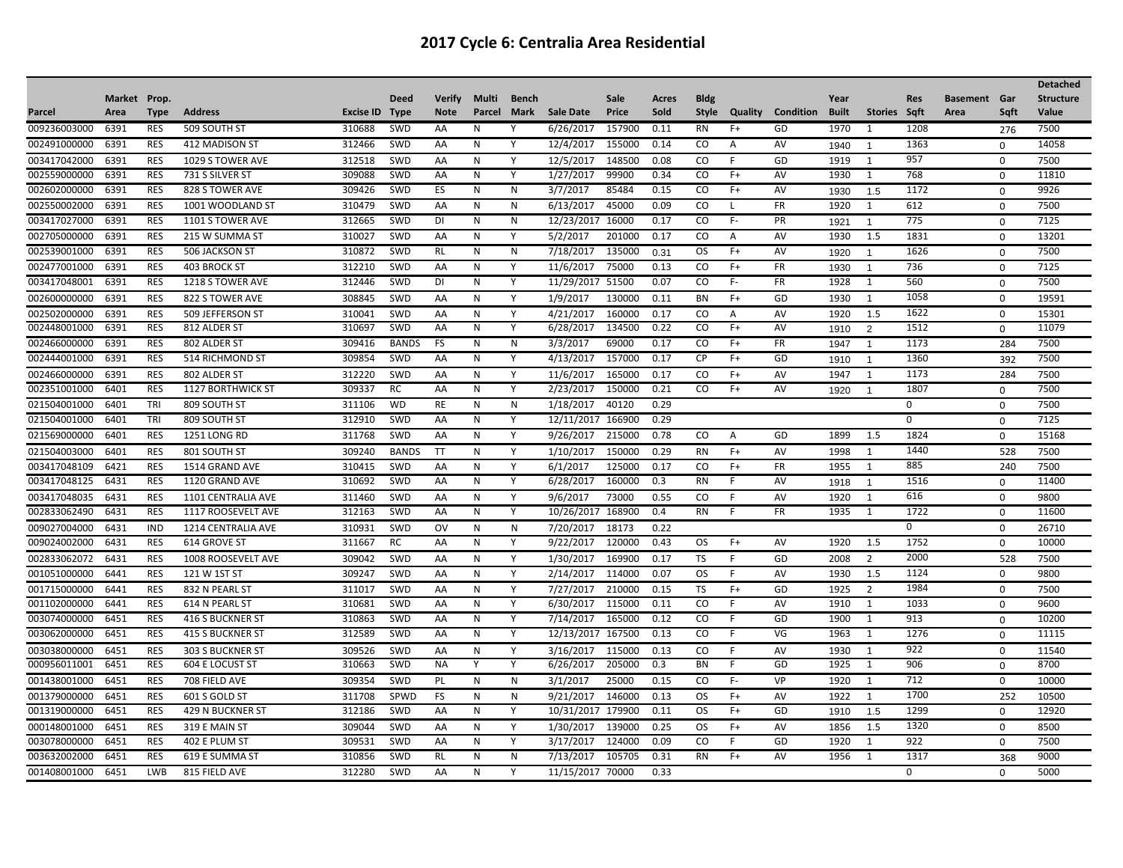|              |              |             |                          |           |              |               |        |              |                  |        |       |               |              |                  |       |                |            |                     |             | <b>Detached</b>  |
|--------------|--------------|-------------|--------------------------|-----------|--------------|---------------|--------|--------------|------------------|--------|-------|---------------|--------------|------------------|-------|----------------|------------|---------------------|-------------|------------------|
|              | Market Prop. |             |                          |           | <b>Deed</b>  | <b>Verify</b> | Multi  | <b>Bench</b> |                  | Sale   | Acres | <b>Bldg</b>   |              |                  | Year  |                | <b>Res</b> | <b>Basement</b> Gar |             | <b>Structure</b> |
| Parcel       | Area         | <b>Type</b> | <b>Address</b>           | Excise ID | <b>Type</b>  | <b>Note</b>   | Parcel | Mark         | <b>Sale Date</b> | Price  | Sold  | Style         | Quality      | <b>Condition</b> | Built | <b>Stories</b> | Saft       | Area                | Saft        | Value            |
| 009236003000 | 6391         | <b>RES</b>  | 509 SOUTH ST             | 310688    | <b>SWD</b>   | AA            | N      | Y            | 6/26/2017        | 157900 | 0.11  | <b>RN</b>     | $F+$         | GD               | 1970  | 1              | 1208       |                     | 276         | 7500             |
| 002491000000 | 6391         | <b>RES</b>  | 412 MADISON ST           | 312466    | SWD          | AA            | N      | Υ            | 12/4/2017        | 155000 | 0.14  | CO.           | A            | AV               | 1940  | $\overline{1}$ | 1363       |                     | 0           | 14058            |
| 003417042000 | 6391         | <b>RES</b>  | 1029 S TOWER AVE         | 312518    | SWD          | AA            | N      | Y            | 12/5/2017        | 148500 | 0.08  | CO            | F            | GD               | 1919  | 1              | 957        |                     | $\Omega$    | 7500             |
| 002559000000 | 6391         | <b>RES</b>  | 731 S SILVER ST          | 309088    | SWD          | AA            | N      | Y            | 1/27/2017        | 99900  | 0.34  | CO            | $F+$         | AV               | 1930  | 1              | 768        |                     | 0           | 11810            |
| 002602000000 | 6391         | <b>RES</b>  | 828 S TOWER AVE          | 309426    | SWD          | ES            | N      | N            | 3/7/2017         | 85484  | 0.15  | CO            | $F+$         | AV               | 1930  | 1.5            | 1172       |                     | $\Omega$    | 9926             |
| 002550002000 | 6391         | <b>RES</b>  | 1001 WOODLAND ST         | 310479    | SWD          | AA            | N      | $\mathsf{N}$ | 6/13/2017        | 45000  | 0.09  | CO.           | $\mathbf{I}$ | <b>FR</b>        | 1920  | 1              | 612        |                     | $\mathbf 0$ | 7500             |
| 003417027000 | 6391         | <b>RES</b>  | 1101 S TOWER AVE         | 312665    | SWD          | DI            | N      | $\mathsf{N}$ | 12/23/2017       | 16000  | 0.17  | <sub>co</sub> | $F -$        | PR               | 1921  | $\mathbf{1}$   | 775        |                     | $\Omega$    | 7125             |
| 002705000000 | 6391         | <b>RES</b>  | 215 W SUMMA ST           | 310027    | SWD          | AA            | N      | Y            | 5/2/2017         | 201000 | 0.17  | <sub>co</sub> | Α            | AV               | 1930  | 1.5            | 1831       |                     | $\mathbf 0$ | 13201            |
| 002539001000 | 6391         | <b>RES</b>  | 506 JACKSON ST           | 310872    | SWD          | <b>RL</b>     | N      | $\mathsf{N}$ | 7/18/2017        | 135000 | 0.31  | OS.           | F+           | AV               | 1920  | $\overline{1}$ | 1626       |                     | $\Omega$    | 7500             |
| 002477001000 | 6391         | <b>RES</b>  | 403 BROCK ST             | 312210    | SWD          | AA            | N      | Y            | 11/6/2017        | 75000  | 0.13  | CO.           | $F+$         | FR               | 1930  | $\mathbf{1}$   | 736        |                     | $\mathbf 0$ | 7125             |
| 003417048001 | 6391         | <b>RES</b>  | 1218 S TOWER AVE         | 312446    | SWD          | DI            | N      | Y            | 11/29/2017       | 51500  | 0.07  | CO            | $F -$        | FR               | 1928  | $\mathbf{1}$   | 560        |                     | $\Omega$    | 7500             |
| 002600000000 | 6391         | <b>RES</b>  | 822 S TOWER AVE          | 308845    | SWD          | AA            | N      | Y            | 1/9/2017         | 130000 | 0.11  | <b>BN</b>     | $F+$         | GD               | 1930  | $\mathbf{1}$   | 1058       |                     | $\mathbf 0$ | 19591            |
| 002502000000 | 6391         | <b>RES</b>  | 509 JEFFERSON ST         | 310041    | SWD          | AA            | N      | Y            | 4/21/2017        | 160000 | 0.17  | <sub>CO</sub> | Α            | AV               | 1920  | 1.5            | 1622       |                     | $\mathbf 0$ | 15301            |
| 002448001000 | 6391         | <b>RES</b>  | 812 ALDER ST             | 310697    | SWD          | AA            | N      | Y            | 6/28/2017        | 134500 | 0.22  | CO.           | $F+$         | AV               | 1910  | $\overline{2}$ | 1512       |                     | $\mathbf 0$ | 11079            |
| 002466000000 | 6391         | <b>RES</b>  | 802 ALDER ST             | 309416    | <b>BANDS</b> | FS            | N      | N            | 3/3/2017         | 69000  | 0.17  | CO            | $F+$         | FR               | 1947  | $\overline{1}$ | 1173       |                     | 284         | 7500             |
| 002444001000 | 6391         | <b>RES</b>  | 514 RICHMOND ST          | 309854    | SWD          | AA            | N      | Υ            | 4/13/2017        | 157000 | 0.17  | CP            | $F+$         | GD               | 1910  | $\overline{1}$ | 1360       |                     | 392         | 7500             |
| 002466000000 | 6391         | <b>RES</b>  | 802 ALDER ST             | 312220    | <b>SWD</b>   | AA            | N      | Y            | 11/6/2017        | 165000 | 0.17  | CO.           | $F+$         | AV               | 1947  | 1              | 1173       |                     | 284         | 7500             |
| 002351001000 | 6401         | <b>RES</b>  | <b>1127 BORTHWICK ST</b> | 309337    | <b>RC</b>    | AA            | N      | Y            | 2/23/2017        | 150000 | 0.21  | <sub>CO</sub> | $F+$         | AV               | 1920  | $\overline{1}$ | 1807       |                     | $\mathbf 0$ | 7500             |
| 021504001000 | 6401         | TRI         | 809 SOUTH ST             | 311106    | <b>WD</b>    | RE            | N      | $\mathsf{N}$ | 1/18/2017        | 40120  | 0.29  |               |              |                  |       |                | 0          |                     | $\mathbf 0$ | 7500             |
| 021504001000 | 6401         | TRI         | 809 SOUTH ST             | 312910    | SWD          | AA            | N      | Y            | 12/11/2017       | 166900 | 0.29  |               |              |                  |       |                | 0          |                     | $\mathbf 0$ | 7125             |
| 021569000000 | 6401         | <b>RES</b>  | <b>1251 LONG RD</b>      | 311768    | SWD          | AA            | N      | Y            | 9/26/2017        | 215000 | 0.78  | <sub>co</sub> | Α            | GD               | 1899  | 1.5            | 1824       |                     | $\Omega$    | 15168            |
| 021504003000 | 6401         | <b>RES</b>  | 801 SOUTH ST             | 309240    | <b>BANDS</b> | <b>TT</b>     | N      | Y            | 1/10/2017        | 150000 | 0.29  | <b>RN</b>     | $F+$         | AV               | 1998  | 1              | 1440       |                     | 528         | 7500             |
| 003417048109 | 6421         | <b>RES</b>  | 1514 GRAND AVE           | 310415    | SWD          | AA            | N      | Y            | 6/1/2017         | 125000 | 0.17  | CO.           | $F+$         | <b>FR</b>        | 1955  | 1              | 885        |                     | 240         | 7500             |
| 003417048125 | 6431         | RES         | 1120 GRAND AVE           | 310692    | SWD          | AA            | N      | Y            | 6/28/2017        | 160000 | 0.3   | <b>RN</b>     | F            | AV               | 1918  | $\overline{1}$ | 1516       |                     | 0           | 11400            |
| 003417048035 | 6431         | <b>RES</b>  | 1101 CENTRALIA AVE       | 311460    | SWD          | AA            | N      | Y            | 9/6/2017         | 73000  | 0.55  | CO.           | F            | AV               | 1920  | 1              | 616        |                     | 0           | 9800             |
| 002833062490 | 6431         | <b>RES</b>  | 1117 ROOSEVELT AVE       | 312163    | SWD          | AA            | N      | Y            | 10/26/2017       | 168900 | 0.4   | <b>RN</b>     | F            | FR               | 1935  | 1              | 1722       |                     | $\mathbf 0$ | 11600            |
| 009027004000 | 6431         | <b>IND</b>  | 1214 CENTRALIA AVE       | 310931    | SWD          | OV            | N      | $\mathsf{N}$ | 7/20/2017        | 18173  | 0.22  |               |              |                  |       |                | $\Omega$   |                     | $\mathbf 0$ | 26710            |
| 009024002000 | 6431         | <b>RES</b>  | 614 GROVE ST             | 311667    | <b>RC</b>    | AA            | N      | Y            | 9/22/2017        | 120000 | 0.43  | OS.           | $F+$         | AV               | 1920  | 1.5            | 1752       |                     | $\Omega$    | 10000            |
| 002833062072 | 6431         | <b>RES</b>  | 1008 ROOSEVELT AVE       | 309042    | SWD          | AA            | N      | Y            | 1/30/2017        | 169900 | 0.17  | TS            | F            | GD               | 2008  | 2              | 2000       |                     | 528         | 7500             |
| 001051000000 | 6441         | <b>RES</b>  | 121 W 1ST ST             | 309247    | SWD          | AA            | N      | Y            | 2/14/2017        | 114000 | 0.07  | <b>OS</b>     | F            | AV               | 1930  | 1.5            | 1124       |                     | $\mathbf 0$ | 9800             |
| 001715000000 | 6441         | <b>RES</b>  | 832 N PEARL ST           | 311017    | <b>SWD</b>   | AA            | N      | Y            | 7/27/2017        | 210000 | 0.15  | TS            | $F+$         | GD               | 1925  | $\overline{2}$ | 1984       |                     | 0           | 7500             |
| 001102000000 | 6441         | <b>RES</b>  | 614 N PEARL ST           | 310681    | SWD          | AA            | N      | Y            | 6/30/2017        | 115000 | 0.11  | CO            | F            | AV               | 1910  | 1              | 1033       |                     | $\Omega$    | 9600             |
| 003074000000 | 6451         | <b>RES</b>  | 416 S BUCKNER ST         | 310863    | SWD          | AA            | N      | Υ            | 7/14/2017        | 165000 | 0.12  | CO            | F            | GD               | 1900  | 1              | 913        |                     | $\mathbf 0$ | 10200            |
| 003062000000 | 6451         | <b>RES</b>  | <b>415 S BUCKNER ST</b>  | 312589    | SWD          | AA            | N      | Y            | 12/13/2017       | 167500 | 0.13  | <sub>co</sub> | F            | VG               | 1963  | 1              | 1276       |                     | $\mathbf 0$ | 11115            |
| 003038000000 | 6451         | <b>RES</b>  | 303 S BUCKNER ST         | 309526    | SWD          | AA            | N      | Y            | 3/16/2017        | 115000 | 0.13  | CO            | F            | AV               | 1930  | 1              | 922        |                     | $\Omega$    | 11540            |
| 000956011001 | 6451         | <b>RES</b>  | <b>604 E LOCUST ST</b>   | 310663    | SWD          | ΝA            | Y      | Y            | 6/26/2017        | 205000 | 0.3   | BN            | F            | GD               | 1925  | 1              | 906        |                     | $\Omega$    | 8700             |
| 001438001000 | 6451         | <b>RES</b>  | 708 FIELD AVE            | 309354    | SWD          | <b>PL</b>     | N      | N            | 3/1/2017         | 25000  | 0.15  | .co           | F-           | <b>VP</b>        | 1920  | 1              | 712        |                     | $\mathbf 0$ | 10000            |
| 001379000000 | 6451         | <b>RES</b>  | 601 S GOLD ST            | 311708    | SPWD         | FS            | N      | N            | 9/21/2017        | 146000 | 0.13  | OS.           | $F+$         | AV               | 1922  | 1              | 1700       |                     | 252         | 10500            |
| 001319000000 | 6451         | <b>RES</b>  | 429 N BUCKNER ST         | 312186    | SWD          | AA            | N      | Y            | 10/31/2017       | 179900 | 0.11  | OS.           | $F+$         | GD               | 1910  | 1.5            | 1299       |                     | $\mathbf 0$ | 12920            |
| 000148001000 | 6451         | <b>RES</b>  | 319 E MAIN ST            | 309044    | SWD          | AA            | N      | Y            | 1/30/2017        | 139000 | 0.25  | OS.           | $F+$         | AV               | 1856  | 1.5            | 1320       |                     | $\Omega$    | 8500             |
| 003078000000 | 6451         | <b>RES</b>  | 402 E PLUM ST            | 309531    | SWD          | AA            | N      | Y            | 3/17/2017        | 124000 | 0.09  | CO            | F            | GD               | 1920  | 1              | 922        |                     | 0           | 7500             |
| 003632002000 | 6451         | <b>RES</b>  | 619 E SUMMA ST           | 310856    | SWD          | <b>RL</b>     | N      | N            | 7/13/2017        | 105705 | 0.31  | <b>RN</b>     | $F+$         | AV               | 1956  | 1              | 1317       |                     | 368         | 9000             |
| 001408001000 | 6451         | <b>LWB</b>  | 815 FIELD AVE            | 312280    | SWD          | AA            | N      | Y            | 11/15/2017       | 70000  | 0.33  |               |              |                  |       |                | 0          |                     | $\Omega$    | 5000             |
|              |              |             |                          |           |              |               |        |              |                  |        |       |               |              |                  |       |                |            |                     |             |                  |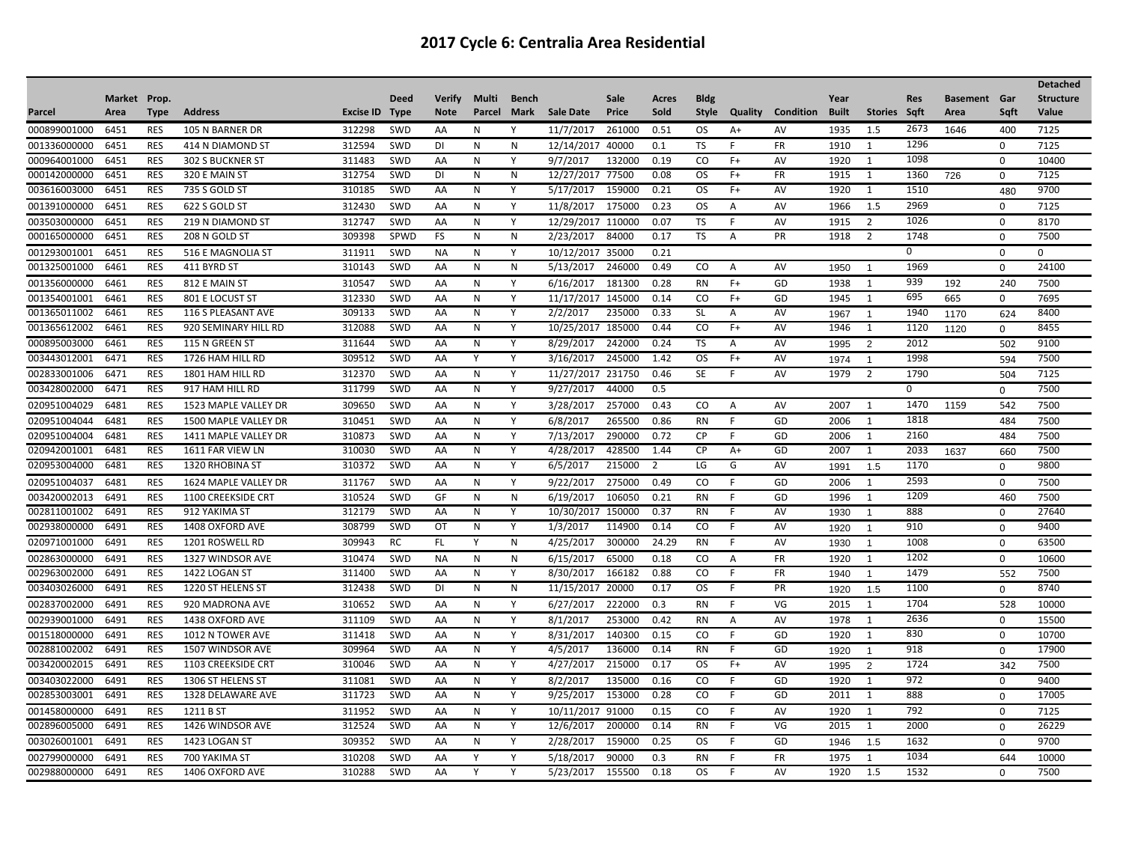|              |              |             |                           |           |             |               |              |           |                  |        |                |              |                |                  |              |                |            |                     |             | <b>Detached</b>  |
|--------------|--------------|-------------|---------------------------|-----------|-------------|---------------|--------------|-----------|------------------|--------|----------------|--------------|----------------|------------------|--------------|----------------|------------|---------------------|-------------|------------------|
|              | Market Prop. |             |                           |           | <b>Deed</b> | <b>Verify</b> | Multi        | Bench     |                  | Sale   | Acres          | <b>Bldg</b>  |                |                  | Year         |                | <b>Res</b> | <b>Basement Gar</b> |             | <b>Structure</b> |
| Parcel       | Area         | <b>Type</b> | <b>Address</b>            | Excise ID | <b>Type</b> | <b>Note</b>   | Parcel       | Mark      | <b>Sale Date</b> | Price  | Sold           | <b>Style</b> | Quality        | <b>Condition</b> | <b>Built</b> | <b>Stories</b> | Saft       | Area                | Saft        | Value            |
| 000899001000 | 6451         | <b>RES</b>  | 105 N BARNER DR           | 312298    | <b>SWD</b>  | AA            | N            | Y         | 11/7/2017        | 261000 | 0.51           | <b>OS</b>    | $A+$           | AV               | 1935         | 1.5            | 2673       | 1646                | 400         | 7125             |
| 001336000000 | 6451         | <b>RES</b>  | 414 N DIAMOND ST          | 312594    | <b>SWD</b>  | DI            | N            | N         | 12/14/2017       | 40000  | 0.1            | TS           | F              | <b>FR</b>        | 1910         | 1              | 1296       |                     | 0           | 7125             |
| 000964001000 | 6451         | <b>RES</b>  | <b>302 S BUCKNER ST</b>   | 311483    | <b>SWD</b>  | AA            | N            | Y         | 9/7/2017         | 132000 | 0.19           | CO           | $F+$           | AV               | 1920         | 1              | 1098       |                     | $\Omega$    | 10400            |
| 000142000000 | 6451         | <b>RES</b>  | 320 E MAIN ST             | 312754    | SWD         | <b>DI</b>     | N            | N         | 12/27/2017       | 77500  | 0.08           | <b>OS</b>    | $F+$           | <b>FR</b>        | 1915         | 1              | 1360       | 726                 | $\mathbf 0$ | 7125             |
| 003616003000 | 6451         | <b>RES</b>  | 735 S GOLD ST             | 310185    | SWD         | AA            | N            | Y         | 5/17/2017        | 159000 | 0.21           | <b>OS</b>    | $F+$           | AV               | 1920         | 1              | 1510       |                     | 480         | 9700             |
| 001391000000 | 6451         | <b>RES</b>  | 622 S GOLD ST             | 312430    | SWD         | AA            | N            | Y         | 11/8/2017        | 175000 | 0.23           | <b>OS</b>    | Α              | AV               | 1966         | 1.5            | 2969       |                     | $\mathbf 0$ | 7125             |
| 003503000000 | 6451         | <b>RES</b>  | <b>219 N DIAMOND ST</b>   | 312747    | SWD         | AA            | N            | Y         | 12/29/2017       | 110000 | 0.07           | TS           | F              | AV               | 1915         | 2              | 1026       |                     | $\Omega$    | 8170             |
| 000165000000 | 6451         | <b>RES</b>  | 208 N GOLD ST             | 309398    | SPWD        | <b>FS</b>     | N            | N         | 2/23/2017        | 84000  | 0.17           | <b>TS</b>    | A              | PR               | 1918         | $\overline{2}$ | 1748       |                     | $\mathbf 0$ | 7500             |
| 001293001001 | 6451         | <b>RES</b>  | 516 E MAGNOLIA ST         | 311911    | SWD         | <b>NA</b>     | N            | Y         | 10/12/2017       | 35000  | 0.21           |              |                |                  |              |                | 0          |                     | $\Omega$    | $\Omega$         |
| 001325001000 | 6461         | <b>RES</b>  | 411 BYRD ST               | 310143    | SWD         | AA            | $\mathsf{N}$ | ${\sf N}$ | 5/13/2017        | 246000 | 0.49           | CO           | A              | AV               | 1950         | $\overline{1}$ | 1969       |                     | $\mathbf 0$ | 24100            |
| 001356000000 | 6461         | <b>RES</b>  | 812 E MAIN ST             | 310547    | SWD         | AA            | N            | Y         | 6/16/2017        | 181300 | 0.28           | <b>RN</b>    | $F+$           | GD               | 1938         | 1              | 939        | 192                 | 240         | 7500             |
| 001354001001 | 6461         | <b>RES</b>  | 801 E LOCUST ST           | 312330    | SWD         | AA            | $\mathsf{N}$ | Y         | 11/17/2017       | 145000 | 0.14           | CO           | $F+$           | GD               | 1945         | 1              | 695        | 665                 | $\mathbf 0$ | 7695             |
| 001365011002 | 6461         | <b>RES</b>  | <b>116 S PLEASANT AVE</b> | 309133    | SWD         | AA            | N            | Y         | 2/2/2017         | 235000 | 0.33           | <b>SL</b>    | A              | AV               | 1967         | $\overline{1}$ | 1940       | 1170                | 624         | 8400             |
| 001365612002 | 6461         | <b>RES</b>  | 920 SEMINARY HILL RD      | 312088    | SWD         | AA            | N            | Y         | 10/25/2017       | 185000 | 0.44           | CO.          | $F+$           | AV               | 1946         | 1              | 1120       | 1120                | 0           | 8455             |
| 000895003000 | 6461         | <b>RES</b>  | 115 N GREEN ST            | 311644    | <b>SWD</b>  | AA            | N            | Y         | 8/29/2017        | 242000 | 0.24           | TS           | Α              | AV               | 1995         | 2              | 2012       |                     | 502         | 9100             |
| 003443012001 | 6471         | <b>RES</b>  | 1726 HAM HILL RD          | 309512    | <b>SWD</b>  | AA            | Y            | Y         | 3/16/2017        | 245000 | 1.42           | <b>OS</b>    | $F+$           | <b>AV</b>        | 1974         | $\overline{1}$ | 1998       |                     | 594         | 7500             |
| 002833001006 | 6471         | <b>RES</b>  | 1801 HAM HILL RD          | 312370    | SWD         | AA            | $\mathsf{N}$ | Y         | 11/27/2017       | 231750 | 0.46           | SE           | F              | AV               | 1979         | $\overline{2}$ | 1790       |                     | 504         | 7125             |
| 003428002000 | 6471         | <b>RES</b>  | 917 HAM HILL RD           | 311799    | SWD         | AA            | N            | Y         | 9/27/2017        | 44000  | 0.5            |              |                |                  |              |                | 0          |                     | $\mathbf 0$ | 7500             |
| 020951004029 | 6481         | <b>RES</b>  | 1523 MAPLE VALLEY DR      | 309650    | SWD         | AA            | N            | Y         | 3/28/2017        | 257000 | 0.43           | CO           | A              | AV               | 2007         | 1              | 1470       | 1159                | 542         | 7500             |
| 020951004044 | 6481         | <b>RES</b>  | 1500 MAPLE VALLEY DR      | 310451    | SWD         | AA            | $\mathsf{N}$ | Y         | 6/8/2017         | 265500 | 0.86           | <b>RN</b>    | F              | GD               | 2006         | 1              | 1818       |                     | 484         | 7500             |
| 020951004004 | 6481         | <b>RES</b>  | 1411 MAPLE VALLEY DR      | 310873    | <b>SWD</b>  | AA            | N            | Y         | 7/13/2017        | 290000 | 0.72           | <b>CP</b>    | F              | GD               | 2006         | 1              | 2160       |                     | 484         | 7500             |
| 020942001001 | 6481         | <b>RES</b>  | 1611 FAR VIEW LN          | 310030    | SWD         | AA            | N            | Y         | 4/28/2017        | 428500 | 1.44           | <b>CP</b>    | $A+$           | GD               | 2007         | 1              | 2033       | 1637                | 660         | 7500             |
| 020953004000 | 6481         | <b>RES</b>  | 1320 RHOBINA ST           | 310372    | SWD         | AA            | N            | Υ         | 6/5/2017         | 215000 | $\overline{2}$ | LG           | G              | AV               | 1991         | 1.5            | 1170       |                     | $\Omega$    | 9800             |
| 020951004037 | 6481         | <b>RES</b>  | 1624 MAPLE VALLEY DR      | 311767    | SWD         | AA            | N            | Y         | 9/22/2017        | 275000 | 0.49           | CO           | F              | GD               | 2006         | 1              | 2593       |                     | 0           | 7500             |
| 003420002013 | 6491         | <b>RES</b>  | 1100 CREEKSIDE CRT        | 310524    | SWD         | GF            | N            | N         | 6/19/2017        | 106050 | 0.21           | <b>RN</b>    | F              | GD               | 1996         | 1              | 1209       |                     | 460         | 7500             |
| 002811001002 | 6491         | <b>RES</b>  | 912 YAKIMA ST             | 312179    | SWD         | AA            | N            | Y         | 10/30/2017       | 150000 | 0.37           | <b>RN</b>    | F              | AV               | 1930         | $\overline{1}$ | 888        |                     | 0           | 27640            |
| 002938000000 | 6491         | <b>RES</b>  | 1408 OXFORD AVE           | 308799    | SWD         | OT            | N            | Y         | 1/3/2017         | 114900 | 0.14           | CO           | F              | AV               | 1920         | $\overline{1}$ | 910        |                     | $\mathbf 0$ | 9400             |
| 020971001000 | 6491         | <b>RES</b>  | 1201 ROSWELL RD           | 309943    | RC          | FL.           | Υ            | N         | 4/25/2017        | 300000 | 24.29          | <b>RN</b>    | F              | AV               | 1930         | $\overline{1}$ | 1008       |                     | $\Omega$    | 63500            |
| 002863000000 | 6491         | <b>RES</b>  | 1327 WINDSOR AVE          | 310474    | SWD         | <b>NA</b>     | N            | N         | 6/15/2017        | 65000  | 0.18           | CO.          | $\overline{A}$ | <b>FR</b>        | 1920         | 1              | 1202       |                     | $\Omega$    | 10600            |
| 002963002000 | 6491         | <b>RES</b>  | 1422 LOGAN ST             | 311400    | SWD         | AA            | N            | Y         | 8/30/2017        | 166182 | 0.88           | CO           |                | FR               | 1940         | $\overline{1}$ | 1479       |                     | 552         | 7500             |
| 003403026000 | 6491         | <b>RES</b>  | 1220 ST HELENS ST         | 312438    | SWD         | DI            | N            | N         | 11/15/2017       | 20000  | 0.17           | <b>OS</b>    |                | PR               | 1920         | 1.5            | 1100       |                     | 0           | 8740             |
| 002837002000 | 6491         | <b>RES</b>  | 920 MADRONA AVE           | 310652    | <b>SWD</b>  | AA            | N            | Y         | 6/27/2017        | 222000 | 0.3            | <b>RN</b>    | F              | VG               | 2015         | 1              | 1704       |                     | 528         | 10000            |
| 002939001000 | 6491         | <b>RES</b>  | 1438 OXFORD AVE           | 311109    | SWD         | AA            | N            | Y         | 8/1/2017         | 253000 | 0.42           | <b>RN</b>    | $\overline{A}$ | AV               | 1978         | 1              | 2636       |                     | $\mathbf 0$ | 15500            |
| 001518000000 | 6491         | <b>RES</b>  | 1012 N TOWER AVE          | 311418    | SWD         | AA            | N            | Y         | 8/31/2017        | 140300 | 0.15           | CO           | F              | GD               | 1920         | 1              | 830        |                     | 0           | 10700            |
| 002881002002 | 6491         | <b>RES</b>  | 1507 WINDSOR AVE          | 309964    | SWD         | AA            | N            | Y         | 4/5/2017         | 136000 | 0.14           | <b>RN</b>    | F              | GD               | 1920         | $\overline{1}$ | 918        |                     | $\Omega$    | 17900            |
| 003420002015 | 6491         | <b>RES</b>  | 1103 CREEKSIDE CRT        | 310046    | <b>SWD</b>  | AA            | N            | Y         | 4/27/2017        | 215000 | 0.17           | OS.          | $F+$           | AV               | 1995         | $\overline{2}$ | 1724       |                     | 342         | 7500             |
| 003403022000 | 6491         | <b>RES</b>  | 1306 ST HELENS ST         | 311081    | SWD         | AA            | N            | Y         | 8/2/2017         | 135000 | 0.16           | CO           | F              | GD               | 1920         | 1              | 972        |                     | $\mathbf 0$ | 9400             |
| 002853003001 | 6491         | <b>RES</b>  | 1328 DELAWARE AVE         | 311723    | SWD         | AA            | N            | Y         | 9/25/2017        | 153000 | 0.28           | CO           |                | GD               | 2011         | 1              | 888        |                     | $\Omega$    | 17005            |
| 001458000000 | 6491         | <b>RES</b>  | 1211 B ST                 | 311952    | SWD         | AA            | $\mathsf{N}$ | Y         | 10/11/2017       | 91000  | 0.15           | CO           | F              | AV               | 1920         | 1              | 792        |                     | $\mathbf 0$ | 7125             |
| 002896005000 | 6491         | <b>RES</b>  | 1426 WINDSOR AVE          | 312524    | SWD         | AA            | N            | Y         | 12/6/2017        | 200000 | 0.14           | <b>RN</b>    |                | VG               | 2015         | 1              | 2000       |                     | $\Omega$    | 26229            |
| 003026001001 | 6491         | <b>RES</b>  | 1423 LOGAN ST             | 309352    | SWD         | AA            | N            | Y         | 2/28/2017        | 159000 | 0.25           | <b>OS</b>    | F              | GD               | 1946         | 1.5            | 1632       |                     | 0           | 9700             |
| 002799000000 | 6491         | <b>RES</b>  | 700 YAKIMA ST             | 310208    | SWD         | AA            | Y            | Y         | 5/18/2017        | 90000  | 0.3            | <b>RN</b>    | F              | <b>FR</b>        | 1975         | 1              | 1034       |                     | 644         | 10000            |
| 002988000000 | 6491         | <b>RES</b>  | 1406 OXFORD AVE           | 310288    | SWD         | AA            | Y            | Y         | 5/23/2017        | 155500 | 0.18           | OS           |                | AV               | 1920         | 1.5            | 1532       |                     | $\Omega$    | 7500             |
|              |              |             |                           |           |             |               |              |           |                  |        |                |              |                |                  |              |                |            |                     |             |                  |